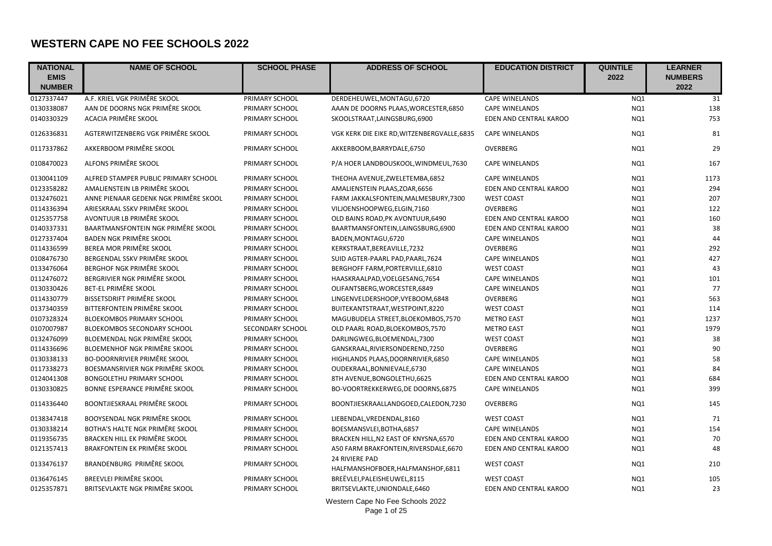## **WESTERN CAPE NO FEE SCHOOLS 2022**

| <b>NATIONAL</b> | <b>NAME OF SCHOOL</b>                 | <b>SCHOOL PHASE</b> | <b>ADDRESS OF SCHOOL</b>                             | <b>EDUCATION DISTRICT</b> | <b>QUINTILE</b> | <b>LEARNER</b> |
|-----------------|---------------------------------------|---------------------|------------------------------------------------------|---------------------------|-----------------|----------------|
| <b>EMIS</b>     |                                       |                     |                                                      |                           | 2022            | <b>NUMBERS</b> |
| <b>NUMBER</b>   |                                       |                     |                                                      |                           |                 | 2022           |
| 0127337447      | A.F. KRIEL VGK PRIMÊRE SKOOL          | PRIMARY SCHOOL      | DERDEHEUWEL, MONTAGU, 6720                           | <b>CAPE WINELANDS</b>     | NQ1             | 31             |
| 0130338087      | AAN DE DOORNS NGK PRIMÊRE SKOOL       | PRIMARY SCHOOL      | AAAN DE DOORNS PLAAS, WORCESTER, 6850                | <b>CAPE WINELANDS</b>     | NQ1             | 138            |
| 0140330329      | ACACIA PRIMÊRE SKOOL                  | PRIMARY SCHOOL      | SKOOLSTRAAT, LAINGSBURG, 6900                        | EDEN AND CENTRAL KAROO    | NQ1             | 753            |
| 0126336831      | AGTERWITZENBERG VGK PRIMÊRE SKOOL     | PRIMARY SCHOOL      | VGK KERK DIE EIKE RD, WITZENBERGVALLE, 6835          | <b>CAPE WINELANDS</b>     | NQ1             | 81             |
| 0117337862      | AKKERBOOM PRIMÊRE SKOOL               | PRIMARY SCHOOL      | AKKERBOOM, BARRYDALE, 6750                           | OVERBERG                  | NQ1             | 29             |
| 0108470023      | ALFONS PRIMÊRE SKOOL                  | PRIMARY SCHOOL      | P/A HOER LANDBOUSKOOL, WINDMEUL, 7630                | <b>CAPE WINELANDS</b>     | NQ1             | 167            |
| 0130041109      | ALFRED STAMPER PUBLIC PRIMARY SCHOOL  | PRIMARY SCHOOL      | THEOHA AVENUE, ZWELETEMBA, 6852                      | <b>CAPE WINELANDS</b>     | NQ1             | 1173           |
| 0123358282      | AMALIENSTEIN LB PRIMÊRE SKOOL         | PRIMARY SCHOOL      | AMALIENSTEIN PLAAS, ZOAR, 6656                       | EDEN AND CENTRAL KAROO    | NQ1             | 294            |
| 0132476021      | ANNE PIENAAR GEDENK NGK PRIMÊRE SKOOL | PRIMARY SCHOOL      | FARM JAKKALSFONTEIN, MALMESBURY, 7300                | <b>WEST COAST</b>         | NQ1             | 207            |
| 0114336394      | ARIESKRAAL SSKV PRIMÊRE SKOOL         | PRIMARY SCHOOL      | VILJOENSHOOPWEG,ELGIN,7160                           | OVERBERG                  | NQ1             | 122            |
| 0125357758      | AVONTUUR LB PRIMÊRE SKOOL             | PRIMARY SCHOOL      | OLD BAINS ROAD, PK AVONTUUR, 6490                    | EDEN AND CENTRAL KAROO    | NQ1             | 160            |
| 0140337331      | BAARTMANSFONTEIN NGK PRIMÊRE SKOOL    | PRIMARY SCHOOL      | BAARTMANSFONTEIN, LAINGSBURG, 6900                   | EDEN AND CENTRAL KAROO    | NQ1             | 38             |
| 0127337404      | <b>BADEN NGK PRIMÊRE SKOOL</b>        | PRIMARY SCHOOL      | BADEN, MONTAGU, 6720                                 | <b>CAPE WINELANDS</b>     | NQ1             | 44             |
| 0114336599      | BEREA MOR PRIMÊRE SKOOL               | PRIMARY SCHOOL      | KERKSTRAAT, BEREAVILLE, 7232                         | <b>OVERBERG</b>           | NQ1             | 292            |
| 0108476730      | BERGENDAL SSKV PRIMÊRE SKOOL          | PRIMARY SCHOOL      | SUID AGTER-PAARL PAD, PAARL, 7624                    | <b>CAPE WINELANDS</b>     | NQ1             | 427            |
| 0133476064      | <b>BERGHOF NGK PRIMÊRE SKOOL</b>      | PRIMARY SCHOOL      | BERGHOFF FARM, PORTERVILLE, 6810                     | <b>WEST COAST</b>         | NQ1             | 43             |
| 0112476072      | BERGRIVIER NGK PRIMÊRE SKOOL          | PRIMARY SCHOOL      | HAASKRAALPAD, VOELGESANG, 7654                       | <b>CAPE WINELANDS</b>     | NQ1             | 101            |
| 0130330426      | <b>BET-EL PRIMÊRE SKOOL</b>           | PRIMARY SCHOOL      | OLIFANTSBERG, WORCESTER, 6849                        | <b>CAPE WINELANDS</b>     | NQ1             | 77             |
| 0114330779      | BISSETSDRIFT PRIMÊRE SKOOL            | PRIMARY SCHOOL      | LINGENVELDERSHOOP, VYEBOOM, 6848                     | OVERBERG                  | NQ1             | 563            |
| 0137340359      | BITTERFONTEIN PRIMÊRE SKOOL           | PRIMARY SCHOOL      | BUITEKANTSTRAAT, WESTPOINT, 8220                     | <b>WEST COAST</b>         | NQ1             | 114            |
| 0107328324      | <b>BLOEKOMBOS PRIMARY SCHOOL</b>      | PRIMARY SCHOOL      | MAGUBUDELA STREET, BLOEKOMBOS, 7570                  | <b>METRO EAST</b>         | NQ1             | 1237           |
| 0107007987      | BLOEKOMBOS SECONDARY SCHOOL           | SECONDARY SCHOOL    | OLD PAARL ROAD, BLOEKOMBOS, 7570                     | <b>METRO EAST</b>         | NQ1             | 1979           |
| 0132476099      | BLOEMENDAL NGK PRIMÊRE SKOOL          | PRIMARY SCHOOL      | DARLINGWEG, BLOEMENDAL, 7300                         | <b>WEST COAST</b>         | NQ1             | 38             |
| 0114336696      | BLOEMENHOF NGK PRIMÊRE SKOOL          | PRIMARY SCHOOL      | GANSKRAAL, RIVIERSONDEREND, 7250                     | OVERBERG                  | NQ1             | 90             |
| 0130338133      | <b>BO-DOORNRIVIER PRIMÊRE SKOOL</b>   | PRIMARY SCHOOL      | HIGHLANDS PLAAS, DOORNRIVIER, 6850                   | <b>CAPE WINELANDS</b>     | NQ1             | 58             |
| 0117338273      | BOESMANSRIVIER NGK PRIMÊRE SKOOL      | PRIMARY SCHOOL      | OUDEKRAAL, BONNIEVALE, 6730                          | <b>CAPE WINELANDS</b>     | NQ1             | 84             |
| 0124041308      | <b>BONGOLETHU PRIMARY SCHOOL</b>      | PRIMARY SCHOOL      | 8TH AVENUE, BONGOLETHU, 6625                         | EDEN AND CENTRAL KAROO    | NQ1             | 684            |
| 0130330825      | BONNE ESPERANCE PRIMÊRE SKOOL         | PRIMARY SCHOOL      | BO-VOORTREKKERWEG, DE DOORNS, 6875                   | <b>CAPE WINELANDS</b>     | NQ1             | 399            |
| 0114336440      | BOONTJIESKRAAL PRIMÊRE SKOOL          | PRIMARY SCHOOL      | BOONTJIESKRAALLANDGOED,CALEDON,7230                  | OVERBERG                  | NQ1             | 145            |
| 0138347418      | BOOYSENDAL NGK PRIMÊRE SKOOL          | PRIMARY SCHOOL      | LIEBENDAL, VREDENDAL, 8160                           | <b>WEST COAST</b>         | NQ1             | 71             |
| 0130338214      | BOTHA'S HALTE NGK PRIMÊRE SKOOL       | PRIMARY SCHOOL      | BOESMANSVLEI, BOTHA, 6857                            | <b>CAPE WINELANDS</b>     | NQ1             | 154            |
| 0119356735      | BRACKEN HILL EK PRIMÊRE SKOOL         | PRIMARY SCHOOL      | BRACKEN HILL, N2 EAST OF KNYSNA, 6570                | EDEN AND CENTRAL KAROO    | NQ1             | 70             |
| 0121357413      | BRAKFONTEIN EK PRIMÊRE SKOOL          | PRIMARY SCHOOL      | A50 FARM BRAKFONTEIN, RIVERSDALE, 6670               | EDEN AND CENTRAL KAROO    | NQ1             | 48             |
| 0133476137      | BRANDENBURG PRIMÊRE SKOOL             | PRIMARY SCHOOL      | 24 RIVIERE PAD<br>HALFMANSHOFBOER, HALFMANSHOF, 6811 | <b>WEST COAST</b>         | NQ1             | 210            |
| 0136476145      | BREEVLEI PRIMÊRE SKOOL                | PRIMARY SCHOOL      | BREËVLEI, PALEISHEUWEL, 8115                         | <b>WEST COAST</b>         | NQ1             | 105            |
| 0125357871      | BRITSEVLAKTE NGK PRIMÊRE SKOOL        | PRIMARY SCHOOL      | BRITSEVLAKTE, UNIONDALE, 6460                        | EDEN AND CENTRAL KAROO    | NQ1             | 23             |
|                 |                                       |                     | Western Cape No Fee Schools 2022                     |                           |                 |                |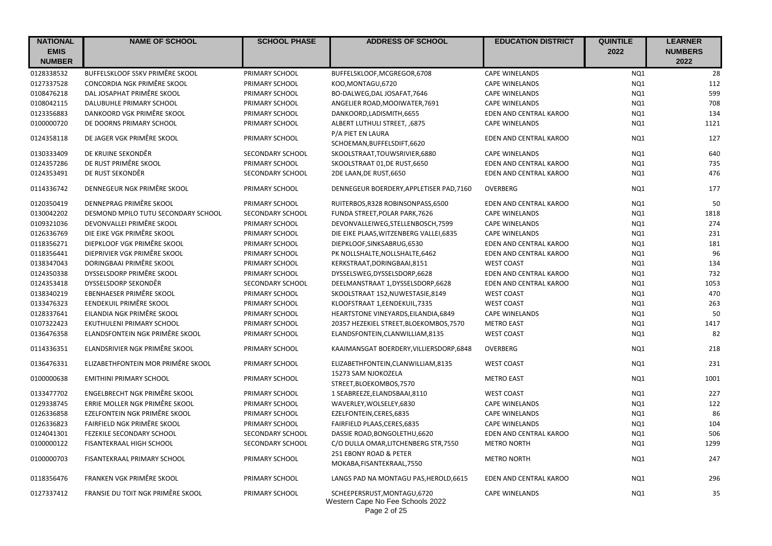| <b>NATIONAL</b>              | <b>NAME OF SCHOOL</b>               | <b>SCHOOL PHASE</b> | <b>ADDRESS OF SCHOOL</b>                                                         | <b>EDUCATION DISTRICT</b> | <b>QUINTILE</b> | <b>LEARNER</b>         |
|------------------------------|-------------------------------------|---------------------|----------------------------------------------------------------------------------|---------------------------|-----------------|------------------------|
| <b>EMIS</b><br><b>NUMBER</b> |                                     |                     |                                                                                  |                           | 2022            | <b>NUMBERS</b><br>2022 |
|                              | BUFFELSKLOOF SSKV PRIMÊRE SKOOL     | PRIMARY SCHOOL      |                                                                                  | <b>CAPE WINELANDS</b>     |                 | 28                     |
| 0128338532<br>0127337528     | CONCORDIA NGK PRIMÊRE SKOOL         | PRIMARY SCHOOL      | BUFFELSKLOOF, MCGREGOR, 6708<br>KOO, MONTAGU, 6720                               | <b>CAPE WINELANDS</b>     | NQ1<br>NQ1      | 112                    |
| 0108476218                   | DAL JOSAPHAT PRIMÊRE SKOOL          | PRIMARY SCHOOL      | BO-DALWEG, DAL JOSAFAT, 7646                                                     | <b>CAPE WINELANDS</b>     | NQ1             | 599                    |
| 0108042115                   | DALUBUHLE PRIMARY SCHOOL            | PRIMARY SCHOOL      | ANGELIER ROAD, MOOIWATER, 7691                                                   | <b>CAPE WINELANDS</b>     | NQ1             | 708                    |
| 0123356883                   | DANKOORD VGK PRIMÊRE SKOOL          | PRIMARY SCHOOL      | DANKOORD, LADISMITH, 6655                                                        | EDEN AND CENTRAL KAROO    | NQ1             | 134                    |
| 0100000720                   | DE DOORNS PRIMARY SCHOOL            | PRIMARY SCHOOL      | ALBERT LUTHULI STREET, ,6875                                                     | <b>CAPE WINELANDS</b>     | NQ1             | 1121                   |
|                              |                                     |                     | P/A PIET EN LAURA                                                                |                           |                 |                        |
| 0124358118                   | DE JAGER VGK PRIMÊRE SKOOL          | PRIMARY SCHOOL      | SCHOEMAN, BUFFELSDIFT, 6620                                                      | EDEN AND CENTRAL KAROO    | NQ1             | 127                    |
| 0130333409                   | DE KRUINE SEKONDÊR                  | SECONDARY SCHOOL    | SKOOLSTRAAT, TOUWSRIVIER, 6880                                                   | <b>CAPE WINELANDS</b>     | NQ1             | 640                    |
| 0124357286                   | DE RUST PRIMÊRE SKOOL               | PRIMARY SCHOOL      | SKOOLSTRAAT 01, DE RUST, 6650                                                    | EDEN AND CENTRAL KAROO    | NQ1             | 735                    |
| 0124353491                   | DE RUST SEKONDÊR                    | SECONDARY SCHOOL    | 2DE LAAN, DE RUST, 6650                                                          | EDEN AND CENTRAL KAROO    | NQ1             | 476                    |
|                              |                                     |                     |                                                                                  |                           |                 |                        |
| 0114336742                   | DENNEGEUR NGK PRIMÊRE SKOOL         | PRIMARY SCHOOL      | DENNEGEUR BOERDERY, APPLETISER PAD, 7160                                         | OVERBERG                  | NQ1             | 177                    |
| 0120350419                   | DENNEPRAG PRIMÊRE SKOOL             | PRIMARY SCHOOL      | RUITERBOS, R328 ROBINSONPASS, 6500                                               | EDEN AND CENTRAL KAROO    | NQ1             | 50                     |
| 0130042202                   | DESMOND MPILO TUTU SECONDARY SCHOOL | SECONDARY SCHOOL    | FUNDA STREET, POLAR PARK, 7626                                                   | <b>CAPE WINELANDS</b>     | NQ1             | 1818                   |
| 0109321036                   | DEVONVALLEI PRIMÊRE SKOOL           | PRIMARY SCHOOL      | DEVONVALLEIWEG, STELLENBOSCH, 7599                                               | <b>CAPE WINELANDS</b>     | NQ1             | 274                    |
| 0126336769                   | DIE EIKE VGK PRIMÊRE SKOOL          | PRIMARY SCHOOL      | DIE EIKE PLAAS, WITZENBERG VALLEI, 6835                                          | <b>CAPE WINELANDS</b>     | NQ1             | 231                    |
| 0118356271                   | DIEPKLOOF VGK PRIMÊRE SKOOL         | PRIMARY SCHOOL      | DIEPKLOOF, SINKSABRUG, 6530                                                      | EDEN AND CENTRAL KAROO    | NQ1             | 181                    |
| 0118356441                   | DIEPRIVIER VGK PRIMÊRE SKOOL        | PRIMARY SCHOOL      | PK NOLLSHALTE, NOLLSHALTE, 6462                                                  | EDEN AND CENTRAL KAROO    | NQ1             | 96                     |
| 0138347043                   | DORINGBAAI PRIMÊRE SKOOL            | PRIMARY SCHOOL      | KERKSTRAAT, DORINGBAAI, 8151                                                     | <b>WEST COAST</b>         | NQ1             | 134                    |
| 0124350338                   | DYSSELSDORP PRIMÊRE SKOOL           | PRIMARY SCHOOL      | DYSSELSWEG, DYSSELSDORP, 6628                                                    | EDEN AND CENTRAL KAROO    | NQ1             | 732                    |
| 0124353418                   | DYSSELSDORP SEKONDÊR                | SECONDARY SCHOOL    | DEELMANSTRAAT 1,DYSSELSDORP,6628                                                 | EDEN AND CENTRAL KAROO    | NQ1             | 1053                   |
| 0138340219                   | EBENHAESER PRIMÊRE SKOOL            | PRIMARY SCHOOL      | SKOOLSTRAAT 152, NUWESTASIE, 8149                                                | <b>WEST COAST</b>         | NQ1             | 470                    |
| 0133476323                   | EENDEKUIL PRIMÊRE SKOOL             | PRIMARY SCHOOL      | KLOOFSTRAAT 1, EENDEKUIL, 7335                                                   | <b>WEST COAST</b>         | NQ1             | 263                    |
| 0128337641                   | EILANDIA NGK PRIMÊRE SKOOL          | PRIMARY SCHOOL      | HEARTSTONE VINEYARDS, EILANDIA, 6849                                             | <b>CAPE WINELANDS</b>     | NQ1             | 50                     |
| 0107322423                   | EKUTHULENI PRIMARY SCHOOL           | PRIMARY SCHOOL      | 20357 HEZEKIEL STREET, BLOEKOMBOS, 7570                                          | <b>METRO EAST</b>         | NQ1             | 1417                   |
| 0136476358                   | ELANDSFONTEIN NGK PRIMÊRE SKOOL     | PRIMARY SCHOOL      | ELANDSFONTEIN, CLANWILLIAM, 8135                                                 | <b>WEST COAST</b>         | NQ1             | 82                     |
| 0114336351                   | ELANDSRIVIER NGK PRIMÊRE SKOOL      | PRIMARY SCHOOL      | KAAIMANSGAT BOERDERY, VILLIERSDORP, 6848                                         | OVERBERG                  | NQ1             | 218                    |
| 0136476331                   | ELIZABETHFONTEIN MOR PRIMÊRE SKOOL  | PRIMARY SCHOOL      | ELIZABETHFONTEIN, CLANWILLIAM, 8135                                              | <b>WEST COAST</b>         | NQ1             | 231                    |
| 0100000638                   | <b>EMITHINI PRIMARY SCHOOL</b>      | PRIMARY SCHOOL      | 15273 SAM NJOKOZELA                                                              | <b>METRO EAST</b>         | NQ1             | 1001                   |
|                              |                                     |                     | STREET, BLOEKOMBOS, 7570                                                         |                           |                 |                        |
| 0133477702                   | ENGELBRECHT NGK PRIMÊRE SKOOL       | PRIMARY SCHOOL      | 1 SEABREEZE, ELANDSBAAI, 8110                                                    | <b>WEST COAST</b>         | NQ1             | 227                    |
| 0129338745                   | ERRIE MOLLER NGK PRIMÊRE SKOOL      | PRIMARY SCHOOL      | WAVERLEY, WOLSELEY, 6830                                                         | <b>CAPE WINELANDS</b>     | NQ1             | 122                    |
| 0126336858                   | EZELFONTEIN NGK PRIMÊRE SKOOL       | PRIMARY SCHOOL      | EZELFONTEIN, CERES, 6835                                                         | <b>CAPE WINELANDS</b>     | NQ1             | 86                     |
| 0126336823                   | FAIRFIELD NGK PRIMÊRE SKOOL         | PRIMARY SCHOOL      | FAIRFIELD PLAAS, CERES, 6835                                                     | <b>CAPE WINELANDS</b>     | NQ1             | 104                    |
| 0124041301                   | FEZEKILE SECONDARY SCHOOL           | SECONDARY SCHOOL    | DASSIE ROAD, BONGOLETHU, 6620                                                    | EDEN AND CENTRAL KAROO    | NQ1             | 506                    |
| 0100000122                   | FISANTEKRAAL HIGH SCHOOL            | SECONDARY SCHOOL    | C/O DULLA OMAR, LITCHENBERG STR, 7550                                            | <b>METRO NORTH</b>        | NQ1             | 1299                   |
| 0100000703                   | FISANTEKRAAL PRIMARY SCHOOL         | PRIMARY SCHOOL      | 251 EBONY ROAD & PETER                                                           | <b>METRO NORTH</b>        | NQ1             | 247                    |
|                              |                                     |                     | MOKABA, FISANTEKRAAL, 7550                                                       |                           |                 |                        |
| 0118356476                   | FRANKEN VGK PRIMÊRE SKOOL           | PRIMARY SCHOOL      | LANGS PAD NA MONTAGU PAS, HEROLD, 6615                                           | EDEN AND CENTRAL KAROO    | NQ1             | 296                    |
| 0127337412                   | FRANSIE DU TOIT NGK PRIMÊRE SKOOL   | PRIMARY SCHOOL      | SCHEEPERSRUST, MONTAGU, 6720<br>Western Cape No Fee Schools 2022<br>Page 2 of 25 | <b>CAPE WINELANDS</b>     | NQ1             | 35                     |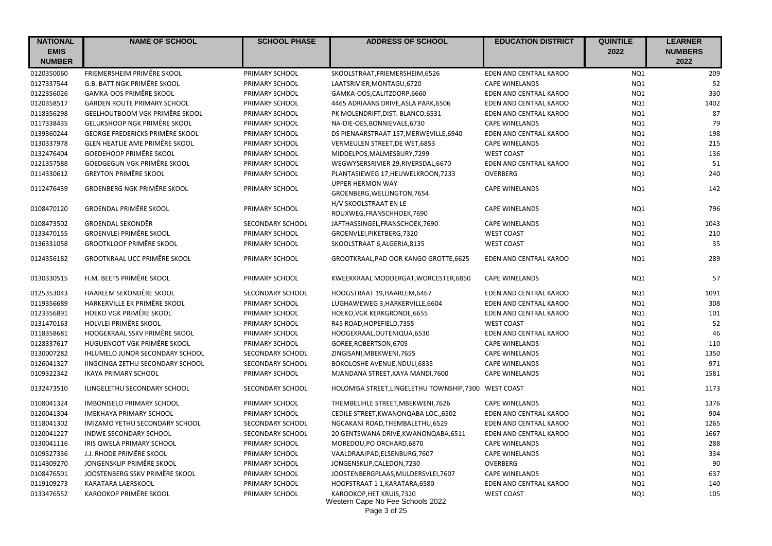| <b>NATIONAL</b> | <b>NAME OF SCHOOL</b>                  | <b>SCHOOL PHASE</b> | <b>ADDRESS OF SCHOOL</b>                                                      | <b>EDUCATION DISTRICT</b> | <b>QUINTILE</b> | <b>LEARNER</b> |
|-----------------|----------------------------------------|---------------------|-------------------------------------------------------------------------------|---------------------------|-----------------|----------------|
| <b>EMIS</b>     |                                        |                     |                                                                               |                           | 2022            | <b>NUMBERS</b> |
| <b>NUMBER</b>   |                                        |                     |                                                                               |                           |                 | 2022           |
| 0120350060      | FRIEMERSHEIM PRIMÊRE SKOOL             | PRIMARY SCHOOL      | SKOOLSTRAAT, FRIEMERSHEIM, 6526                                               | EDEN AND CENTRAL KAROO    | NQ1             | 209            |
| 0127337544      | G.B. BATT NGK PRIMÊRE SKOOL            | PRIMARY SCHOOL      | LAATSRIVIER, MONTAGU, 6720                                                    | <b>CAPE WINELANDS</b>     | NQ1             | 52             |
| 0122356026      | <b>GAMKA-OOS PRIMÊRE SKOOL</b>         | PRIMARY SCHOOL      | GAMKA-OOS, CALITZDORP, 6660                                                   | EDEN AND CENTRAL KAROO    | NQ1             | 330            |
| 0120358517      | <b>GARDEN ROUTE PRIMARY SCHOOL</b>     | PRIMARY SCHOOL      | 4465 ADRIAANS DRIVE, ASLA PARK, 6506                                          | EDEN AND CENTRAL KAROO    | NQ1             | 1402           |
| 0118356298      | GEELHOUTBOOM VGK PRIMÊRE SKOOL         | PRIMARY SCHOOL      | PK MOLENDRIFT, DIST. BLANCO, 6531                                             | EDEN AND CENTRAL KAROO    | NQ1             | 87             |
| 0117338435      | GELUKSHOOP NGK PRIMÊRE SKOOL           | PRIMARY SCHOOL      | NA-DIE-OES, BONNIEVALE, 6730                                                  | <b>CAPE WINELANDS</b>     | NQ1             | 79             |
| 0139360244      | <b>GEORGE FREDERICKS PRIMÊRE SKOOL</b> | PRIMARY SCHOOL      | DS PIENAARSTRAAT 157, MERWEVILLE, 6940                                        | EDEN AND CENTRAL KAROO    | NQ1             | 198            |
| 0130337978      | <b>GLEN HEATLIE AME PRIMÊRE SKOOL</b>  | PRIMARY SCHOOL      | VERMEULEN STREET, DE WET, 6853                                                | <b>CAPE WINELANDS</b>     | NQ1             | 215            |
| 0132476404      | <b>GOEDEHOOP PRIMÊRE SKOOL</b>         | PRIMARY SCHOOL      | MIDDELPOS, MALMESBURY, 7299                                                   | <b>WEST COAST</b>         | NQ1             | 136            |
| 0121357588      | GOEDGEGUN VGK PRIMÊRE SKOOL            | PRIMARY SCHOOL      | WEGWYSERSRIVIER 29, RIVERSDAL, 6670                                           | EDEN AND CENTRAL KAROO    | NQ1             | 51             |
| 0114330612      | <b>GREYTON PRIMÊRE SKOOL</b>           | PRIMARY SCHOOL      | PLANTASIEWEG 17, HEUWELKROON, 7233                                            | OVERBERG                  | NQ1             | 240            |
| 0112476439      | <b>GROENBERG NGK PRIMÊRE SKOOL</b>     | PRIMARY SCHOOL      | <b>UPPER HERMON WAY</b><br>GROENBERG, WELLINGTON, 7654                        | <b>CAPE WINELANDS</b>     | NQ1             | 142            |
| 0108470120      | <b>GROENDAL PRIMÊRE SKOOL</b>          | PRIMARY SCHOOL      | H/V SKOOLSTRAAT EN LE<br>ROUXWEG, FRANSCHHOEK, 7690                           | <b>CAPE WINELANDS</b>     | NQ1             | 796            |
| 0108473502      | <b>GROENDAL SEKONDÊR</b>               | SECONDARY SCHOOL    | JAFTHASSINGEL,FRANSCHOEK,7690                                                 | <b>CAPE WINELANDS</b>     | NQ1             | 1043           |
| 0133470155      | <b>GROENVLEI PRIMÊRE SKOOL</b>         | PRIMARY SCHOOL      | GROENVLEI, PIKETBERG, 7320                                                    | <b>WEST COAST</b>         | NQ1             | 210            |
| 0136331058      | <b>GROOTKLOOF PRIMÊRE SKOOL</b>        | PRIMARY SCHOOL      | SKOOLSTRAAT 6, ALGERIA, 8135                                                  | <b>WEST COAST</b>         | NQ1             | 35             |
| 0124356182      | <b>GROOTKRAAL UCC PRIMÊRE SKOOL</b>    | PRIMARY SCHOOL      | GROOTKRAAL, PAD OOR KANGO GROTTE, 6625                                        | EDEN AND CENTRAL KAROO    | NQ1             | 289            |
| 0130330515      | H.M. BEETS PRIMÊRE SKOOL               | PRIMARY SCHOOL      | KWEEKKRAAL MODDERGAT, WORCESTER, 6850                                         | <b>CAPE WINELANDS</b>     | NQ1             | 57             |
| 0125353043      | HAARLEM SEKONDÊRE SKOOL                | SECONDARY SCHOOL    | HOOGSTRAAT 19, HAARLEM, 6467                                                  | EDEN AND CENTRAL KAROO    | NQ1             | 1091           |
| 0119356689      | HARKERVILLE EK PRIMÊRE SKOOL           | PRIMARY SCHOOL      | LUGHAWEWEG 3, HARKERVILLE, 6604                                               | EDEN AND CENTRAL KAROO    | NQ1             | 308            |
| 0123356891      | <b>HOEKO VGK PRIMÊRE SKOOL</b>         | PRIMARY SCHOOL      | HOEKO, VGK KERKGRONDE, 6655                                                   | EDEN AND CENTRAL KAROO    | NQ1             | 101            |
| 0131470163      | <b>HOLVLEI PRIMÊRE SKOOL</b>           | PRIMARY SCHOOL      | R45 ROAD, HOPEFIELD, 7355                                                     | <b>WEST COAST</b>         | NQ1             | 52             |
| 0118358681      | HOOGEKRAAL SSKV PRIMÊRE SKOOL          | PRIMARY SCHOOL      | HOOGEKRAAL, OUTENIQUA, 6530                                                   | EDEN AND CENTRAL KAROO    | NQ1             | 46             |
| 0128337617      | HUGUENOOT VGK PRIMÊRE SKOOL            | PRIMARY SCHOOL      | GOREE, ROBERTSON, 6705                                                        | <b>CAPE WINELANDS</b>     | NQ1             | 110            |
| 0130007282      | IHLUMELO JUNOR SECONDARY SCHOOL        | SECONDARY SCHOOL    | ZINGISANI, MBEKWENI, 7655                                                     | <b>CAPE WINELANDS</b>     | NQ1             | 1350           |
| 0126041327      | IINGCINGA ZETHU SECONDARY SCHOOL       | SECONDARY SCHOOL    | BOKOLOSHE AVENUE, NDULI, 6835                                                 | <b>CAPE WINELANDS</b>     | NQ1             | 971            |
| 0109322342      | <b>IKAYA PRIMARY SCHOOL</b>            | PRIMARY SCHOOL      | MJANDANA STREET, KAYA MANDI, 7600                                             | <b>CAPE WINELANDS</b>     | NQ1             | 1581           |
| 0132473510      | ILINGELETHU SECONDARY SCHOOL           | SECONDARY SCHOOL    | HOLOMISA STREET, LINGELETHU TOWNSHIP, 7300 WEST COAST                         |                           | NQ1             | 1173           |
| 0108041324      | <b>IMBONISELO PRIMARY SCHOOL</b>       | PRIMARY SCHOOL      | THEMBELIHLE STREET, MBEKWENI, 7626                                            | <b>CAPE WINELANDS</b>     | NQ1             | 1376           |
| 0120041304      | <b>IMEKHAYA PRIMARY SCHOOL</b>         | PRIMARY SCHOOL      | CEDILE STREET, KWANONQABA LOC., 6502                                          | EDEN AND CENTRAL KAROO    | NQ1             | 904            |
| 0118041302      | IMIZAMO YETHU SECONDARY SCHOOL         | SECONDARY SCHOOL    | NGCAKANI ROAD, THEMBALETHU, 6529                                              | EDEN AND CENTRAL KAROO    | NQ1             | 1265           |
| 0120041227      | <b>INDWE SECONDARY SCHOOL</b>          | SECONDARY SCHOOL    | 20 GENTSWANA DRIVE, KWANONQABA, 6511                                          | EDEN AND CENTRAL KAROO    | NQ1             | 1667           |
| 0130041116      | IRIS QWELA PRIMARY SCHOOL              | PRIMARY SCHOOL      | MOREDOU, PO ORCHARD, 6870                                                     | <b>CAPE WINELANDS</b>     | NQ1             | 288            |
| 0109327336      | J.J. RHODE PRIMÊRE SKOOL               | PRIMARY SCHOOL      | VAALDRAAIPAD, ELSENBURG, 7607                                                 | <b>CAPE WINELANDS</b>     | NQ1             | 334            |
| 0114309270      | JONGENSKLIP PRIMÊRE SKOOL              | PRIMARY SCHOOL      | JONGENSKLIP, CALEDON, 7230                                                    | OVERBERG                  | NQ1             | 90             |
| 0108476501      | JOOSTENBERG SSKV PRIMÊRE SKOOL         | PRIMARY SCHOOL      | JOOSTENBERGPLAAS, MULDERSVLEI, 7607                                           | <b>CAPE WINELANDS</b>     | NQ1             | 637            |
| 0119109273      | <b>KARATARA LAERSKOOL</b>              | PRIMARY SCHOOL      | HOOFSTRAAT 1 1, KARATARA, 6580                                                | EDEN AND CENTRAL KAROO    | NQ1             | 140            |
| 0133476552      | KAROOKOP PRIMÊRE SKOOL                 | PRIMARY SCHOOL      | KAROOKOP, HET KRUIS, 7320<br>Western Cape No Fee Schools 2022<br>Page 3 of 25 | <b>WEST COAST</b>         | NQ1             | 105            |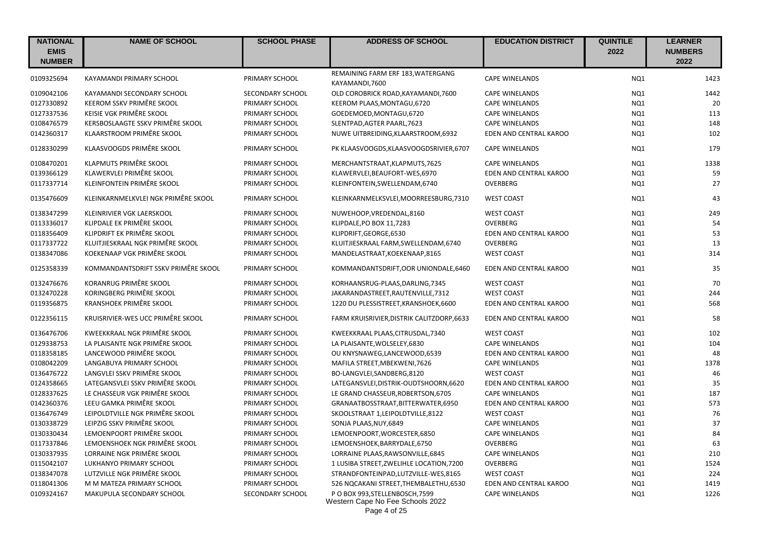| <b>NATIONAL</b><br><b>EMIS</b><br><b>NUMBER</b> | <b>NAME OF SCHOOL</b>               | <b>SCHOOL PHASE</b> | <b>ADDRESS OF SCHOOL</b>                                                            | <b>EDUCATION DISTRICT</b> | <b>QUINTILE</b><br>2022 | <b>LEARNER</b><br><b>NUMBERS</b><br>2022 |
|-------------------------------------------------|-------------------------------------|---------------------|-------------------------------------------------------------------------------------|---------------------------|-------------------------|------------------------------------------|
| 0109325694                                      | KAYAMANDI PRIMARY SCHOOL            | PRIMARY SCHOOL      | REMAINING FARM ERF 183, WATERGANG<br>KAYAMANDI,7600                                 | <b>CAPE WINELANDS</b>     | NQ1                     | 1423                                     |
| 0109042106                                      | KAYAMANDI SECONDARY SCHOOL          | SECONDARY SCHOOL    | OLD COROBRICK ROAD, KAYAMANDI, 7600                                                 | <b>CAPE WINELANDS</b>     | NQ1                     | 1442                                     |
| 0127330892                                      | KEEROM SSKV PRIMÊRE SKOOL           | PRIMARY SCHOOL      | KEEROM PLAAS, MONTAGU, 6720                                                         | <b>CAPE WINELANDS</b>     | NQ1                     | 20                                       |
| 0127337536                                      | KEISIE VGK PRIMÊRE SKOOL            | PRIMARY SCHOOL      | GOEDEMOED, MONTAGU, 6720                                                            | <b>CAPE WINELANDS</b>     | NQ1                     | 113                                      |
| 0108476579                                      | KERSBOSLAAGTE SSKV PRIMÊRE SKOOL    | PRIMARY SCHOOL      | SLENTPAD, AGTER PAARL, 7623                                                         | <b>CAPE WINELANDS</b>     | NQ1                     | 148                                      |
| 0142360317                                      | KLAARSTROOM PRIMÊRE SKOOL           | PRIMARY SCHOOL      | NUWE UITBREIDING, KLAARSTROOM, 6932                                                 | EDEN AND CENTRAL KAROO    | NQ1                     | 102                                      |
| 0128330299                                      | KLAASVOOGDS PRIMÊRE SKOOL           | PRIMARY SCHOOL      | PK KLAASVOOGDS, KLAASVOOGDSRIVIER, 6707                                             | <b>CAPE WINELANDS</b>     | NO <sub>1</sub>         | 179                                      |
| 0108470201                                      | KLAPMUTS PRIMÊRE SKOOL              | PRIMARY SCHOOL      | MERCHANTSTRAAT, KLAPMUTS, 7625                                                      | <b>CAPE WINELANDS</b>     | NQ1                     | 1338                                     |
| 0139366129                                      | KLAWERVLEI PRIMÊRE SKOOL            | PRIMARY SCHOOL      | KLAWERVLEI, BEAUFORT-WES, 6970                                                      | EDEN AND CENTRAL KAROO    | NQ1                     | 59                                       |
| 0117337714                                      | KLEINFONTEIN PRIMÊRE SKOOL          | PRIMARY SCHOOL      | KLEINFONTEIN, SWELLENDAM, 6740                                                      | <b>OVERBERG</b>           | NQ1                     | 27                                       |
| 0135476609                                      | KLEINKARNMELKVLEI NGK PRIMÊRE SKOOL | PRIMARY SCHOOL      | KLEINKARNMELKSVLEI, MOORREESBURG, 7310                                              | <b>WEST COAST</b>         | NQ1                     | 43                                       |
| 0138347299                                      | KLEINRIVIER VGK LAERSKOOL           | PRIMARY SCHOOL      | NUWEHOOP, VREDENDAL, 8160                                                           | <b>WEST COAST</b>         | NQ1                     | 249                                      |
| 0113336017                                      | KLIPDALE EK PRIMÊRE SKOOL           | PRIMARY SCHOOL      | KLIPDALE, PO BOX 11, 7283                                                           | <b>OVERBERG</b>           | NQ1                     | 54                                       |
| 0118356409                                      | KLIPDRIFT EK PRIMÊRE SKOOL          | PRIMARY SCHOOL      | KLIPDRIFT, GEORGE, 6530                                                             | EDEN AND CENTRAL KAROO    | NQ1                     | 53                                       |
| 0117337722                                      | KLUITJIESKRAAL NGK PRIMÊRE SKOOL    | PRIMARY SCHOOL      | KLUITJIESKRAAL FARM, SWELLENDAM, 6740                                               | <b>OVERBERG</b>           | NQ1                     | 13                                       |
| 0138347086                                      | KOEKENAAP VGK PRIMÊRE SKOOL         | PRIMARY SCHOOL      | MANDELASTRAAT, KOEKENAAP, 8165                                                      | <b>WEST COAST</b>         | NQ1                     | 314                                      |
| 0125358339                                      | KOMMANDANTSDRIFT SSKV PRIMÊRE SKOOL | PRIMARY SCHOOL      | KOMMANDANTSDRIFT, OOR UNIONDALE, 6460                                               | EDEN AND CENTRAL KAROO    | NQ1                     | 35                                       |
| 0132476676                                      | KORANRUG PRIMÊRE SKOOL              | PRIMARY SCHOOL      | KORHAANSRUG-PLAAS, DARLING, 7345                                                    | <b>WEST COAST</b>         | NQ1                     | 70                                       |
| 0132470228                                      | KORINGBERG PRIMÊRE SKOOL            | PRIMARY SCHOOL      | JAKARANDASTREET, RAUTENVILLE, 7312                                                  | <b>WEST COAST</b>         | NQ1                     | 244                                      |
| 0119356875                                      | <b>KRANSHOEK PRIMÊRE SKOOL</b>      | PRIMARY SCHOOL      | 1220 DU PLESSISTREET, KRANSHOEK, 6600                                               | EDEN AND CENTRAL KAROO    | NQ1                     | 568                                      |
| 0122356115                                      | KRUISRIVIER-WES UCC PRIMÊRE SKOOL   | PRIMARY SCHOOL      | FARM KRUISRIVIER, DISTRIK CALITZDORP, 6633                                          | EDEN AND CENTRAL KAROO    | NQ1                     | 58                                       |
| 0136476706                                      | KWEEKKRAAL NGK PRIMÊRE SKOOL        | PRIMARY SCHOOL      | KWEEKKRAAL PLAAS, CITRUSDAL, 7340                                                   | <b>WEST COAST</b>         | NQ1                     | 102                                      |
| 0129338753                                      | LA PLAISANTE NGK PRIMÊRE SKOOL      | PRIMARY SCHOOL      | LA PLAISANTE, WOLSELEY, 6830                                                        | <b>CAPE WINELANDS</b>     | NQ1                     | 104                                      |
| 0118358185                                      | LANCEWOOD PRIMÊRE SKOOL             | PRIMARY SCHOOL      | OU KNYSNAWEG,LANCEWOOD,6539                                                         | EDEN AND CENTRAL KAROO    | NQ1                     | 48                                       |
| 0108042209                                      | LANGABUYA PRIMARY SCHOOL            | PRIMARY SCHOOL      | MAFILA STREET, MBEKWENI, 7626                                                       | <b>CAPE WINELANDS</b>     | NQ1                     | 1378                                     |
| 0136476722                                      | LANGVLEI SSKV PRIMÊRE SKOOL         | PRIMARY SCHOOL      | BO-LANGVLEI, SANDBERG, 8120                                                         | <b>WEST COAST</b>         | NQ1                     | 46                                       |
| 0124358665                                      | LATEGANSVLEI SSKV PRIMÊRE SKOOL     | PRIMARY SCHOOL      | LATEGANSVLEI, DISTRIK-OUDTSHOORN, 6620                                              | EDEN AND CENTRAL KAROO    | NQ1                     | 35                                       |
| 0128337625                                      | LE CHASSEUR VGK PRIMÊRE SKOOL       | PRIMARY SCHOOL      | LE GRAND CHASSEUR, ROBERTSON, 6705                                                  | <b>CAPE WINELANDS</b>     | NQ1                     | 187                                      |
| 0142360376                                      | LEEU GAMKA PRIMÊRE SKOOL            | PRIMARY SCHOOL      | GRANAATBOSSTRAAT, BITTERWATER, 6950                                                 | EDEN AND CENTRAL KAROO    | NQ1                     | 573                                      |
| 0136476749                                      | LEIPOLDTVILLE NGK PRIMÊRE SKOOL     | PRIMARY SCHOOL      | SKOOLSTRAAT 1, LEIPOLDTVILLE, 8122                                                  | <b>WEST COAST</b>         | NQ1                     | 76                                       |
| 0130338729                                      | LEIPZIG SSKV PRIMÊRE SKOOL          | PRIMARY SCHOOL      | SONJA PLAAS, NUY, 6849                                                              | <b>CAPE WINELANDS</b>     | NQ1                     | 37                                       |
| 0130330434                                      | LEMOENPOORT PRIMÊRE SKOOL           | PRIMARY SCHOOL      | LEMOENPOORT, WORCESTER, 6850                                                        | <b>CAPE WINELANDS</b>     | NQ1                     | 84                                       |
| 0117337846                                      | LEMOENSHOEK NGK PRIMÊRE SKOOL       | PRIMARY SCHOOL      | LEMOENSHOEK, BARRYDALE, 6750                                                        | <b>OVERBERG</b>           | NQ1                     | 63                                       |
| 0130337935                                      | LORRAINE NGK PRIMÊRE SKOOL          | PRIMARY SCHOOL      | LORRAINE PLAAS, RAWSONVILLE, 6845                                                   | <b>CAPE WINELANDS</b>     | NQ1                     | 210                                      |
| 0115042107                                      | LUKHANYO PRIMARY SCHOOL             | PRIMARY SCHOOL      | 1 LUSIBA STREET, ZWELIHLE LOCATION, 7200                                            | <b>OVERBERG</b>           | NQ1                     | 1524                                     |
| 0138347078                                      | LUTZVILLE NGK PRIMÊRE SKOOL         | PRIMARY SCHOOL      | STRANDFONTEINPAD, LUTZVILLE-WES, 8165                                               | <b>WEST COAST</b>         | NQ1                     | 224                                      |
| 0118041306                                      | M M MATEZA PRIMARY SCHOOL           | PRIMARY SCHOOL      | 526 NQCAKANI STREET, THEMBALETHU, 6530                                              | EDEN AND CENTRAL KAROO    | NQ1                     | 1419                                     |
| 0109324167                                      | MAKUPULA SECONDARY SCHOOL           | SECONDARY SCHOOL    | P O BOX 993, STELLENBOSCH, 7599<br>Western Cape No Fee Schools 2022<br>Page 4 of 25 | <b>CAPE WINELANDS</b>     | NQ1                     | 1226                                     |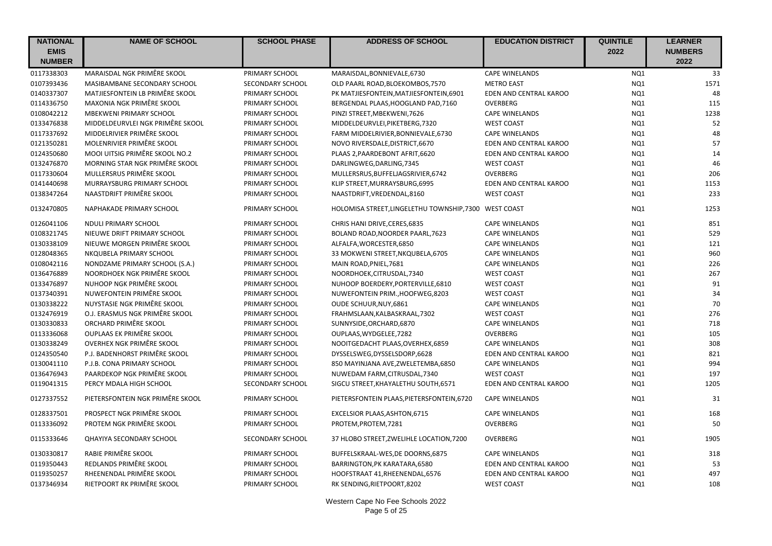| <b>NATIONAL</b> | <b>NAME OF SCHOOL</b>            | <b>SCHOOL PHASE</b> | <b>ADDRESS OF SCHOOL</b>                              | <b>EDUCATION DISTRICT</b> | <b>QUINTILE</b> | <b>LEARNER</b> |
|-----------------|----------------------------------|---------------------|-------------------------------------------------------|---------------------------|-----------------|----------------|
| <b>EMIS</b>     |                                  |                     |                                                       |                           | 2022            | <b>NUMBERS</b> |
| <b>NUMBER</b>   |                                  |                     |                                                       |                           |                 | 2022           |
| 0117338303      | MARAISDAL NGK PRIMÊRE SKOOL      | PRIMARY SCHOOL      | MARAISDAL, BONNIEVALE, 6730                           | <b>CAPE WINELANDS</b>     | NQ1             | 33             |
| 0107393436      | MASIBAMBANE SECONDARY SCHOOL     | SECONDARY SCHOOL    | OLD PAARL ROAD, BLOEKOMBOS, 7570                      | <b>METRO EAST</b>         | NQ1             | 1571           |
| 0140337307      | MATJIESFONTEIN LB PRIMÊRE SKOOL  | PRIMARY SCHOOL      | PK MATJIESFONTEIN, MATJIESFONTEIN, 6901               | EDEN AND CENTRAL KAROO    | NQ1             | 48             |
| 0114336750      | MAXONIA NGK PRIMÊRE SKOOL        | PRIMARY SCHOOL      | BERGENDAL PLAAS, HOOGLAND PAD, 7160                   | <b>OVERBERG</b>           | NQ1             | 115            |
| 0108042212      | MBEKWENI PRIMARY SCHOOL          | PRIMARY SCHOOL      | PINZI STREET, MBEKWENI, 7626                          | <b>CAPE WINELANDS</b>     | NQ1             | 1238           |
| 0133476838      | MIDDELDEURVLEI NGK PRIMÊRE SKOOL | PRIMARY SCHOOL      | MIDDELDEURVLEI, PIKETBERG, 7320                       | <b>WEST COAST</b>         | NQ1             | 52             |
| 0117337692      | MIDDELRIVIER PRIMÊRE SKOOL       | PRIMARY SCHOOL      | FARM MIDDELRIVIER, BONNIEVALE, 6730                   | <b>CAPE WINELANDS</b>     | NQ1             | 48             |
| 0121350281      | MOLENRIVIER PRIMÊRE SKOOL        | PRIMARY SCHOOL      | NOVO RIVERSDALE, DISTRICT, 6670                       | EDEN AND CENTRAL KAROO    | NQ1             | 57             |
| 0124350680      | MOOI UITSIG PRIMÊRE SKOOL NO.2   | PRIMARY SCHOOL      | PLAAS 2, PAARDEBONT AFRIT, 6620                       | EDEN AND CENTRAL KAROO    | NQ1             | 14             |
| 0132476870      | MORNING STAR NGK PRIMÊRE SKOOL   | PRIMARY SCHOOL      | DARLINGWEG, DARLING, 7345                             | <b>WEST COAST</b>         | NQ1             | 46             |
| 0117330604      | MULLERSRUS PRIMÊRE SKOOL         | PRIMARY SCHOOL      | MULLERSRUS, BUFFELJAGSRIVIER, 6742                    | OVERBERG                  | NQ1             | 206            |
| 0141440698      | MURRAYSBURG PRIMARY SCHOOL       | PRIMARY SCHOOL      | KLIP STREET, MURRAYSBURG, 6995                        | EDEN AND CENTRAL KAROO    | NQ1             | 1153           |
| 0138347264      | NAASTDRIFT PRIMÊRE SKOOL         | PRIMARY SCHOOL      | NAASTDRIFT, VREDENDAL, 8160                           | <b>WEST COAST</b>         | NQ1             | 233            |
| 0132470805      | NAPHAKADE PRIMARY SCHOOL         | PRIMARY SCHOOL      | HOLOMISA STREET, LINGELETHU TOWNSHIP, 7300 WEST COAST |                           | NQ1             | 1253           |
| 0126041106      | NDULI PRIMARY SCHOOL             | PRIMARY SCHOOL      | CHRIS HANI DRIVE, CERES, 6835                         | <b>CAPE WINELANDS</b>     | NQ1             | 851            |
| 0108321745      | NIEUWE DRIFT PRIMARY SCHOOL      | PRIMARY SCHOOL      | BOLAND ROAD, NOORDER PAARL, 7623                      | <b>CAPE WINELANDS</b>     | NQ1             | 529            |
| 0130338109      | NIEUWE MORGEN PRIMÊRE SKOOL      | PRIMARY SCHOOL      | ALFALFA, WORCESTER, 6850                              | <b>CAPE WINELANDS</b>     | NQ1             | 121            |
| 0128048365      | NKQUBELA PRIMARY SCHOOL          | PRIMARY SCHOOL      | 33 MOKWENI STREET, NKQUBELA, 6705                     | <b>CAPE WINELANDS</b>     | NQ1             | 960            |
| 0108042116      | NONDZAME PRIMARY SCHOOL (S.A.)   | PRIMARY SCHOOL      | MAIN ROAD, PNIEL, 7681                                | <b>CAPE WINELANDS</b>     | NQ1             | 226            |
| 0136476889      | NOORDHOEK NGK PRIMÊRE SKOOL      | PRIMARY SCHOOL      | NOORDHOEK, CITRUSDAL, 7340                            | <b>WEST COAST</b>         | NQ1             | 267            |
| 0133476897      | NUHOOP NGK PRIMÊRE SKOOL         | PRIMARY SCHOOL      | NUHOOP BOERDERY, PORTERVILLE, 6810                    | <b>WEST COAST</b>         | NQ1             | 91             |
| 0137340391      | NUWEFONTEIN PRIMÊRE SKOOL        | PRIMARY SCHOOL      | NUWEFONTEIN PRIM., HOOFWEG, 8203                      | <b>WEST COAST</b>         | NQ1             | 34             |
| 0130338222      | NUYSTASIE NGK PRIMÊRE SKOOL      | PRIMARY SCHOOL      | OUDE SCHUUR, NUY, 6861                                | <b>CAPE WINELANDS</b>     | NQ1             | 70             |
| 0132476919      | O.J. ERASMUS NGK PRIMÊRE SKOOL   | PRIMARY SCHOOL      | FRAHMSLAAN, KALBASKRAAL, 7302                         | <b>WEST COAST</b>         | NQ1             | 276            |
| 0130330833      | ORCHARD PRIMÊRE SKOOL            | PRIMARY SCHOOL      | SUNNYSIDE, ORCHARD, 6870                              | <b>CAPE WINELANDS</b>     | NQ1             | 718            |
| 0113336068      | OUPLAAS EK PRIMÊRE SKOOL         | PRIMARY SCHOOL      | OUPLAAS, WYDGELEE, 7282                               | OVERBERG                  | NQ1             | 105            |
| 0130338249      | OVERHEX NGK PRIMÊRE SKOOL        | PRIMARY SCHOOL      | NOOITGEDACHT PLAAS, OVERHEX, 6859                     | <b>CAPE WINELANDS</b>     | NQ1             | 308            |
| 0124350540      | P.J. BADENHORST PRIMÊRE SKOOL    | PRIMARY SCHOOL      | DYSSELSWEG, DYSSELSDORP, 6628                         | EDEN AND CENTRAL KAROO    | NQ1             | 821            |
| 0130041110      | P.J.B. CONA PRIMARY SCHOOL       | PRIMARY SCHOOL      | 850 MAYINJANA AVE, ZWELETEMBA, 6850                   | <b>CAPE WINELANDS</b>     | NQ1             | 994            |
| 0136476943      | PAARDEKOP NGK PRIMÊRE SKOOL      | PRIMARY SCHOOL      | NUWEDAM FARM, CITRUSDAL, 7340                         | <b>WEST COAST</b>         | NQ1             | 197            |
| 0119041315      | PERCY MDALA HIGH SCHOOL          | SECONDARY SCHOOL    | SIGCU STREET, KHAYALETHU SOUTH, 6571                  | EDEN AND CENTRAL KAROO    | NQ1             | 1205           |
| 0127337552      | PIETERSFONTEIN NGK PRIMÊRE SKOOL | PRIMARY SCHOOL      | PIETERSFONTEIN PLAAS, PIETERSFONTEIN, 6720            | <b>CAPE WINELANDS</b>     | NQ1             | 31             |
| 0128337501      | PROSPECT NGK PRIMÊRE SKOOL       | PRIMARY SCHOOL      | EXCELSIOR PLAAS, ASHTON, 6715                         | <b>CAPE WINELANDS</b>     | NQ1             | 168            |
| 0113336092      | PROTEM NGK PRIMÊRE SKOOL         | PRIMARY SCHOOL      | PROTEM, PROTEM, 7281                                  | OVERBERG                  | NQ1             | 50             |
|                 |                                  |                     |                                                       |                           |                 |                |
| 0115333646      | <b>QHAYIYA SECONDARY SCHOOL</b>  | SECONDARY SCHOOL    | 37 HLOBO STREET, ZWELIHLE LOCATION, 7200              | <b>OVERBERG</b>           | NQ1             | 1905           |
| 0130330817      | RABIE PRIMÊRE SKOOL              | PRIMARY SCHOOL      | BUFFELSKRAAL-WES, DE DOORNS, 6875                     | <b>CAPE WINELANDS</b>     | NQ1             | 318            |
| 0119350443      | REDLANDS PRIMÊRE SKOOL           | PRIMARY SCHOOL      | BARRINGTON, PK KARATARA, 6580                         | EDEN AND CENTRAL KAROO    | NQ1             | 53             |
| 0119350257      | RHEENENDAL PRIMÊRE SKOOL         | PRIMARY SCHOOL      | HOOFSTRAAT 41, RHEENENDAL, 6576                       | EDEN AND CENTRAL KAROO    | NQ1             | 497            |
| 0137346934      | RIETPOORT RK PRIMÊRE SKOOL       | PRIMARY SCHOOL      | RK SENDING, RIETPOORT, 8202                           | <b>WEST COAST</b>         | NQ1             | 108            |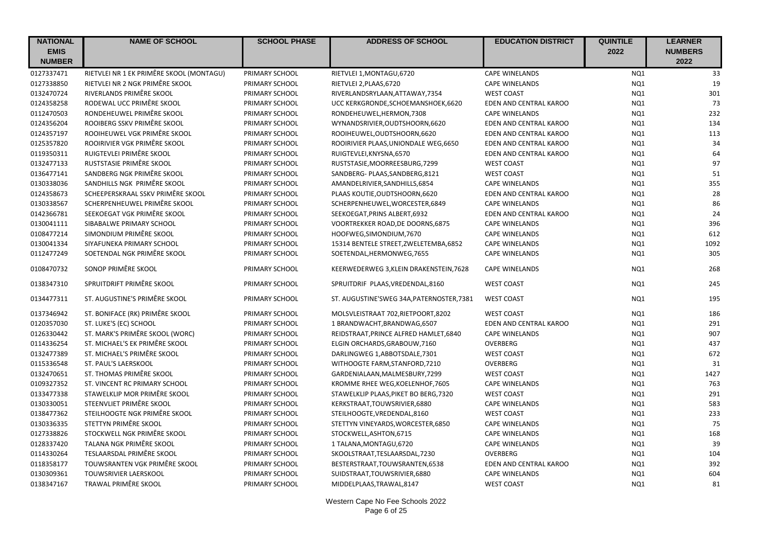| <b>NATIONAL</b> | <b>NAME OF SCHOOL</b>                    | <b>SCHOOL PHASE</b> | <b>ADDRESS OF SCHOOL</b>                  | <b>EDUCATION DISTRICT</b> | <b>QUINTILE</b> | <b>LEARNER</b> |
|-----------------|------------------------------------------|---------------------|-------------------------------------------|---------------------------|-----------------|----------------|
| <b>EMIS</b>     |                                          |                     |                                           |                           | 2022            | <b>NUMBERS</b> |
| <b>NUMBER</b>   |                                          |                     |                                           |                           |                 | 2022           |
| 0127337471      | RIETVLEI NR 1 EK PRIMÊRE SKOOL (MONTAGU) | PRIMARY SCHOOL      | RIETVLEI 1, MONTAGU, 6720                 | <b>CAPE WINELANDS</b>     | NQ1             | 33             |
| 0127338850      | RIETVLEI NR 2 NGK PRIMÊRE SKOOL          | PRIMARY SCHOOL      | RIETVLEI 2, PLAAS, 6720                   | <b>CAPE WINELANDS</b>     | NQ1             | 19             |
| 0132470724      | RIVERLANDS PRIMÊRE SKOOL                 | PRIMARY SCHOOL      | RIVERLANDSRYLAAN, ATTAWAY, 7354           | <b>WEST COAST</b>         | NQ1             | 301            |
| 0124358258      | RODEWAL UCC PRIMÊRE SKOOL                | PRIMARY SCHOOL      | UCC KERKGRONDE, SCHOEMANSHOEK, 6620       | EDEN AND CENTRAL KAROO    | NQ1             | 73             |
| 0112470503      | RONDEHEUWEL PRIMÊRE SKOOL                | PRIMARY SCHOOL      | RONDEHEUWEL, HERMON, 7308                 | <b>CAPE WINELANDS</b>     | NQ1             | 232            |
| 0124356204      | ROOIBERG SSKV PRIMÊRE SKOOL              | PRIMARY SCHOOL      | WYNANDSRIVIER, OUDTSHOORN, 6620           | EDEN AND CENTRAL KAROO    | NQ1             | 134            |
| 0124357197      | ROOIHEUWEL VGK PRIMÊRE SKOOL             | PRIMARY SCHOOL      | ROOIHEUWEL, OUDTSHOORN, 6620              | EDEN AND CENTRAL KAROO    | NQ1             | 113            |
| 0125357820      | ROOIRIVIER VGK PRIMÊRE SKOOL             | PRIMARY SCHOOL      | ROOIRIVIER PLAAS, UNIONDALE WEG, 6650     | EDEN AND CENTRAL KAROO    | NQ1             | 34             |
| 0119350311      | RUIGTEVLEI PRIMÊRE SKOOL                 | PRIMARY SCHOOL      | RUIGTEVLEI, KNYSNA, 6570                  | EDEN AND CENTRAL KAROO    | NQ1             | 64             |
| 0132477133      | RUSTSTASIE PRIMÊRE SKOOL                 | PRIMARY SCHOOL      | RUSTSTASIE, MOORREESBURG, 7299            | <b>WEST COAST</b>         | NQ1             | 97             |
| 0136477141      | SANDBERG NGK PRIMÊRE SKOOL               | PRIMARY SCHOOL      | SANDBERG- PLAAS, SANDBERG, 8121           | <b>WEST COAST</b>         | NQ1             | 51             |
| 0130338036      | SANDHILLS NGK PRIMÊRE SKOOL              | PRIMARY SCHOOL      | AMANDELRIVIER, SANDHILLS, 6854            | <b>CAPE WINELANDS</b>     | NQ1             | 355            |
| 0124358673      | SCHEEPERSKRAAL SSKV PRIMÊRE SKOOL        | PRIMARY SCHOOL      | PLAAS KOUTIE, OUDTSHOORN, 6620            | EDEN AND CENTRAL KAROO    | NQ1             | 28             |
| 0130338567      | SCHERPENHEUWEL PRIMÊRE SKOOL             | PRIMARY SCHOOL      | SCHERPENHEUWEL, WORCESTER, 6849           | <b>CAPE WINELANDS</b>     | NQ1             | 86             |
| 0142366781      | SEEKOEGAT VGK PRIMÊRE SKOOL              | PRIMARY SCHOOL      | SEEKOEGAT, PRINS ALBERT, 6932             | EDEN AND CENTRAL KAROO    | NQ1             | 24             |
| 0130041111      | SIBABALWE PRIMARY SCHOOL                 | PRIMARY SCHOOL      | VOORTREKKER ROAD, DE DOORNS, 6875         | <b>CAPE WINELANDS</b>     | NQ1             | 396            |
| 0108477214      | SIMONDIUM PRIMÊRE SKOOL                  | PRIMARY SCHOOL      | HOOFWEG, SIMONDIUM, 7670                  | <b>CAPE WINELANDS</b>     | NQ1             | 612            |
| 0130041334      | SIYAFUNEKA PRIMARY SCHOOL                | PRIMARY SCHOOL      | 15314 BENTELE STREET, ZWELETEMBA, 6852    | <b>CAPE WINELANDS</b>     | NQ1             | 1092           |
| 0112477249      | SOETENDAL NGK PRIMÊRE SKOOL              | PRIMARY SCHOOL      | SOETENDAL, HERMONWEG, 7655                | <b>CAPE WINELANDS</b>     | NQ1             | 305            |
| 0108470732      | SONOP PRIMÊRE SKOOL                      | PRIMARY SCHOOL      | KEERWEDERWEG 3, KLEIN DRAKENSTEIN, 7628   | <b>CAPE WINELANDS</b>     | NQ1             | 268            |
| 0138347310      | SPRUITDRIFT PRIMÊRE SKOOL                | PRIMARY SCHOOL      | SPRUITDRIF PLAAS, VREDENDAL, 8160         | <b>WEST COAST</b>         | NQ1             | 245            |
| 0134477311      | ST. AUGUSTINE'S PRIMÊRE SKOOL            | PRIMARY SCHOOL      | ST. AUGUSTINE'SWEG 34A, PATERNOSTER, 7381 | <b>WEST COAST</b>         | NQ1             | 195            |
| 0137346942      | ST. BONIFACE (RK) PRIMÊRE SKOOL          | PRIMARY SCHOOL      | MOLSVLEISTRAAT 702, RIETPOORT, 8202       | <b>WEST COAST</b>         | NQ1             | 186            |
| 0120357030      | ST. LUKE'S (EC) SCHOOL                   | PRIMARY SCHOOL      | 1 BRANDWACHT, BRANDWAG, 6507              | EDEN AND CENTRAL KAROO    | NQ1             | 291            |
| 0126330442      | ST. MARK'S PRIMÊRE SKOOL (WORC)          | PRIMARY SCHOOL      | REIDSTRAAT, PRINCE ALFRED HAMLET, 6840    | <b>CAPE WINELANDS</b>     | NQ1             | 907            |
| 0114336254      | ST. MICHAEL'S EK PRIMÊRE SKOOL           | PRIMARY SCHOOL      | ELGIN ORCHARDS, GRABOUW, 7160             | <b>OVERBERG</b>           | NQ1             | 437            |
| 0132477389      | ST. MICHAEL'S PRIMÊRE SKOOL              | PRIMARY SCHOOL      | DARLINGWEG 1, ABBOTSDALE, 7301            | <b>WEST COAST</b>         | NQ1             | 672            |
| 0115336548      | ST. PAUL'S LAERSKOOL                     | PRIMARY SCHOOL      | WITHOOGTE FARM, STANFORD, 7210            | <b>OVERBERG</b>           | NQ1             | 31             |
| 0132470651      | ST. THOMAS PRIMÊRE SKOOL                 | PRIMARY SCHOOL      | GARDENIALAAN, MALMESBURY, 7299            | <b>WEST COAST</b>         | NQ1             | 1427           |
| 0109327352      | ST. VINCENT RC PRIMARY SCHOOL            | PRIMARY SCHOOL      | KROMME RHEE WEG, KOELENHOF, 7605          | <b>CAPE WINELANDS</b>     | NQ1             | 763            |
| 0133477338      | STAWELKLIP MOR PRIMÊRE SKOOL             | PRIMARY SCHOOL      | STAWELKLIP PLAAS, PIKET BO BERG, 7320     | <b>WEST COAST</b>         | NQ1             | 291            |
| 0130330051      | STEENVLIET PRIMÊRE SKOOL                 | PRIMARY SCHOOL      | KERKSTRAAT, TOUWSRIVIER, 6880             | <b>CAPE WINELANDS</b>     | NQ1             | 583            |
| 0138477362      | STEILHOOGTE NGK PRIMÊRE SKOOL            | PRIMARY SCHOOL      | STEILHOOGTE, VREDENDAL, 8160              | <b>WEST COAST</b>         | NQ1             | 233            |
| 0130336335      | STETTYN PRIMÊRE SKOOL                    | PRIMARY SCHOOL      | STETTYN VINEYARDS, WORCESTER, 6850        | <b>CAPE WINELANDS</b>     | NQ1             | 75             |
| 0127338826      | STOCKWELL NGK PRIMÊRE SKOOL              | PRIMARY SCHOOL      | STOCKWELL, ASHTON, 6715                   | <b>CAPE WINELANDS</b>     | NQ1             | 168            |
| 0128337420      | TALANA NGK PRIMÊRE SKOOL                 | PRIMARY SCHOOL      | 1 TALANA, MONTAGU, 6720                   | <b>CAPE WINELANDS</b>     | NQ1             | 39             |
| 0114330264      | TESLAARSDAL PRIMÊRE SKOOL                | PRIMARY SCHOOL      | SKOOLSTRAAT, TESLAARSDAL, 7230            | <b>OVERBERG</b>           | NQ1             | 104            |
| 0118358177      | TOUWSRANTEN VGK PRIMÊRE SKOOL            | PRIMARY SCHOOL      | BESTERSTRAAT, TOUWSRANTEN, 6538           | EDEN AND CENTRAL KAROO    | NQ1             | 392            |
| 0130309361      | <b>TOUWSRIVIER LAERSKOOL</b>             | PRIMARY SCHOOL      | SUIDSTRAAT, TOUWSRIVIER, 6880             | <b>CAPE WINELANDS</b>     | NQ1             | 604            |
| 0138347167      | TRAWAL PRIMÊRE SKOOL                     | PRIMARY SCHOOL      | MIDDELPLAAS, TRAWAL, 8147                 | <b>WEST COAST</b>         | NQ1             | 81             |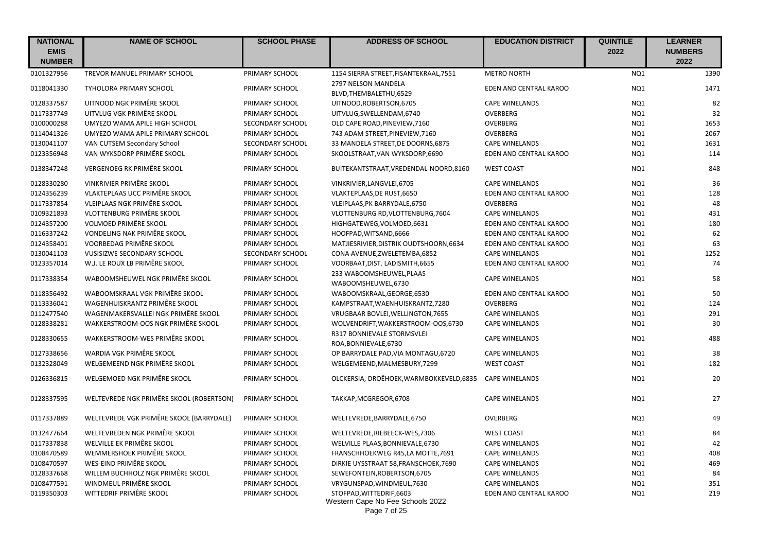| <b>NATIONAL</b><br><b>EMIS</b><br><b>NUMBER</b> | <b>NAME OF SCHOOL</b>                    | <b>SCHOOL PHASE</b> | <b>ADDRESS OF SCHOOL</b>                                                     | <b>EDUCATION DISTRICT</b> | <b>QUINTILE</b><br>2022 | <b>LEARNER</b><br><b>NUMBERS</b><br>2022 |
|-------------------------------------------------|------------------------------------------|---------------------|------------------------------------------------------------------------------|---------------------------|-------------------------|------------------------------------------|
| 0101327956                                      | <b>TREVOR MANUEL PRIMARY SCHOOL</b>      | PRIMARY SCHOOL      | 1154 SIERRA STREET, FISANTEKRAAL, 7551                                       | <b>METRO NORTH</b>        | NQ1                     | 1390                                     |
| 0118041330                                      | TYHOLORA PRIMARY SCHOOL                  | PRIMARY SCHOOL      | 2797 NELSON MANDELA<br>BLVD, THEMBALETHU, 6529                               | EDEN AND CENTRAL KAROO    | NQ1                     | 1471                                     |
| 0128337587                                      | UITNOOD NGK PRIMÊRE SKOOL                | PRIMARY SCHOOL      | UITNOOD, ROBERTSON, 6705                                                     | <b>CAPE WINELANDS</b>     | NQ1                     | 82                                       |
| 0117337749                                      | UITVLUG VGK PRIMÊRE SKOOL                | PRIMARY SCHOOL      | UITVLUG, SWELLENDAM, 6740                                                    | OVERBERG                  | NQ1                     | 32                                       |
| 0100000288                                      | UMYEZO WAMA APILE HIGH SCHOOL            | SECONDARY SCHOOL    | OLD CAPE ROAD, PINEVIEW, 7160                                                | OVERBERG                  | NQ1                     | 1653                                     |
| 0114041326                                      | UMYEZO WAMA APILE PRIMARY SCHOOL         | PRIMARY SCHOOL      | 743 ADAM STREET, PINEVIEW, 7160                                              | OVERBERG                  | NQ1                     | 2067                                     |
| 0130041107                                      | VAN CUTSEM Secondary School              | SECONDARY SCHOOL    | 33 MANDELA STREET, DE DOORNS, 6875                                           | <b>CAPE WINELANDS</b>     | NQ1                     | 1631                                     |
| 0123356948                                      | VAN WYKSDORP PRIMÊRE SKOOL               | PRIMARY SCHOOL      | SKOOLSTRAAT, VAN WYKSDORP, 6690                                              | EDEN AND CENTRAL KAROO    | NQ1                     | 114                                      |
| 0138347248                                      | VERGENOEG RK PRIMÊRE SKOOL               | PRIMARY SCHOOL      | BUITEKANTSTRAAT, VREDENDAL-NOORD, 8160                                       | <b>WEST COAST</b>         | NQ1                     | 848                                      |
| 0128330280                                      | VINKRIVIER PRIMÊRE SKOOL                 | PRIMARY SCHOOL      | VINKRIVIER, LANGVLEI, 6705                                                   | <b>CAPE WINELANDS</b>     | NQ1                     | 36                                       |
| 0124356239                                      | VLAKTEPLAAS UCC PRIMÊRE SKOOL            | PRIMARY SCHOOL      | VLAKTEPLAAS, DE RUST, 6650                                                   | EDEN AND CENTRAL KAROO    | NQ1                     | 128                                      |
| 0117337854                                      | VLEIPLAAS NGK PRIMÊRE SKOOL              | PRIMARY SCHOOL      | VLEIPLAAS, PK BARRYDALE, 6750                                                | <b>OVERBERG</b>           | NQ1                     | 48                                       |
| 0109321893                                      | VLOTTENBURG PRIMÊRE SKOOL                | PRIMARY SCHOOL      | VLOTTENBURG RD, VLOTTENBURG, 7604                                            | <b>CAPE WINELANDS</b>     | NQ1                     | 431                                      |
| 0124357200                                      | VOLMOED PRIMÊRE SKOOL                    | PRIMARY SCHOOL      | HIGHGATEWEG, VOLMOED, 6631                                                   | EDEN AND CENTRAL KAROO    | NQ1                     | 180                                      |
| 0116337242                                      | VONDELING NAK PRIMÊRE SKOOL              | PRIMARY SCHOOL      | HOOFPAD, WITSAND, 6666                                                       | EDEN AND CENTRAL KAROO    | NQ1                     | 62                                       |
| 0124358401                                      | VOORBEDAG PRIMÊRE SKOOL                  | PRIMARY SCHOOL      | MATJIESRIVIER, DISTRIK OUDTSHOORN, 6634                                      | EDEN AND CENTRAL KAROO    | NQ1                     | 63                                       |
| 0130041103                                      | VUSISIZWE SECONDARY SCHOOL               | SECONDARY SCHOOL    | CONA AVENUE, ZWELETEMBA, 6852                                                | <b>CAPE WINELANDS</b>     | NQ1                     | 1252                                     |
| 0123357014                                      | W.J. LE ROUX LB PRIMÊRE SKOOL            | PRIMARY SCHOOL      | VOORBAAT, DIST. LADISMITH, 6655                                              | EDEN AND CENTRAL KAROO    | NQ1                     | 74                                       |
| 0117338354                                      | WABOOMSHEUWEL NGK PRIMÊRE SKOOL          | PRIMARY SCHOOL      | 233 WABOOMSHEUWEL, PLAAS<br>WABOOMSHEUWEL,6730                               | <b>CAPE WINELANDS</b>     | NQ1                     | 58                                       |
| 0118356492                                      | WABOOMSKRAAL VGK PRIMÊRE SKOOL           | PRIMARY SCHOOL      | WABOOMSKRAAL, GEORGE, 6530                                                   | EDEN AND CENTRAL KAROO    | NQ1                     | 50                                       |
| 0113336041                                      | WAGENHUISKRANTZ PRIMÊRE SKOOL            | PRIMARY SCHOOL      | KAMPSTRAAT, WAENHUISKRANTZ, 7280                                             | OVERBERG                  | NQ1                     | 124                                      |
| 0112477540                                      | WAGENMAKERSVALLEI NGK PRIMÊRE SKOOL      | PRIMARY SCHOOL      | VRUGBAAR BOVLEI, WELLINGTON, 7655                                            | <b>CAPE WINELANDS</b>     | NQ1                     | 291                                      |
| 0128338281                                      | WAKKERSTROOM-OOS NGK PRIMÊRE SKOOL       | PRIMARY SCHOOL      | WOLVENDRIFT, WAKKERSTROOM-OOS, 6730                                          | <b>CAPE WINELANDS</b>     | NQ1                     | 30                                       |
| 0128330655                                      | WAKKERSTROOM-WES PRIMÊRE SKOOL           | PRIMARY SCHOOL      | R317 BONNIEVALE STORMSVLEI<br>ROA, BONNIEVALE, 6730                          | <b>CAPE WINELANDS</b>     | NQ1                     | 488                                      |
| 0127338656                                      | WARDIA VGK PRIMÊRE SKOOL                 | PRIMARY SCHOOL      | OP BARRYDALE PAD, VIA MONTAGU, 6720                                          | <b>CAPE WINELANDS</b>     | NQ1                     | 38                                       |
| 0132328049                                      | WELGEMEEND NGK PRIMÊRE SKOOL             | PRIMARY SCHOOL      | WELGEMEEND, MALMESBURY, 7299                                                 | <b>WEST COAST</b>         | NQ1                     | 182                                      |
| 0126336815                                      | WELGEMOED NGK PRIMÊRE SKOOL              | PRIMARY SCHOOL      | OLCKERSIA, DROËHOEK, WARMBOKKEVELD, 6835                                     | <b>CAPE WINELANDS</b>     | NQ1                     | 20                                       |
| 0128337595                                      | WELTEVREDE NGK PRIMÊRE SKOOL (ROBERTSON) | PRIMARY SCHOOL      | TAKKAP, MCGREGOR, 6708                                                       | <b>CAPE WINELANDS</b>     | NQ1                     | 27                                       |
| 0117337889                                      | WELTEVREDE VGK PRIMÊRE SKOOL (BARRYDALE) | PRIMARY SCHOOL      | WELTEVREDE, BARRYDALE, 6750                                                  | OVERBERG                  | NQ1                     | 49                                       |
| 0132477664                                      | WELTEVREDEN NGK PRIMÊRE SKOOL            | PRIMARY SCHOOL      | WELTEVREDE, RIEBEECK-WES, 7306                                               | <b>WEST COAST</b>         | NQ1                     | 84                                       |
| 0117337838                                      | WELVILLE EK PRIMÊRE SKOOL                | PRIMARY SCHOOL      | WELVILLE PLAAS, BONNIEVALE, 6730                                             | <b>CAPE WINELANDS</b>     | NQ1                     | 42                                       |
| 0108470589                                      | WEMMERSHOEK PRIMÊRE SKOOL                | PRIMARY SCHOOL      | FRANSCHHOEKWEG R45,LA MOTTE, 7691                                            | <b>CAPE WINELANDS</b>     | NQ1                     | 408                                      |
| 0108470597                                      | WES-EIND PRIMÊRE SKOOL                   | PRIMARY SCHOOL      | DIRKIE UYSSTRAAT 58, FRANSCHOEK, 7690                                        | <b>CAPE WINELANDS</b>     | NQ1                     | 469                                      |
| 0128337668                                      | WILLEM BUCHHOLZ NGK PRIMÊRE SKOOL        | PRIMARY SCHOOL      | SEWEFONTEIN, ROBERTSON, 6705                                                 | <b>CAPE WINELANDS</b>     | NQ1                     | 84                                       |
| 0108477591                                      | WINDMEUL PRIMÊRE SKOOL                   | PRIMARY SCHOOL      | VRYGUNSPAD, WINDMEUL, 7630                                                   | <b>CAPE WINELANDS</b>     | NQ1                     | 351                                      |
| 0119350303                                      | WITTEDRIF PRIMÊRE SKOOL                  | PRIMARY SCHOOL      | STOFPAD, WITTEDRIF, 6603<br>Western Cape No Fee Schools 2022<br>Page 7 of 25 | EDEN AND CENTRAL KAROO    | NQ1                     | 219                                      |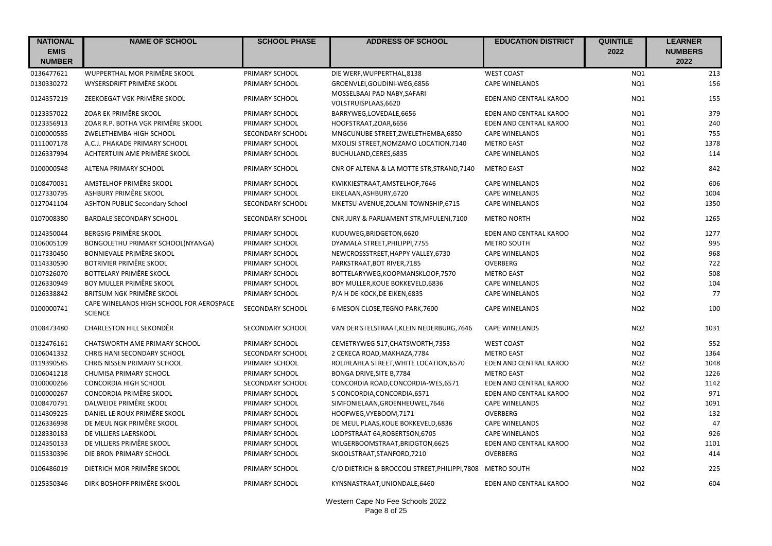| <b>NATIONAL</b><br><b>EMIS</b><br><b>NUMBER</b> | <b>NAME OF SCHOOL</b>                                      | <b>SCHOOL PHASE</b>     | <b>ADDRESS OF SCHOOL</b>                                   | <b>EDUCATION DISTRICT</b> | <b>QUINTILE</b><br>2022 | <b>LEARNER</b><br><b>NUMBERS</b><br>2022 |
|-------------------------------------------------|------------------------------------------------------------|-------------------------|------------------------------------------------------------|---------------------------|-------------------------|------------------------------------------|
| 0136477621                                      | WUPPERTHAL MOR PRIMÊRE SKOOL                               | PRIMARY SCHOOL          | DIE WERF, WUPPERTHAL, 8138                                 | <b>WEST COAST</b>         | NQ1                     | 213                                      |
| 0130330272                                      | WYSERSDRIFT PRIMÊRE SKOOL                                  | PRIMARY SCHOOL          | GROENVLEI, GOUDINI-WEG, 6856                               | <b>CAPE WINELANDS</b>     | NQ1                     | 156                                      |
| 0124357219                                      | ZEEKOEGAT VGK PRIMÊRE SKOOL                                | PRIMARY SCHOOL          | MOSSELBAAI PAD NABY, SAFARI<br>VOLSTRUISPLAAS, 6620        | EDEN AND CENTRAL KAROO    | NQ1                     | 155                                      |
| 0123357022                                      | ZOAR EK PRIMÊRE SKOOL                                      | PRIMARY SCHOOL          | BARRYWEG,LOVEDALE,6656                                     | EDEN AND CENTRAL KAROO    | NQ1                     | 379                                      |
| 0123356913                                      | ZOAR R.P. BOTHA VGK PRIMÊRE SKOOL                          | PRIMARY SCHOOL          | HOOFSTRAAT, ZOAR, 6656                                     | EDEN AND CENTRAL KAROO    | NQ1                     | 240                                      |
| 0100000585                                      | ZWELETHEMBA HIGH SCHOOL                                    | <b>SECONDARY SCHOOL</b> | MNGCUNUBE STREET, ZWELETHEMBA, 6850                        | <b>CAPE WINELANDS</b>     | NQ1                     | 755                                      |
| 0111007178                                      | A.C.J. PHAKADE PRIMARY SCHOOL                              | PRIMARY SCHOOL          | MXOLISI STREET, NOMZAMO LOCATION, 7140                     | <b>METRO EAST</b>         | NQ <sub>2</sub>         | 1378                                     |
| 0126337994                                      | ACHTERTUIN AME PRIMÊRE SKOOL                               | PRIMARY SCHOOL          | BUCHULAND, CERES, 6835                                     | <b>CAPE WINELANDS</b>     | NQ <sub>2</sub>         | 114                                      |
| 0100000548                                      | ALTENA PRIMARY SCHOOL                                      | PRIMARY SCHOOL          | CNR OF ALTENA & LA MOTTE STR, STRAND, 7140                 | <b>METRO EAST</b>         | NQ <sub>2</sub>         | 842                                      |
| 0108470031                                      | AMSTELHOF PRIMÊRE SKOOL                                    | PRIMARY SCHOOL          | KWIKKIESTRAAT, AMSTELHOF, 7646                             | <b>CAPE WINELANDS</b>     | NQ <sub>2</sub>         | 606                                      |
| 0127330795                                      | ASHBURY PRIMÊRE SKOOL                                      | PRIMARY SCHOOL          | EIKELAAN, ASHBURY, 6720                                    | <b>CAPE WINELANDS</b>     | NQ <sub>2</sub>         | 1004                                     |
| 0127041104                                      | <b>ASHTON PUBLIC Secondary School</b>                      | SECONDARY SCHOOL        | MKETSU AVENUE, ZOLANI TOWNSHIP, 6715                       | <b>CAPE WINELANDS</b>     | NQ <sub>2</sub>         | 1350                                     |
| 0107008380                                      | <b>BARDALE SECONDARY SCHOOL</b>                            | SECONDARY SCHOOL        | CNR JURY & PARLIAMENT STR, MFULENI, 7100                   | <b>METRO NORTH</b>        | NQ <sub>2</sub>         | 1265                                     |
| 0124350044                                      | <b>BERGSIG PRIMÊRE SKOOL</b>                               | PRIMARY SCHOOL          | KUDUWEG, BRIDGETON, 6620                                   | EDEN AND CENTRAL KAROO    | NQ <sub>2</sub>         | 1277                                     |
| 0106005109                                      | BONGOLETHU PRIMARY SCHOOL(NYANGA)                          | PRIMARY SCHOOL          | DYAMALA STREET, PHILIPPI, 7755                             | METRO SOUTH               | NQ <sub>2</sub>         | 995                                      |
| 0117330450                                      | BONNIEVALE PRIMÊRE SKOOL                                   | PRIMARY SCHOOL          | NEWCROSSSTREET, HAPPY VALLEY, 6730                         | <b>CAPE WINELANDS</b>     | NQ <sub>2</sub>         | 968                                      |
| 0114330590                                      | BOTRIVIER PRIMÊRE SKOOL                                    | PRIMARY SCHOOL          | PARKSTRAAT, BOT RIVER, 7185                                | OVERBERG                  | NQ <sub>2</sub>         | 722                                      |
| 0107326070                                      | BOTTELARY PRIMÊRE SKOOL                                    | PRIMARY SCHOOL          | BOTTELARYWEG,KOOPMANSKLOOF,7570                            | <b>METRO EAST</b>         | NQ <sub>2</sub>         | 508                                      |
| 0126330949                                      | BOY MULLER PRIMÊRE SKOOL                                   | PRIMARY SCHOOL          | BOY MULLER, KOUE BOKKEVELD, 6836                           | <b>CAPE WINELANDS</b>     | NQ <sub>2</sub>         | 104                                      |
| 0126338842                                      | BRITSUM NGK PRIMÊRE SKOOL                                  | PRIMARY SCHOOL          | P/A H DE KOCK, DE EIKEN, 6835                              | <b>CAPE WINELANDS</b>     | NQ <sub>2</sub>         | 77                                       |
| 0100000741                                      | CAPE WINELANDS HIGH SCHOOL FOR AEROSPACE<br><b>SCIENCE</b> | SECONDARY SCHOOL        | 6 MESON CLOSE, TEGNO PARK, 7600                            | <b>CAPE WINELANDS</b>     | NQ <sub>2</sub>         | 100                                      |
| 0108473480                                      | <b>CHARLESTON HILL SEKONDÊR</b>                            | SECONDARY SCHOOL        | VAN DER STELSTRAAT, KLEIN NEDERBURG, 7646                  | <b>CAPE WINELANDS</b>     | NQ <sub>2</sub>         | 1031                                     |
| 0132476161                                      | CHATSWORTH AME PRIMARY SCHOOL                              | PRIMARY SCHOOL          | CEMETRYWEG 517, CHATSWORTH, 7353                           | <b>WEST COAST</b>         | NQ <sub>2</sub>         | 552                                      |
| 0106041332                                      | CHRIS HANI SECONDARY SCHOOL                                | SECONDARY SCHOOL        | 2 CEKECA ROAD, MAKHAZA, 7784                               | <b>METRO EAST</b>         | NQ <sub>2</sub>         | 1364                                     |
| 0119390585                                      | CHRIS NISSEN PRIMARY SCHOOL                                | PRIMARY SCHOOL          | ROLIHLAHLA STREET, WHITE LOCATION, 6570                    | EDEN AND CENTRAL KAROO    | NQ <sub>2</sub>         | 1048                                     |
| 0106041218                                      | CHUMISA PRIMARY SCHOOL                                     | PRIMARY SCHOOL          | BONGA DRIVE, SITE B, 7784                                  | <b>METRO EAST</b>         | NQ <sub>2</sub>         | 1226                                     |
| 0100000266                                      | CONCORDIA HIGH SCHOOL                                      | SECONDARY SCHOOL        | CONCORDIA ROAD, CONCORDIA-WES, 6571                        | EDEN AND CENTRAL KAROO    | NQ <sub>2</sub>         | 1142                                     |
| 0100000267                                      | CONCORDIA PRIMÊRE SKOOL                                    | PRIMARY SCHOOL          | 5 CONCORDIA, CONCORDIA, 6571                               | EDEN AND CENTRAL KAROO    | NQ <sub>2</sub>         | 971                                      |
| 0108470791                                      | DALWEIDE PRIMÊRE SKOOL                                     | PRIMARY SCHOOL          | SIMFONIELAAN, GROENHEUWEL, 7646                            | <b>CAPE WINELANDS</b>     | NQ <sub>2</sub>         | 1091                                     |
| 0114309225                                      | DANIEL LE ROUX PRIMÊRE SKOOL                               | PRIMARY SCHOOL          | HOOFWEG, VYEBOOM, 7171                                     | OVERBERG                  | NQ <sub>2</sub>         | 132                                      |
| 0126336998                                      | DE MEUL NGK PRIMÊRE SKOOL                                  | PRIMARY SCHOOL          | DE MEUL PLAAS, KOUE BOKKEVELD, 6836                        | <b>CAPE WINELANDS</b>     | NQ <sub>2</sub>         | 47                                       |
| 0128330183                                      | DE VILLIERS LAERSKOOL                                      | PRIMARY SCHOOL          | LOOPSTRAAT 64, ROBERTSON, 6705                             | <b>CAPE WINELANDS</b>     | NQ <sub>2</sub>         | 926                                      |
| 0124350133                                      | DE VILLIERS PRIMÊRE SKOOL                                  | PRIMARY SCHOOL          | WILGERBOOMSTRAAT, BRIDGTON, 6625                           | EDEN AND CENTRAL KAROO    | NQ <sub>2</sub>         | 1101                                     |
| 0115330396                                      | DIE BRON PRIMARY SCHOOL                                    | PRIMARY SCHOOL          | SKOOLSTRAAT, STANFORD, 7210                                | OVERBERG                  | NQ <sub>2</sub>         | 414                                      |
| 0106486019                                      | DIETRICH MOR PRIMÊRE SKOOL                                 | PRIMARY SCHOOL          | C/O DIETRICH & BROCCOLI STREET, PHILIPPI, 7808 METRO SOUTH |                           | NQ <sub>2</sub>         | 225                                      |
| 0125350346                                      | DIRK BOSHOFF PRIMÊRE SKOOL                                 | PRIMARY SCHOOL          | KYNSNASTRAAT, UNIONDALE, 6460                              | EDEN AND CENTRAL KAROO    | NQ <sub>2</sub>         | 604                                      |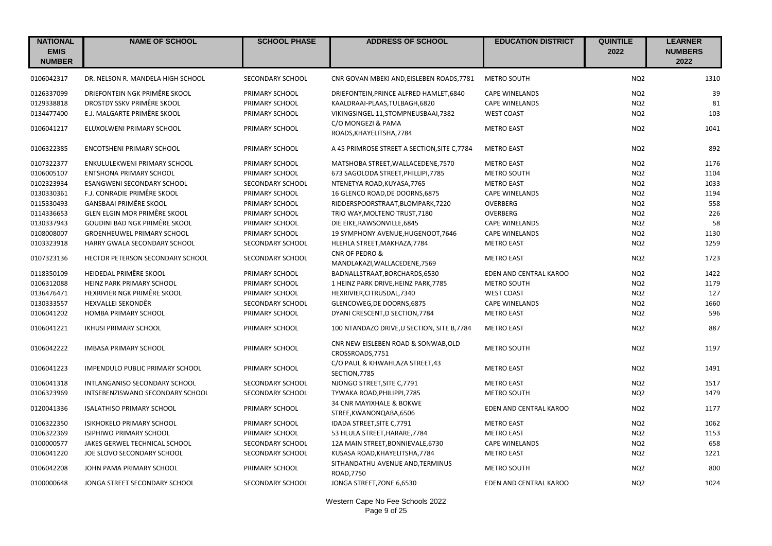| <b>NATIONAL</b><br><b>EMIS</b><br><b>NUMBER</b> | <b>NAME OF SCHOOL</b>             | <b>SCHOOL PHASE</b> | <b>ADDRESS OF SCHOOL</b>                                | <b>EDUCATION DISTRICT</b> | <b>QUINTILE</b><br>2022 | <b>LEARNER</b><br><b>NUMBERS</b><br>2022 |
|-------------------------------------------------|-----------------------------------|---------------------|---------------------------------------------------------|---------------------------|-------------------------|------------------------------------------|
| 0106042317                                      | DR. NELSON R. MANDELA HIGH SCHOOL | SECONDARY SCHOOL    | CNR GOVAN MBEKI AND, EISLEBEN ROADS, 7781               | <b>METRO SOUTH</b>        | NQ <sub>2</sub>         | 1310                                     |
| 0126337099                                      | DRIEFONTEIN NGK PRIMÊRE SKOOL     | PRIMARY SCHOOL      | DRIEFONTEIN, PRINCE ALFRED HAMLET, 6840                 | <b>CAPE WINELANDS</b>     | NQ <sub>2</sub>         | 39                                       |
| 0129338818                                      | DROSTDY SSKV PRIMÊRE SKOOL        | PRIMARY SCHOOL      | KAALDRAAI-PLAAS, TULBAGH, 6820                          | <b>CAPE WINELANDS</b>     | NQ <sub>2</sub>         | 81                                       |
| 0134477400                                      | E.J. MALGARTE PRIMÊRE SKOOL       | PRIMARY SCHOOL      | VIKINGSINGEL 11, STOMPNEUSBAAI, 7382                    | <b>WEST COAST</b>         | NQ <sub>2</sub>         | 103                                      |
| 0106041217                                      | ELUXOLWENI PRIMARY SCHOOL         | PRIMARY SCHOOL      | C/O MONGEZI & PAMA<br>ROADS, KHAYELITSHA, 7784          | <b>METRO EAST</b>         | NQ <sub>2</sub>         | 1041                                     |
| 0106322385                                      | <b>ENCOTSHENI PRIMARY SCHOOL</b>  | PRIMARY SCHOOL      | A 45 PRIMROSE STREET A SECTION, SITE C, 7784            | <b>METRO EAST</b>         | NQ <sub>2</sub>         | 892                                      |
| 0107322377                                      | ENKULULEKWENI PRIMARY SCHOOL      | PRIMARY SCHOOL      | MATSHOBA STREET, WALLACEDENE, 7570                      | <b>METRO EAST</b>         | NQ <sub>2</sub>         | 1176                                     |
| 0106005107                                      | <b>ENTSHONA PRIMARY SCHOOL</b>    | PRIMARY SCHOOL      | 673 SAGOLODA STREET, PHILLIPI, 7785                     | <b>METRO SOUTH</b>        | NQ <sub>2</sub>         | 1104                                     |
| 0102323934                                      | ESANGWENI SECONDARY SCHOOL        | SECONDARY SCHOOL    | NTENETYA ROAD, KUYASA, 7765                             | <b>METRO EAST</b>         | NQ <sub>2</sub>         | 1033                                     |
| 0130330361                                      | F.J. CONRADIE PRIMÊRE SKOOL       | PRIMARY SCHOOL      | 16 GLENCO ROAD, DE DOORNS, 6875                         | <b>CAPE WINELANDS</b>     | NQ <sub>2</sub>         | 1194                                     |
| 0115330493                                      | GANSBAAI PRIMÊRE SKOOL            | PRIMARY SCHOOL      | RIDDERSPOORSTRAAT, BLOMPARK, 7220                       | OVERBERG                  | NQ <sub>2</sub>         | 558                                      |
| 0114336653                                      | GLEN ELGIN MOR PRIMÊRE SKOOL      | PRIMARY SCHOOL      | TRIO WAY, MOLTENO TRUST, 7180                           | OVERBERG                  | NQ <sub>2</sub>         | 226                                      |
| 0130337943                                      | GOUDINI BAD NGK PRIMÊRE SKOOL     | PRIMARY SCHOOL      | DIE EIKE, RAWSONVILLE, 6845                             | <b>CAPE WINELANDS</b>     | NQ <sub>2</sub>         | 58                                       |
| 0108008007                                      | GROENHEUWEL PRIMARY SCHOOL        | PRIMARY SCHOOL      | 19 SYMPHONY AVENUE, HUGENOOT, 7646                      | <b>CAPE WINELANDS</b>     | NQ <sub>2</sub>         | 1130                                     |
| 0103323918                                      | HARRY GWALA SECONDARY SCHOOL      | SECONDARY SCHOOL    | HLEHLA STREET, MAKHAZA, 7784                            | <b>METRO EAST</b>         | NQ <sub>2</sub>         | 1259                                     |
| 0107323136                                      | HECTOR PETERSON SECONDARY SCHOOL  | SECONDARY SCHOOL    | CNR OF PEDRO &<br>MANDLAKAZI, WALLACEDENE, 7569         | <b>METRO EAST</b>         | NQ <sub>2</sub>         | 1723                                     |
| 0118350109                                      | HEIDEDAL PRIMÊRE SKOOL            | PRIMARY SCHOOL      | BADNALLSTRAAT, BORCHARDS, 6530                          | EDEN AND CENTRAL KAROO    | NQ <sub>2</sub>         | 1422                                     |
| 0106312088                                      | HEINZ PARK PRIMARY SCHOOL         | PRIMARY SCHOOL      | 1 HEINZ PARK DRIVE, HEINZ PARK, 7785                    | <b>METRO SOUTH</b>        | NQ <sub>2</sub>         | 1179                                     |
| 0136476471                                      | HEXRIVIER NGK PRIMÊRE SKOOL       | PRIMARY SCHOOL      | HEXRIVIER, CITRUSDAL, 7340                              | <b>WEST COAST</b>         | NQ <sub>2</sub>         | 127                                      |
| 0130333557                                      | HEXVALLEI SEKONDÊR                | SECONDARY SCHOOL    | GLENCOWEG, DE DOORNS, 6875                              | <b>CAPE WINELANDS</b>     | NQ <sub>2</sub>         | 1660                                     |
| 0106041202                                      | <b>HOMBA PRIMARY SCHOOL</b>       | PRIMARY SCHOOL      | DYANI CRESCENT, D SECTION, 7784                         | <b>METRO EAST</b>         | NQ <sub>2</sub>         | 596                                      |
| 0106041221                                      | <b>IKHUSI PRIMARY SCHOOL</b>      | PRIMARY SCHOOL      | 100 NTANDAZO DRIVE, U SECTION, SITE B, 7784             | <b>METRO EAST</b>         | NQ <sub>2</sub>         | 887                                      |
| 0106042222                                      | <b>IMBASA PRIMARY SCHOOL</b>      | PRIMARY SCHOOL      | CNR NEW EISLEBEN ROAD & SONWAB, OLD<br>CROSSROADS, 7751 | <b>METRO SOUTH</b>        | NQ <sub>2</sub>         | 1197                                     |
| 0106041223                                      | IMPENDULO PUBLIC PRIMARY SCHOOL   | PRIMARY SCHOOL      | C/O PAUL & KHWAHLAZA STREET,43<br>SECTION, 7785         | <b>METRO EAST</b>         | NQ <sub>2</sub>         | 1491                                     |
| 0106041318                                      | INTLANGANISO SECONDARY SCHOOL     | SECONDARY SCHOOL    | NJONGO STREET, SITE C, 7791                             | <b>METRO EAST</b>         | NQ <sub>2</sub>         | 1517                                     |
| 0106323969                                      | INTSEBENZISWANO SECONDARY SCHOOL  | SECONDARY SCHOOL    | TYWAKA ROAD, PHILIPPI, 7785                             | <b>METRO SOUTH</b>        | NQ <sub>2</sub>         | 1479                                     |
| 0120041336                                      | <b>ISALATHISO PRIMARY SCHOOL</b>  | PRIMARY SCHOOL      | 34 CNR MAYIXHALE & BOKWE<br>STREE, KWANONQABA, 6506     | EDEN AND CENTRAL KAROO    | NQ <sub>2</sub>         | 1177                                     |
| 0106322350                                      | <b>ISIKHOKELO PRIMARY SCHOOL</b>  | PRIMARY SCHOOL      | IDADA STREET, SITE C, 7791                              | <b>METRO EAST</b>         | NQ <sub>2</sub>         | 1062                                     |
| 0106322369                                      | <b>ISIPHIWO PRIMARY SCHOOL</b>    | PRIMARY SCHOOL      | 53 HLULA STREET, HARARE, 7784                           | <b>METRO EAST</b>         | NQ <sub>2</sub>         | 1153                                     |
| 0100000577                                      | JAKES GERWEL TECHNICAL SCHOOL     | SECONDARY SCHOOL    | 12A MAIN STREET, BONNIEVALE, 6730                       | <b>CAPE WINELANDS</b>     | NQ <sub>2</sub>         | 658                                      |
| 0106041220                                      | JOE SLOVO SECONDARY SCHOOL        | SECONDARY SCHOOL    | KUSASA ROAD, KHAYELITSHA, 7784                          | <b>METRO EAST</b>         | NQ <sub>2</sub>         | 1221                                     |
| 0106042208                                      | JOHN PAMA PRIMARY SCHOOL          | PRIMARY SCHOOL      | SITHANDATHU AVENUE AND, TERMINUS<br>ROAD, 7750          | <b>METRO SOUTH</b>        | NQ <sub>2</sub>         | 800                                      |
| 0100000648                                      | JONGA STREET SECONDARY SCHOOL     | SECONDARY SCHOOL    | JONGA STREET, ZONE 6,6530                               | EDEN AND CENTRAL KAROO    | NQ <sub>2</sub>         | 1024                                     |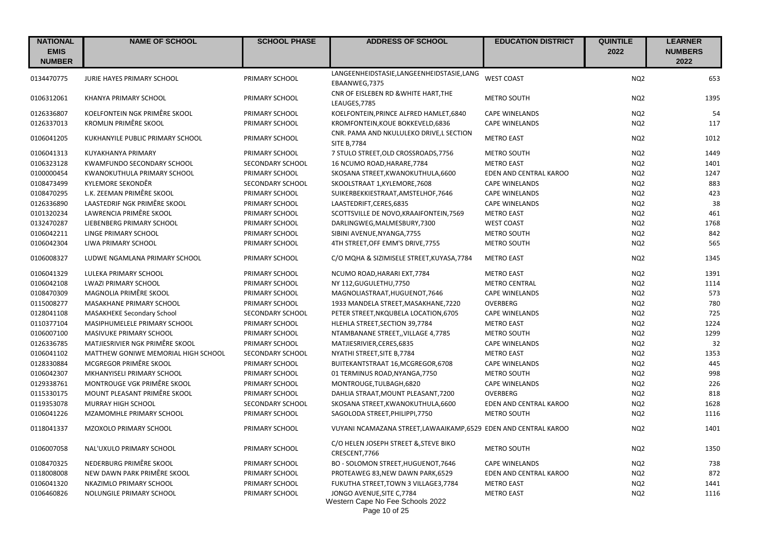| <b>NATIONAL</b><br><b>EMIS</b><br><b>NUMBER</b> | <b>NAME OF SCHOOL</b>               | <b>SCHOOL PHASE</b> | <b>ADDRESS OF SCHOOL</b>                                                        | <b>EDUCATION DISTRICT</b> | <b>QUINTILE</b><br>2022 | <b>LEARNER</b><br><b>NUMBERS</b><br>2022 |
|-------------------------------------------------|-------------------------------------|---------------------|---------------------------------------------------------------------------------|---------------------------|-------------------------|------------------------------------------|
| 0134470775                                      | <b>JURIE HAYES PRIMARY SCHOOL</b>   | PRIMARY SCHOOL      | LANGEENHEIDSTASIE,LANGEENHEIDSTASIE,LANG<br>EBAANWEG,7375                       | <b>WEST COAST</b>         | NO <sub>2</sub>         | 653                                      |
| 0106312061                                      | KHANYA PRIMARY SCHOOL               | PRIMARY SCHOOL      | CNR OF EISLEBEN RD & WHITE HART, THE<br>LEAUGES, 7785                           | METRO SOUTH               | NQ <sub>2</sub>         | 1395                                     |
| 0126336807                                      | KOELFONTEIN NGK PRIMÊRE SKOOL       | PRIMARY SCHOOL      | KOELFONTEIN, PRINCE ALFRED HAMLET, 6840                                         | <b>CAPE WINELANDS</b>     | NQ <sub>2</sub>         | 54                                       |
| 0126337013                                      | KROMLIN PRIMÊRE SKOOL               | PRIMARY SCHOOL      | KROMFONTEIN, KOUE BOKKEVELD, 6836                                               | <b>CAPE WINELANDS</b>     | NQ <sub>2</sub>         | 117                                      |
| 0106041205                                      | KUKHANYILE PUBLIC PRIMARY SCHOOL    | PRIMARY SCHOOL      | CNR. PAMA AND NKULULEKO DRIVE,L SECTION<br><b>SITE B,7784</b>                   | <b>METRO EAST</b>         | NQ <sub>2</sub>         | 1012                                     |
| 0106041313                                      | KUYAKHANYA PRIMARY                  | PRIMARY SCHOOL      | 7 STULO STREET, OLD CROSSROADS, 7756                                            | <b>METRO SOUTH</b>        | NQ <sub>2</sub>         | 1449                                     |
| 0106323128                                      | KWAMFUNDO SECONDARY SCHOOL          | SECONDARY SCHOOL    | 16 NCUMO ROAD, HARARE, 7784                                                     | <b>METRO EAST</b>         | NQ <sub>2</sub>         | 1401                                     |
| 0100000454                                      | KWANOKUTHULA PRIMARY SCHOOL         | PRIMARY SCHOOL      | SKOSANA STREET, KWANOKUTHULA, 6600                                              | EDEN AND CENTRAL KAROO    | NQ <sub>2</sub>         | 1247                                     |
| 0108473499                                      | KYLEMORE SEKONDÊR                   | SECONDARY SCHOOL    | SKOOLSTRAAT 1, KYLEMORE, 7608                                                   | <b>CAPE WINELANDS</b>     | NQ <sub>2</sub>         | 883                                      |
| 0108470295                                      | L.K. ZEEMAN PRIMÊRE SKOOL           | PRIMARY SCHOOL      | SUIKERBEKKIESTRAAT, AMSTELHOF, 7646                                             | <b>CAPE WINELANDS</b>     | NQ <sub>2</sub>         | 423                                      |
| 0126336890                                      | LAASTEDRIF NGK PRIMÊRE SKOOL        | PRIMARY SCHOOL      | LAASTEDRIFT,CERES,6835                                                          | <b>CAPE WINELANDS</b>     | NQ <sub>2</sub>         | 38                                       |
| 0101320234                                      | LAWRENCIA PRIMÊRE SKOOL             | PRIMARY SCHOOL      | SCOTTSVILLE DE NOVO, KRAAIFONTEIN, 7569                                         | <b>METRO EAST</b>         | NQ <sub>2</sub>         | 461                                      |
| 0132470287                                      | LIEBENBERG PRIMARY SCHOOL           | PRIMARY SCHOOL      | DARLINGWEG, MALMESBURY, 7300                                                    | <b>WEST COAST</b>         | NQ <sub>2</sub>         | 1768                                     |
| 0106042211                                      | <b>LINGE PRIMARY SCHOOL</b>         | PRIMARY SCHOOL      | SIBINI AVENUE, NYANGA, 7755                                                     | <b>METRO SOUTH</b>        | NQ <sub>2</sub>         | 842                                      |
| 0106042304                                      | LIWA PRIMARY SCHOOL                 | PRIMARY SCHOOL      | 4TH STREET, OFF EMM'S DRIVE, 7755                                               | <b>METRO SOUTH</b>        | NQ <sub>2</sub>         | 565                                      |
| 0106008327                                      | LUDWE NGAMLANA PRIMARY SCHOOL       | PRIMARY SCHOOL      | C/O MQHA & SIZIMISELE STREET, KUYASA, 7784                                      | <b>METRO EAST</b>         | NQ <sub>2</sub>         | 1345                                     |
| 0106041329                                      | LULEKA PRIMARY SCHOOL               | PRIMARY SCHOOL      | NCUMO ROAD, HARARI EXT, 7784                                                    | <b>METRO EAST</b>         | NQ <sub>2</sub>         | 1391                                     |
| 0106042108                                      | <b>LWAZI PRIMARY SCHOOL</b>         | PRIMARY SCHOOL      | NY 112, GUGULETHU, 7750                                                         | <b>METRO CENTRAL</b>      | NQ <sub>2</sub>         | 1114                                     |
| 0108470309                                      | MAGNOLIA PRIMÊRE SKOOL              | PRIMARY SCHOOL      | MAGNOLIASTRAAT, HUGUENOT, 7646                                                  | <b>CAPE WINELANDS</b>     | NQ <sub>2</sub>         | 573                                      |
| 0115008277                                      | MASAKHANE PRIMARY SCHOOL            | PRIMARY SCHOOL      | 1933 MANDELA STREET, MASAKHANE, 7220                                            | OVERBERG                  | NQ <sub>2</sub>         | 780                                      |
| 0128041108                                      | <b>MASAKHEKE Secondary School</b>   | SECONDARY SCHOOL    | PETER STREET, NKQUBELA LOCATION, 6705                                           | <b>CAPE WINELANDS</b>     | NQ <sub>2</sub>         | 725                                      |
| 0110377104                                      | MASIPHUMELELE PRIMARY SCHOOL        | PRIMARY SCHOOL      | HLEHLA STREET, SECTION 39, 7784                                                 | <b>METRO EAST</b>         | NQ <sub>2</sub>         | 1224                                     |
| 0106007100                                      | MASIVUKE PRIMARY SCHOOL             | PRIMARY SCHOOL      | NTAMBANANE STREET,, VILLAGE 4,7785                                              | <b>METRO SOUTH</b>        | NQ <sub>2</sub>         | 1299                                     |
| 0126336785                                      | MATJIESRIVIER NGK PRIMÊRE SKOOL     | PRIMARY SCHOOL      | MATJIESRIVIER, CERES, 6835                                                      | <b>CAPE WINELANDS</b>     | NQ <sub>2</sub>         | 32                                       |
| 0106041102                                      | MATTHEW GONIWE MEMORIAL HIGH SCHOOL | SECONDARY SCHOOL    | NYATHI STREET, SITE B, 7784                                                     | <b>METRO EAST</b>         | NQ <sub>2</sub>         | 1353                                     |
| 0128330884                                      | MCGREGOR PRIMÊRE SKOOL              | PRIMARY SCHOOL      | BUITEKANTSTRAAT 16, MCGREGOR, 6708                                              | <b>CAPE WINELANDS</b>     | NQ <sub>2</sub>         | 445                                      |
| 0106042307                                      | MKHANYISELI PRIMARY SCHOOL          | PRIMARY SCHOOL      | 01 TERMINUS ROAD, NYANGA, 7750                                                  | <b>METRO SOUTH</b>        | NQ <sub>2</sub>         | 998                                      |
| 0129338761                                      | MONTROUGE VGK PRIMÊRE SKOOL         | PRIMARY SCHOOL      | MONTROUGE, TULBAGH, 6820                                                        | <b>CAPE WINELANDS</b>     | NQ <sub>2</sub>         | 226                                      |
| 0115330175                                      | MOUNT PLEASANT PRIMÊRE SKOOL        | PRIMARY SCHOOL      | DAHLIA STRAAT, MOUNT PLEASANT, 7200                                             | <b>OVERBERG</b>           | NQ <sub>2</sub>         | 818                                      |
| 0119353078                                      | <b>MURRAY HIGH SCHOOL</b>           | SECONDARY SCHOOL    | SKOSANA STREET, KWANOKUTHULA, 6600                                              | EDEN AND CENTRAL KAROO    | NQ <sub>2</sub>         | 1628                                     |
| 0106041226                                      | MZAMOMHLE PRIMARY SCHOOL            | PRIMARY SCHOOL      | SAGOLODA STREET, PHILIPPI, 7750                                                 | METRO SOUTH               | NQ <sub>2</sub>         | 1116                                     |
| 0118041337                                      | MZOXOLO PRIMARY SCHOOL              | PRIMARY SCHOOL      | VUYANI NCAMAZANA STREET, LAWAAIKAMP, 6529 EDEN AND CENTRAL KAROO                |                           | NQ <sub>2</sub>         | 1401                                     |
| 0106007058                                      | NAL'UXULO PRIMARY SCHOOL            | PRIMARY SCHOOL      | C/O HELEN JOSEPH STREET & STEVE BIKO<br>CRESCENT, 7766                          | METRO SOUTH               | NQ <sub>2</sub>         | 1350                                     |
| 0108470325                                      | NEDERBURG PRIMÊRE SKOOL             | PRIMARY SCHOOL      | BO - SOLOMON STREET, HUGUENOT, 7646                                             | <b>CAPE WINELANDS</b>     | NQ <sub>2</sub>         | 738                                      |
| 0118008008                                      | NEW DAWN PARK PRIMÊRE SKOOL         | PRIMARY SCHOOL      | PROTEAWEG 83, NEW DAWN PARK, 6529                                               | EDEN AND CENTRAL KAROO    | NQ <sub>2</sub>         | 872                                      |
| 0106041320                                      | NKAZIMLO PRIMARY SCHOOL             | PRIMARY SCHOOL      | FUKUTHA STREET, TOWN 3 VILLAGE3, 7784                                           | <b>METRO EAST</b>         | NQ <sub>2</sub>         | 1441                                     |
| 0106460826                                      | NOLUNGILE PRIMARY SCHOOL            | PRIMARY SCHOOL      | JONGO AVENUE, SITE C, 7784<br>Western Cape No Fee Schools 2022<br>Page 10 of 25 | <b>METRO EAST</b>         | NQ <sub>2</sub>         | 1116                                     |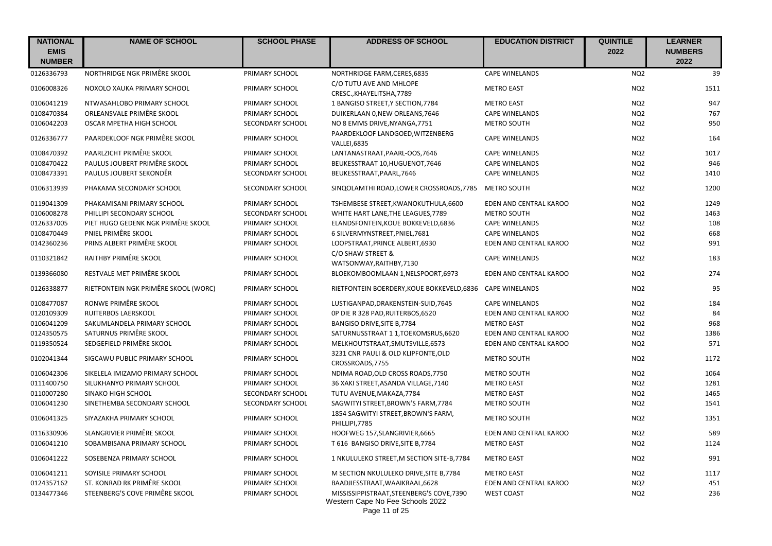| <b>NATIONAL</b><br><b>EMIS</b> | <b>NAME OF SCHOOL</b>                | <b>SCHOOL PHASE</b> | <b>ADDRESS OF SCHOOL</b>                                                      | <b>EDUCATION DISTRICT</b> | <b>QUINTILE</b><br>2022 | <b>LEARNER</b><br><b>NUMBERS</b> |
|--------------------------------|--------------------------------------|---------------------|-------------------------------------------------------------------------------|---------------------------|-------------------------|----------------------------------|
| <b>NUMBER</b>                  |                                      |                     |                                                                               |                           |                         | 2022                             |
| 0126336793                     | NORTHRIDGE NGK PRIMÊRE SKOOL         | PRIMARY SCHOOL      | NORTHRIDGE FARM, CERES, 6835                                                  | <b>CAPE WINELANDS</b>     | NQ <sub>2</sub>         | 39                               |
| 0106008326                     | NOXOLO XAUKA PRIMARY SCHOOL          | PRIMARY SCHOOL      | C/O TUTU AVE AND MHLOPE<br>CRESC., KHAYELITSHA, 7789                          | <b>METRO EAST</b>         | NQ <sub>2</sub>         | 1511                             |
| 0106041219                     | NTWASAHLOBO PRIMARY SCHOOL           | PRIMARY SCHOOL      | 1 BANGISO STREET, Y SECTION, 7784                                             | <b>METRO EAST</b>         | NQ <sub>2</sub>         | 947                              |
| 0108470384                     | ORLEANSVALE PRIMÊRE SKOOL            | PRIMARY SCHOOL      | DUIKERLAAN 0, NEW ORLEANS, 7646                                               | <b>CAPE WINELANDS</b>     | NQ <sub>2</sub>         | 767                              |
| 0106042203                     | OSCAR MPETHA HIGH SCHOOL             | SECONDARY SCHOOL    | NO 8 EMMS DRIVE, NYANGA, 7751                                                 | METRO SOUTH               | NQ <sub>2</sub>         | 950                              |
| 0126336777                     | PAARDEKLOOF NGK PRIMÊRE SKOOL        | PRIMARY SCHOOL      | PAARDEKLOOF LANDGOED, WITZENBERG<br><b>VALLEI.6835</b>                        | <b>CAPE WINELANDS</b>     | NQ <sub>2</sub>         | 164                              |
| 0108470392                     | PAARLZICHT PRIMÊRE SKOOL             | PRIMARY SCHOOL      | LANTANASTRAAT, PAARL-OOS, 7646                                                | <b>CAPE WINELANDS</b>     | NQ <sub>2</sub>         | 1017                             |
| 0108470422                     | PAULUS JOUBERT PRIMÊRE SKOOL         | PRIMARY SCHOOL      | BEUKESSTRAAT 10, HUGUENOT, 7646                                               | <b>CAPE WINELANDS</b>     | NQ <sub>2</sub>         | 946                              |
| 0108473391                     | PAULUS JOUBERT SEKONDÊR              | SECONDARY SCHOOL    | BEUKESSTRAAT, PAARL, 7646                                                     | <b>CAPE WINELANDS</b>     | NQ <sub>2</sub>         | 1410                             |
| 0106313939                     | PHAKAMA SECONDARY SCHOOL             | SECONDARY SCHOOL    | SINQOLAMTHI ROAD, LOWER CROSSROADS, 7785                                      | <b>METRO SOUTH</b>        | NQ <sub>2</sub>         | 1200                             |
| 0119041309                     | PHAKAMISANI PRIMARY SCHOOL           | PRIMARY SCHOOL      | TSHEMBESE STREET, KWANOKUTHULA, 6600                                          | EDEN AND CENTRAL KAROO    | NQ <sub>2</sub>         | 1249                             |
| 0106008278                     | PHILLIPI SECONDARY SCHOOL            | SECONDARY SCHOOL    | WHITE HART LANE, THE LEAGUES, 7789                                            | METRO SOUTH               | NQ <sub>2</sub>         | 1463                             |
| 0126337005                     | PIET HUGO GEDENK NGK PRIMÊRE SKOOL   | PRIMARY SCHOOL      | ELANDSFONTEIN, KOUE BOKKEVELD, 6836                                           | <b>CAPE WINELANDS</b>     | NQ <sub>2</sub>         | 108                              |
| 0108470449                     | PNIEL PRIMÊRE SKOOL                  | PRIMARY SCHOOL      | 6 SILVERMYNSTREET, PNIEL, 7681                                                | <b>CAPE WINELANDS</b>     | NQ <sub>2</sub>         | 668                              |
| 0142360236                     | PRINS ALBERT PRIMÊRE SKOOL           | PRIMARY SCHOOL      | LOOPSTRAAT, PRINCE ALBERT, 6930                                               | EDEN AND CENTRAL KAROO    | NQ <sub>2</sub>         | 991                              |
| 0110321842                     | RAITHBY PRIMÊRE SKOOL                | PRIMARY SCHOOL      | C/O SHAW STREET &<br>WATSONWAY, RAITHBY, 7130                                 | <b>CAPE WINELANDS</b>     | NQ <sub>2</sub>         | 183                              |
| 0139366080                     | RESTVALE MET PRIMÊRE SKOOL           | PRIMARY SCHOOL      | BLOEKOMBOOMLAAN 1, NELSPOORT, 6973                                            | EDEN AND CENTRAL KAROO    | NQ <sub>2</sub>         | 274                              |
| 0126338877                     | RIETFONTEIN NGK PRIMÊRE SKOOL (WORC) | PRIMARY SCHOOL      | RIETFONTEIN BOERDERY, KOUE BOKKEVELD, 6836 CAPE WINELANDS                     |                           | NQ <sub>2</sub>         | 95                               |
| 0108477087                     | RONWE PRIMÊRE SKOOL                  | PRIMARY SCHOOL      | LUSTIGANPAD, DRAKENSTEIN-SUID, 7645                                           | <b>CAPE WINELANDS</b>     | NQ <sub>2</sub>         | 184                              |
| 0120109309                     | RUITERBOS LAERSKOOL                  | PRIMARY SCHOOL      | OP DIE R 328 PAD, RUITERBOS, 6520                                             | EDEN AND CENTRAL KAROO    | NQ <sub>2</sub>         | 84                               |
| 0106041209                     | SAKUMLANDELA PRIMARY SCHOOL          | PRIMARY SCHOOL      | BANGISO DRIVE, SITE B, 7784                                                   | <b>METRO EAST</b>         | NQ <sub>2</sub>         | 968                              |
| 0124350575                     | SATURNUS PRIMÊRE SKOOL               | PRIMARY SCHOOL      | SATURNUSSTRAAT 1 1, TOEKOMSRUS, 6620                                          | EDEN AND CENTRAL KAROO    | NQ <sub>2</sub>         | 1386                             |
| 0119350524                     | SEDGEFIELD PRIMÊRE SKOOL             | PRIMARY SCHOOL      | MELKHOUTSTRAAT, SMUTSVILLE, 6573                                              | EDEN AND CENTRAL KAROO    | NQ <sub>2</sub>         | 571                              |
| 0102041344                     | SIGCAWU PUBLIC PRIMARY SCHOOL        | PRIMARY SCHOOL      | 3231 CNR PAULI & OLD KLIPFONTE, OLD<br>CROSSROADS, 7755                       | <b>METRO SOUTH</b>        | NQ <sub>2</sub>         | 1172                             |
| 0106042306                     | SIKELELA IMIZAMO PRIMARY SCHOOL      | PRIMARY SCHOOL      | NDIMA ROAD, OLD CROSS ROADS, 7750                                             | <b>METRO SOUTH</b>        | NQ <sub>2</sub>         | 1064                             |
| 0111400750                     | SILUKHANYO PRIMARY SCHOOL            | PRIMARY SCHOOL      | 36 XAKI STREET, ASANDA VILLAGE, 7140                                          | <b>METRO EAST</b>         | NQ <sub>2</sub>         | 1281                             |
| 0110007280                     | SINAKO HIGH SCHOOL                   | SECONDARY SCHOOL    | TUTU AVENUE, MAKAZA, 7784                                                     | <b>METRO EAST</b>         | NQ <sub>2</sub>         | 1465                             |
| 0106041230                     | SINETHEMBA SECONDARY SCHOOL          | SECONDARY SCHOOL    | SAGWITYI STREET, BROWN'S FARM, 7784                                           | METRO SOUTH               | NQ <sub>2</sub>         | 1541                             |
| 0106041325                     | SIYAZAKHA PRIMARY SCHOOL             | PRIMARY SCHOOL      | 1854 SAGWITYI STREET, BROWN'S FARM,<br>PHILLIPI, 7785                         | <b>METRO SOUTH</b>        | NQ <sub>2</sub>         | 1351                             |
| 0116330906                     | SLANGRIVIER PRIMÊRE SKOOL            | PRIMARY SCHOOL      | HOOFWEG 157, SLANGRIVIER, 6665                                                | EDEN AND CENTRAL KAROO    | NQ <sub>2</sub>         | 589                              |
| 0106041210                     | SOBAMBISANA PRIMARY SCHOOL           | PRIMARY SCHOOL      | T 616 BANGISO DRIVE, SITE B, 7784                                             | <b>METRO EAST</b>         | NQ <sub>2</sub>         | 1124                             |
| 0106041222                     | SOSEBENZA PRIMARY SCHOOL             | PRIMARY SCHOOL      | 1 NKULULEKO STREET, M SECTION SITE-B, 7784                                    | <b>METRO EAST</b>         | NQ <sub>2</sub>         | 991                              |
| 0106041211                     | SOYISILE PRIMARY SCHOOL              | PRIMARY SCHOOL      | M SECTION NKULULEKO DRIVE, SITE B, 7784                                       | <b>METRO EAST</b>         | NQ <sub>2</sub>         | 1117                             |
| 0124357162                     | ST. KONRAD RK PRIMÊRE SKOOL          | PRIMARY SCHOOL      | BAADJIESSTRAAT, WAAIKRAAL, 6628                                               | EDEN AND CENTRAL KAROO    | NQ <sub>2</sub>         | 451                              |
| 0134477346                     | STEENBERG'S COVE PRIMÊRE SKOOL       | PRIMARY SCHOOL      | MISSISSIPPISTRAAT, STEENBERG'S COVE, 7390<br>Western Cape No Fee Schools 2022 | <b>WEST COAST</b>         | NQ <sub>2</sub>         | 236                              |

Page 11 of 25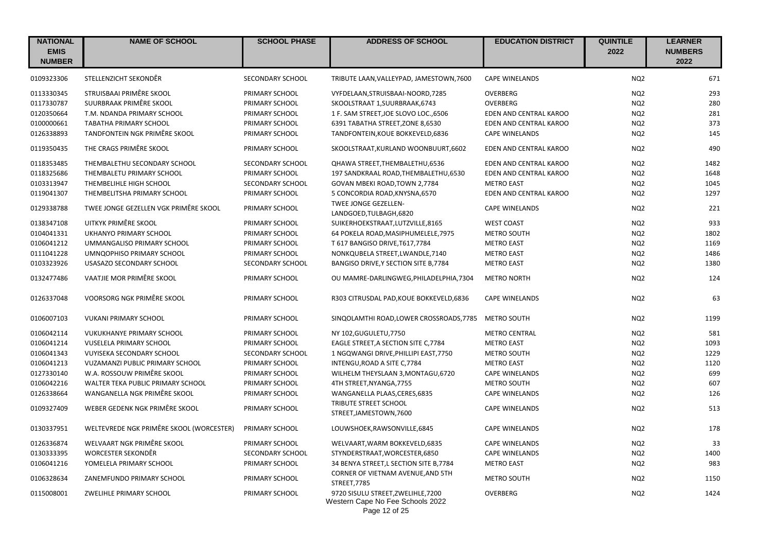| <b>NATIONAL</b><br><b>EMIS</b><br><b>NUMBER</b> | <b>NAME OF SCHOOL</b>                    | <b>SCHOOL PHASE</b>     | <b>ADDRESS OF SCHOOL</b>                                                                | <b>EDUCATION DISTRICT</b> | <b>QUINTILE</b><br>2022 | <b>LEARNER</b><br><b>NUMBERS</b><br>2022 |
|-------------------------------------------------|------------------------------------------|-------------------------|-----------------------------------------------------------------------------------------|---------------------------|-------------------------|------------------------------------------|
| 0109323306                                      | STELLENZICHT SEKONDÊR                    | SECONDARY SCHOOL        | TRIBUTE LAAN, VALLEYPAD, JAMESTOWN, 7600                                                | <b>CAPE WINELANDS</b>     | NQ <sub>2</sub>         | 671                                      |
| 0113330345                                      | STRUISBAAI PRIMÊRE SKOOL                 | PRIMARY SCHOOL          | VYFDELAAN, STRUISBAAI-NOORD, 7285                                                       | OVERBERG                  | NQ <sub>2</sub>         | 293                                      |
| 0117330787                                      | SUURBRAAK PRIMÊRE SKOOL                  | PRIMARY SCHOOL          | SKOOLSTRAAT 1, SUURBRAAK, 6743                                                          | <b>OVERBERG</b>           | NQ <sub>2</sub>         | 280                                      |
| 0120350664                                      | T.M. NDANDA PRIMARY SCHOOL               | PRIMARY SCHOOL          | 1 F. SAM STREET, JOE SLOVO LOC., 6506                                                   | EDEN AND CENTRAL KAROO    | NQ <sub>2</sub>         | 281                                      |
| 0100000661                                      | <b>TABATHA PRIMARY SCHOOL</b>            | PRIMARY SCHOOL          | 6391 TABATHA STREET, ZONE 8,6530                                                        | EDEN AND CENTRAL KAROO    | NQ <sub>2</sub>         | 373                                      |
| 0126338893                                      | TANDFONTEIN NGK PRIMÊRE SKOOL            | PRIMARY SCHOOL          | TANDFONTEIN, KOUE BOKKEVELD, 6836                                                       | <b>CAPE WINELANDS</b>     | NQ <sub>2</sub>         | 145                                      |
| 0119350435                                      | THE CRAGS PRIMÊRE SKOOL                  | PRIMARY SCHOOL          | SKOOLSTRAAT, KURLAND WOONBUURT, 6602                                                    | EDEN AND CENTRAL KAROO    | NQ <sub>2</sub>         | 490                                      |
| 0118353485                                      | THEMBALETHU SECONDARY SCHOOL             | SECONDARY SCHOOL        | QHAWA STREET, THEMBALETHU, 6536                                                         | EDEN AND CENTRAL KAROO    | NQ <sub>2</sub>         | 1482                                     |
| 0118325686                                      | THEMBALETU PRIMARY SCHOOL                | PRIMARY SCHOOL          | 197 SANDKRAAL ROAD, THEMBALETHU, 6530                                                   | EDEN AND CENTRAL KAROO    | NQ <sub>2</sub>         | 1648                                     |
| 0103313947                                      | THEMBELIHLE HIGH SCHOOL                  | SECONDARY SCHOOL        | GOVAN MBEKI ROAD, TOWN 2,7784                                                           | <b>METRO EAST</b>         | NQ <sub>2</sub>         | 1045                                     |
| 0119041307                                      | THEMBELITSHA PRIMARY SCHOOL              | PRIMARY SCHOOL          | 5 CONCORDIA ROAD, KNYSNA, 6570                                                          | EDEN AND CENTRAL KAROO    | NQ <sub>2</sub>         | 1297                                     |
| 0129338788                                      | TWEE JONGE GEZELLEN VGK PRIMÊRE SKOOL    | PRIMARY SCHOOL          | TWEE JONGE GEZELLEN-<br>LANDGOED, TULBAGH, 6820                                         | <b>CAPE WINELANDS</b>     | NQ <sub>2</sub>         | 221                                      |
| 0138347108                                      | UITKYK PRIMÊRE SKOOL                     | PRIMARY SCHOOL          | SUIKERHOEKSTRAAT, LUTZVILLE, 8165                                                       | <b>WEST COAST</b>         | NQ <sub>2</sub>         | 933                                      |
| 0104041331                                      | UKHANYO PRIMARY SCHOOL                   | PRIMARY SCHOOL          | 64 POKELA ROAD, MASIPHUMELELE, 7975                                                     | <b>METRO SOUTH</b>        | NQ <sub>2</sub>         | 1802                                     |
| 0106041212                                      | UMMANGALISO PRIMARY SCHOOL               | PRIMARY SCHOOL          | T 617 BANGISO DRIVE, T617, 7784                                                         | <b>METRO EAST</b>         | NQ <sub>2</sub>         | 1169                                     |
| 0111041228                                      | UMNQOPHISO PRIMARY SCHOOL                | PRIMARY SCHOOL          | NONKQUBELA STREET, LWANDLE, 7140                                                        | <b>METRO EAST</b>         | NQ <sub>2</sub>         | 1486                                     |
| 0103323926                                      | USASAZO SECONDARY SCHOOL                 | <b>SECONDARY SCHOOL</b> | BANGISO DRIVE, Y SECTION SITE B, 7784                                                   | <b>METRO EAST</b>         | NQ <sub>2</sub>         | 1380                                     |
| 0132477486                                      | VAATJIE MOR PRIMÊRE SKOOL                | PRIMARY SCHOOL          | OU MAMRE-DARLINGWEG, PHILADELPHIA, 7304                                                 | <b>METRO NORTH</b>        | NQ <sub>2</sub>         | 124                                      |
| 0126337048                                      | VOORSORG NGK PRIMÊRE SKOOL               | PRIMARY SCHOOL          | R303 CITRUSDAL PAD, KOUE BOKKEVELD, 6836                                                | <b>CAPE WINELANDS</b>     | NQ <sub>2</sub>         | 63                                       |
| 0106007103                                      | <b>VUKANI PRIMARY SCHOOL</b>             | PRIMARY SCHOOL          | SINQOLAMTHI ROAD, LOWER CROSSROADS, 7785                                                | METRO SOUTH               | NQ <sub>2</sub>         | 1199                                     |
| 0106042114                                      | <b>VUKUKHANYE PRIMARY SCHOOL</b>         | PRIMARY SCHOOL          | NY 102, GUGULETU, 7750                                                                  | <b>METRO CENTRAL</b>      | NQ <sub>2</sub>         | 581                                      |
| 0106041214                                      | VUSELELA PRIMARY SCHOOL                  | PRIMARY SCHOOL          | EAGLE STREET, A SECTION SITE C, 7784                                                    | <b>METRO EAST</b>         | NQ <sub>2</sub>         | 1093                                     |
| 0106041343                                      | VUYISEKA SECONDARY SCHOOL                | SECONDARY SCHOOL        | 1 NGQWANGI DRIVE, PHILLIPI EAST, 7750                                                   | <b>METRO SOUTH</b>        | NQ <sub>2</sub>         | 1229                                     |
| 0106041213                                      | VUZAMANZI PUBLIC PRIMARY SCHOOL          | PRIMARY SCHOOL          | INTENGU, ROAD A SITE C, 7784                                                            | <b>METRO EAST</b>         | NQ <sub>2</sub>         | 1120                                     |
| 0127330140                                      | W.A. ROSSOUW PRIMÊRE SKOOL               | PRIMARY SCHOOL          | WILHELM THEYSLAAN 3, MONTAGU, 6720                                                      | <b>CAPE WINELANDS</b>     | NQ <sub>2</sub>         | 699                                      |
| 0106042216                                      | WALTER TEKA PUBLIC PRIMARY SCHOOL        | PRIMARY SCHOOL          | 4TH STREET, NYANGA, 7755                                                                | METRO SOUTH               | NQ <sub>2</sub>         | 607                                      |
| 0126338664                                      | WANGANELLA NGK PRIMÊRE SKOOL             | PRIMARY SCHOOL          | WANGANELLA PLAAS, CERES, 6835                                                           | <b>CAPE WINELANDS</b>     | NQ <sub>2</sub>         | 126                                      |
| 0109327409                                      | WEBER GEDENK NGK PRIMÊRE SKOOL           | PRIMARY SCHOOL          | TRIBUTE STREET SCHOOL<br>STREET, JAMESTOWN, 7600                                        | <b>CAPE WINELANDS</b>     | NQ <sub>2</sub>         | 513                                      |
| 0130337951                                      | WELTEVREDE NGK PRIMÊRE SKOOL (WORCESTER) | PRIMARY SCHOOL          | LOUWSHOEK, RAWSONVILLE, 6845                                                            | <b>CAPE WINELANDS</b>     | NQ <sub>2</sub>         | 178                                      |
| 0126336874                                      | WELVAART NGK PRIMÊRE SKOOL               | PRIMARY SCHOOL          | WELVAART, WARM BOKKEVELD, 6835                                                          | <b>CAPE WINELANDS</b>     | NQ <sub>2</sub>         | 33                                       |
| 0130333395                                      | WORCESTER SEKONDÊR                       | SECONDARY SCHOOL        | STYNDERSTRAAT, WORCESTER, 6850                                                          | <b>CAPE WINELANDS</b>     | NQ <sub>2</sub>         | 1400                                     |
| 0106041216                                      | YOMELELA PRIMARY SCHOOL                  | PRIMARY SCHOOL          | 34 BENYA STREET, L SECTION SITE B, 7784                                                 | <b>METRO EAST</b>         | NQ <sub>2</sub>         | 983                                      |
| 0106328634                                      | ZANEMFUNDO PRIMARY SCHOOL                | PRIMARY SCHOOL          | CORNER OF VIETNAM AVENUE, AND 5TH<br>STREET, 7785                                       | <b>METRO SOUTH</b>        | NQ <sub>2</sub>         | 1150                                     |
| 0115008001                                      | ZWELIHLE PRIMARY SCHOOL                  | PRIMARY SCHOOL          | 9720 SISULU STREET, ZWELIHLE, 7200<br>Western Cape No Fee Schools 2022<br>Page 12 of 25 | OVERBERG                  | NQ <sub>2</sub>         | 1424                                     |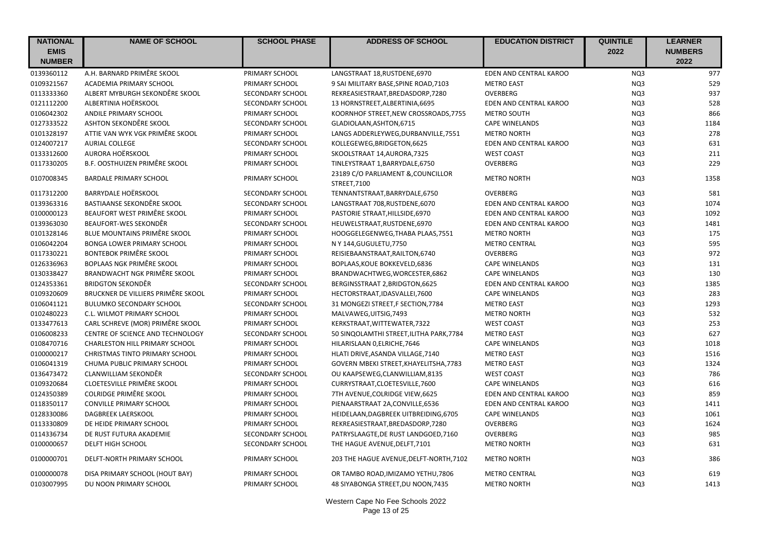| <b>NATIONAL</b> | <b>NAME OF SCHOOL</b>                 | <b>SCHOOL PHASE</b> | <b>ADDRESS OF SCHOOL</b>                          | <b>EDUCATION DISTRICT</b> | <b>QUINTILE</b> | <b>LEARNER</b> |
|-----------------|---------------------------------------|---------------------|---------------------------------------------------|---------------------------|-----------------|----------------|
| <b>EMIS</b>     |                                       |                     |                                                   |                           | 2022            | <b>NUMBERS</b> |
| <b>NUMBER</b>   |                                       |                     |                                                   |                           |                 | 2022           |
| 0139360112      | A.H. BARNARD PRIMÊRE SKOOL            | PRIMARY SCHOOL      | LANGSTRAAT 18, RUSTDENE, 6970                     | EDEN AND CENTRAL KAROO    | NQ3             | 977            |
| 0109321567      | ACADEMIA PRIMARY SCHOOL               | PRIMARY SCHOOL      | 9 SAI MILITARY BASE, SPINE ROAD, 7103             | <b>METRO EAST</b>         | NQ3             | 529            |
| 0113333360      | ALBERT MYBURGH SEKONDÊRE SKOOL        | SECONDARY SCHOOL    | REKREASIESTRAAT, BREDASDORP, 7280                 | <b>OVERBERG</b>           | NQ3             | 937            |
| 0121112200      | ALBERTINIA HOËRSKOOL                  | SECONDARY SCHOOL    | 13 HORNSTREET, ALBERTINIA, 6695                   | EDEN AND CENTRAL KAROO    | NQ3             | 528            |
| 0106042302      | ANDILE PRIMARY SCHOOL                 | PRIMARY SCHOOL      | KOORNHOF STREET, NEW CROSSROADS, 7755             | <b>METRO SOUTH</b>        | NQ3             | 866            |
| 0127333522      | ASHTON SEKONDÊRE SKOOL                | SECONDARY SCHOOL    | GLADIOLAAN, ASHTON, 6715                          | <b>CAPE WINELANDS</b>     | NQ3             | 1184           |
| 0101328197      | ATTIE VAN WYK VGK PRIMÊRE SKOOL       | PRIMARY SCHOOL      | LANGS ADDERLEYWEG, DURBANVILLE, 7551              | <b>METRO NORTH</b>        | NQ3             | 278            |
| 0124007217      | <b>AURIAL COLLEGE</b>                 | SECONDARY SCHOOL    | KOLLEGEWEG, BRIDGETON, 6625                       | EDEN AND CENTRAL KAROO    | NQ3             | 631            |
| 0133312600      | AURORA HOËRSKOOL                      | PRIMARY SCHOOL      | SKOOLSTRAAT 14, AURORA, 7325                      | <b>WEST COAST</b>         | NQ3             | 211            |
| 0117330205      | B.F. OOSTHUIZEN PRIMÊRE SKOOL         | PRIMARY SCHOOL      | TINLEYSTRAAT 1, BARRYDALE, 6750                   | <b>OVERBERG</b>           | NQ3             | 229            |
| 0107008345      | <b>BARDALE PRIMARY SCHOOL</b>         | PRIMARY SCHOOL      | 23189 C/O PARLIAMENT & COUNCILLOR<br>STREET, 7100 | <b>METRO NORTH</b>        | NQ3             | 1358           |
| 0117312200      | BARRYDALE HOËRSKOOL                   | SECONDARY SCHOOL    | TENNANTSTRAAT, BARRYDALE, 6750                    | OVERBERG                  | NQ3             | 581            |
| 0139363316      | BASTIAANSE SEKONDÊRE SKOOL            | SECONDARY SCHOOL    | LANGSTRAAT 708, RUSTDENE, 6070                    | EDEN AND CENTRAL KAROO    | NQ3             | 1074           |
| 0100000123      | BEAUFORT WEST PRIMÊRE SKOOL           | PRIMARY SCHOOL      | PASTORIE STRAAT, HILLSIDE, 6970                   | EDEN AND CENTRAL KAROO    | NQ3             | 1092           |
| 0139363030      | BEAUFORT-WES SEKONDÊR                 | SECONDARY SCHOOL    | HEUWELSTRAAT, RUSTDENE, 6970                      | EDEN AND CENTRAL KAROO    | NQ3             | 1481           |
| 0101328146      | BLUE MOUNTAINS PRIMÊRE SKOOL          | PRIMARY SCHOOL      | HOOGGELEGENWEG, THABA PLAAS, 7551                 | <b>METRO NORTH</b>        | NQ3             | 175            |
| 0106042204      | <b>BONGA LOWER PRIMARY SCHOOL</b>     | PRIMARY SCHOOL      | N Y 144, GUGULETU, 7750                           | <b>METRO CENTRAL</b>      | NQ3             | 595            |
| 0117330221      | <b>BONTEBOK PRIMÊRE SKOOL</b>         | PRIMARY SCHOOL      | REISIEBAANSTRAAT, RAILTON, 6740                   | OVERBERG                  | NQ3             | 972            |
| 0126336963      | BOPLAAS NGK PRIMÊRE SKOOL             | PRIMARY SCHOOL      | BOPLAAS, KOUE BOKKEVELD, 6836                     | <b>CAPE WINELANDS</b>     | NQ3             | 131            |
| 0130338427      | BRANDWACHT NGK PRIMÊRE SKOOL          | PRIMARY SCHOOL      | BRANDWACHTWEG, WORCESTER, 6862                    | <b>CAPE WINELANDS</b>     | NQ3             | 130            |
| 0124353361      | <b>BRIDGTON SEKONDÊR</b>              | SECONDARY SCHOOL    | BERGINSSTRAAT 2, BRIDGTON, 6625                   | EDEN AND CENTRAL KAROO    | NQ3             | 1385           |
| 0109320609      | BRUCKNER DE VILLIERS PRIMÊRE SKOOL    | PRIMARY SCHOOL      | HECTORSTRAAT, IDASVALLEI, 7600                    | <b>CAPE WINELANDS</b>     | NQ3             | 283            |
| 0106041121      | <b>BULUMKO SECONDARY SCHOOL</b>       | SECONDARY SCHOOL    | 31 MONGEZI STREET,F SECTION, 7784                 | <b>METRO EAST</b>         | NQ3             | 1293           |
| 0102480223      | C.L. WILMOT PRIMARY SCHOOL            | PRIMARY SCHOOL      | MALVAWEG, UITSIG, 7493                            | <b>METRO NORTH</b>        | NQ3             | 532            |
| 0133477613      | CARL SCHREVE (MOR) PRIMÊRE SKOOL      | PRIMARY SCHOOL      | KERKSTRAAT, WITTEWATER, 7322                      | <b>WEST COAST</b>         | NQ3             | 253            |
| 0106008233      | CENTRE OF SCIENCE AND TECHNOLOGY      | SECONDARY SCHOOL    | 50 SINQOLAMTHI STREET, ILITHA PARK, 7784          | <b>METRO EAST</b>         | NQ3             | 627            |
| 0108470716      | <b>CHARLESTON HILL PRIMARY SCHOOL</b> | PRIMARY SCHOOL      | HILARISLAAN 0, ELRICHE, 7646                      | <b>CAPE WINELANDS</b>     | NQ3             | 1018           |
| 0100000217      | <b>CHRISTMAS TINTO PRIMARY SCHOOL</b> | PRIMARY SCHOOL      | HLATI DRIVE, ASANDA VILLAGE, 7140                 | <b>METRO EAST</b>         | NQ3             | 1516           |
| 0106041319      | CHUMA PUBLIC PRIMARY SCHOOL           | PRIMARY SCHOOL      | GOVERN MBEKI STREET, KHAYELITSHA, 7783            | <b>METRO EAST</b>         | NQ3             | 1324           |
| 0136473472      | CLANWILLIAM SEKONDÊR                  | SECONDARY SCHOOL    | OU KAAPSEWEG, CLANWILLIAM, 8135                   | <b>WEST COAST</b>         | NQ3             | 786            |
| 0109320684      | CLOETESVILLE PRIMÊRE SKOOL            | PRIMARY SCHOOL      | CURRYSTRAAT, CLOETESVILLE, 7600                   | <b>CAPE WINELANDS</b>     | NQ3             | 616            |
| 0124350389      | COLRIDGE PRIMÊRE SKOOL                | PRIMARY SCHOOL      | 7TH AVENUE, COLRIDGE VIEW, 6625                   | EDEN AND CENTRAL KAROO    | NQ3             | 859            |
| 0118350117      | <b>CONVILLE PRIMARY SCHOOL</b>        | PRIMARY SCHOOL      | PIENAARSTRAAT 2A, CONVILLE, 6536                  | EDEN AND CENTRAL KAROO    | NQ3             | 1411           |
| 0128330086      | DAGBREEK LAERSKOOL                    | PRIMARY SCHOOL      | HEIDELAAN, DAGBREEK UITBREIDING, 6705             | <b>CAPE WINELANDS</b>     | NQ3             | 1061           |
| 0113330809      | DE HEIDE PRIMARY SCHOOL               | PRIMARY SCHOOL      | REKREASIESTRAAT, BREDASDORP, 7280                 | OVERBERG                  | NQ3             | 1624           |
| 0114336734      | DE RUST FUTURA AKADEMIE               | SECONDARY SCHOOL    | PATRYSLAAGTE, DE RUST LANDGOED, 7160              | OVERBERG                  | NQ3             | 985            |
| 0100000657      | DELFT HIGH SCHOOL                     | SECONDARY SCHOOL    | THE HAGUE AVENUE, DELFT, 7101                     | <b>METRO NORTH</b>        | NQ3             | 631            |
| 0100000701      | DELFT-NORTH PRIMARY SCHOOL            | PRIMARY SCHOOL      | 203 THE HAGUE AVENUE, DELFT-NORTH, 7102           | <b>METRO NORTH</b>        | NQ3             | 386            |
| 0100000078      | DISA PRIMARY SCHOOL (HOUT BAY)        | PRIMARY SCHOOL      | OR TAMBO ROAD, IMIZAMO YETHU, 7806                | <b>METRO CENTRAL</b>      | NQ3             | 619            |
| 0103007995      | DU NOON PRIMARY SCHOOL                | PRIMARY SCHOOL      | 48 SIYABONGA STREET, DU NOON, 7435                | <b>METRO NORTH</b>        | NQ3             | 1413           |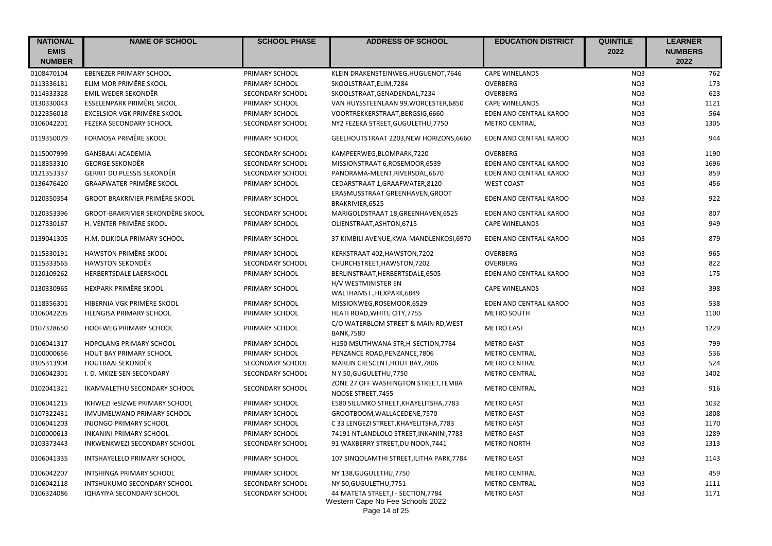| <b>NATIONAL</b> | <b>NAME OF SCHOOL</b>                   | <b>SCHOOL PHASE</b> | <b>ADDRESS OF SCHOOL</b>                                   | <b>EDUCATION DISTRICT</b> | <b>QUINTILE</b> | <b>LEARNER</b> |
|-----------------|-----------------------------------------|---------------------|------------------------------------------------------------|---------------------------|-----------------|----------------|
| <b>EMIS</b>     |                                         |                     |                                                            |                           | 2022            | <b>NUMBERS</b> |
| <b>NUMBER</b>   |                                         |                     |                                                            |                           |                 | 2022           |
| 0108470104      | <b>EBENEZER PRIMARY SCHOOL</b>          | PRIMARY SCHOOL      | KLEIN DRAKENSTEINWEG, HUGUENOT, 7646                       | <b>CAPE WINELANDS</b>     | NQ3             | 762            |
| 0113336181      | ELIM MOR PRIMÊRE SKOOL                  | PRIMARY SCHOOL      | SKOOLSTRAAT, ELIM, 7284                                    | OVERBERG                  | NQ3             | 173            |
| 0114333328      | EMIL WEDER SEKONDÊR                     | SECONDARY SCHOOL    | SKOOLSTRAAT, GENADENDAL, 7234                              | OVERBERG                  | NQ3             | 623            |
| 0130330043      | ESSELENPARK PRIMÊRE SKOOL               | PRIMARY SCHOOL      | VAN HUYSSTEENLAAN 99, WORCESTER, 6850                      | <b>CAPE WINELANDS</b>     | NQ3             | 1121           |
| 0122356018      | EXCELSIOR VGK PRIMÊRE SKOOL             | PRIMARY SCHOOL      | VOORTREKKERSTRAAT, BERGSIG, 6660                           | EDEN AND CENTRAL KAROO    | NQ3             | 564            |
| 0106042201      | FEZEKA SECONDARY SCHOOL                 | SECONDARY SCHOOL    | NY2 FEZEKA STREET, GUGULETHU, 7750                         | <b>METRO CENTRAL</b>      | NQ3             | 1305           |
| 0119350079      | FORMOSA PRIMÊRE SKOOL                   | PRIMARY SCHOOL      | GEELHOUTSTRAAT 2203, NEW HORIZONS, 6660                    | EDEN AND CENTRAL KAROO    | NQ3             | 944            |
| 0115007999      | <b>GANSBAAI ACADEMIA</b>                | SECONDARY SCHOOL    | KAMPEERWEG, BLOMPARK, 7220                                 | <b>OVERBERG</b>           | NQ3             | 1190           |
| 0118353310      | <b>GEORGE SEKONDÊR</b>                  | SECONDARY SCHOOL    | MISSIONSTRAAT 6, ROSEMOOR, 6539                            | EDEN AND CENTRAL KAROO    | NQ3             | 1696           |
| 0121353337      | GERRIT DU PLESSIS SEKONDÊR              | SECONDARY SCHOOL    | PANORAMA-MEENT, RIVERSDAL, 6670                            | EDEN AND CENTRAL KAROO    | NQ3             | 859            |
| 0136476420      | <b>GRAAFWATER PRIMÊRE SKOOL</b>         | PRIMARY SCHOOL      | CEDARSTRAAT 1, GRAAFWATER, 8120                            | <b>WEST COAST</b>         | NQ3             | 456            |
| 0120350354      | <b>GROOT BRAKRIVIER PRIMÊRE SKOOL</b>   | PRIMARY SCHOOL      | ERASMUSSTRAAT GREENHAVEN, GROOT<br>BRAKRIVIER, 6525        | EDEN AND CENTRAL KAROO    | NQ3             | 922            |
| 0120353396      | <b>GROOT-BRAKRIVIER SEKONDÊRE SKOOL</b> | SECONDARY SCHOOL    | MARIGOLDSTRAAT 18, GREENHAVEN, 6525                        | EDEN AND CENTRAL KAROO    | NQ3             | 807            |
| 0127330167      | H. VENTER PRIMÊRE SKOOL                 | PRIMARY SCHOOL      | OLIENSTRAAT, ASHTON, 6715                                  | <b>CAPE WINELANDS</b>     | NQ3             | 949            |
| 0139041305      | H.M. DLIKIDLA PRIMARY SCHOOL            | PRIMARY SCHOOL      | 37 KIMBILI AVENUE.KWA-MANDLENKOSI.6970                     | EDEN AND CENTRAL KAROO    | NQ3             | 879            |
| 0115330191      | <b>HAWSTON PRIMÊRE SKOOL</b>            | PRIMARY SCHOOL      | KERKSTRAAT 402, HAWSTON, 7202                              | OVERBERG                  | NQ3             | 965            |
| 0115333565      | <b>HAWSTON SEKONDÊR</b>                 | SECONDARY SCHOOL    | CHURCHSTREET, HAWSTON, 7202                                | OVERBERG                  | NQ3             | 822            |
| 0120109262      | HERBERTSDALE LAERSKOOL                  | PRIMARY SCHOOL      | BERLINSTRAAT, HERBERTSDALE, 6505                           | EDEN AND CENTRAL KAROO    | NQ3             | 175            |
| 0130330965      | HEXPARK PRIMÊRE SKOOL                   | PRIMARY SCHOOL      | H/V WESTMINISTER EN<br>WALTHAMST., HEXPARK, 6849           | <b>CAPE WINELANDS</b>     | NQ3             | 398            |
| 0118356301      | HIBERNIA VGK PRIMÊRE SKOOL              | PRIMARY SCHOOL      | MISSIONWEG, ROSEMOOR, 6529                                 | EDEN AND CENTRAL KAROO    | NQ3             | 538            |
| 0106042205      | <b>HLENGISA PRIMARY SCHOOL</b>          | PRIMARY SCHOOL      | HLATI ROAD, WHITE CITY, 7755                               | <b>METRO SOUTH</b>        | NQ3             | 1100           |
| 0107328650      | HOOFWEG PRIMARY SCHOOL                  | PRIMARY SCHOOL      | C/O WATERBLOM STREET & MAIN RD, WEST<br><b>BANK,7580</b>   | <b>METRO EAST</b>         | NQ3             | 1229           |
| 0106041317      | HOPOLANG PRIMARY SCHOOL                 | PRIMARY SCHOOL      | H150 MSUTHWANA STR, H-SECTION, 7784                        | <b>METRO EAST</b>         | NQ3             | 799            |
| 0100000656      | <b>HOUT BAY PRIMARY SCHOOL</b>          | PRIMARY SCHOOL      | PENZANCE ROAD, PENZANCE, 7806                              | <b>METRO CENTRAL</b>      | NQ3             | 536            |
| 0105313904      | HOUTBAAI SEKONDÊR                       | SECONDARY SCHOOL    | MARLIN CRESCENT, HOUT BAY, 7806                            | <b>METRO CENTRAL</b>      | NQ3             | 524            |
| 0106042301      | I. D. MKIZE SEN SECONDARY               | SECONDARY SCHOOL    | N Y 50, GUGULETHU, 7750                                    | <b>METRO CENTRAL</b>      | NQ3             | 1402           |
| 0102041321      | IKAMVALETHU SECONDARY SCHOOL            | SECONDARY SCHOOL    | ZONE 27 OFF WASHINGTON STREET, TEMBA<br>NQOSE STREET, 7455 | <b>METRO CENTRAL</b>      | NQ3             | 916            |
| 0106041215      | IKHWEZI JeSIZWE PRIMARY SCHOOL          | PRIMARY SCHOOL      | E580 SILUMKO STREET, KHAYELITSHA, 7783                     | <b>METRO EAST</b>         | NQ3             | 1032           |
| 0107322431      | IMVUMELWANO PRIMARY SCHOOL              | PRIMARY SCHOOL      | GROOTBOOM, WALLACEDENE, 7570                               | <b>METRO EAST</b>         | NQ3             | 1808           |
| 0106041203      | INJONGO PRIMARY SCHOOL                  | PRIMARY SCHOOL      | C 33 LENGEZI STREET, KHAYELITSHA, 7783                     | <b>METRO EAST</b>         | NQ3             | 1170           |
| 0100000613      | INKANINI PRIMARY SCHOOL                 | PRIMARY SCHOOL      | 74191 NTLANDLOLO STREET, INKANINI, 7783                    | <b>METRO EAST</b>         | NQ3             | 1289           |
| 0103373443      | INKWENKWEZI SECONDARY SCHOOL            | SECONDARY SCHOOL    | 91 WAXBERRY STREET, DU NOON, 7441                          | <b>METRO NORTH</b>        | NQ3             | 1313           |
| 0106041335      | INTSHAYELELO PRIMARY SCHOOL             | PRIMARY SCHOOL      | 107 SINQOLAMTHI STREET, ILITHA PARK, 7784                  | <b>METRO EAST</b>         | NQ3             | 1143           |
| 0106042207      | INTSHINGA PRIMARY SCHOOL                | PRIMARY SCHOOL      | NY 138, GUGULETHU, 7750                                    | <b>METRO CENTRAL</b>      | NQ3             | 459            |
| 0106042118      | INTSHUKUMO SECONDARY SCHOOL             | SECONDARY SCHOOL    | NY 50, GUGULETHU, 7751                                     | <b>METRO CENTRAL</b>      | NQ3             | 1111           |
| 0106324086      | IQHAYIYA SECONDARY SCHOOL               | SECONDARY SCHOOL    | 44 MATETA STREET, I - SECTION, 7784                        | <b>METRO EAST</b>         | NQ3             | 1171           |
|                 |                                         |                     | Western Cape No Fee Schools 2022<br>Page 14 of 25          |                           |                 |                |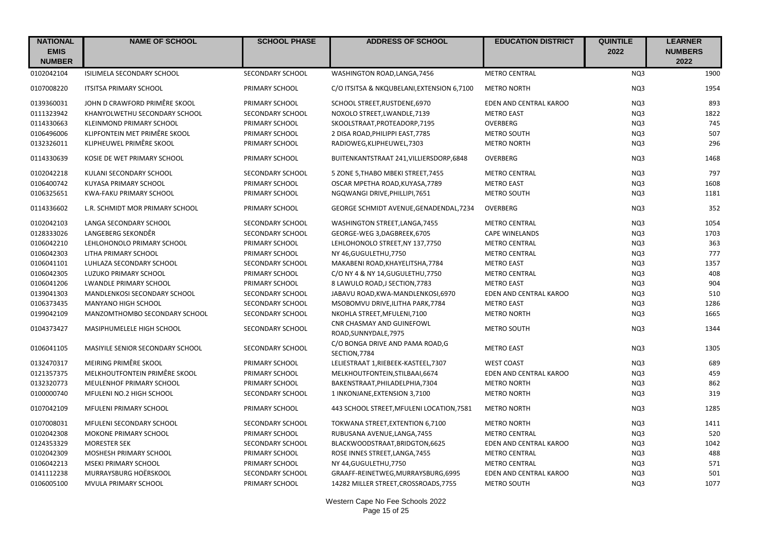| <b>NATIONAL</b><br><b>EMIS</b><br><b>NUMBER</b> | <b>NAME OF SCHOOL</b>            | <b>SCHOOL PHASE</b>     | <b>ADDRESS OF SCHOOL</b>                                  | <b>EDUCATION DISTRICT</b>     | <b>QUINTILE</b><br>2022 | <b>LEARNER</b><br><b>NUMBERS</b><br>2022 |
|-------------------------------------------------|----------------------------------|-------------------------|-----------------------------------------------------------|-------------------------------|-------------------------|------------------------------------------|
| 0102042104                                      | ISILIMELA SECONDARY SCHOOL       | SECONDARY SCHOOL        | WASHINGTON ROAD, LANGA, 7456                              | <b>METRO CENTRAL</b>          | NQ3                     | 1900                                     |
| 0107008220                                      | <b>ITSITSA PRIMARY SCHOOL</b>    | PRIMARY SCHOOL          | C/O ITSITSA & NKQUBELANI, EXTENSION 6,7100                | <b>METRO NORTH</b>            | NQ3                     | 1954                                     |
| 0139360031                                      | JOHN D CRAWFORD PRIMÊRE SKOOL    | PRIMARY SCHOOL          | SCHOOL STREET, RUSTDENE, 6970                             | EDEN AND CENTRAL KAROO        | NQ3                     | 893                                      |
| 0111323942                                      | KHANYOLWETHU SECONDARY SCHOOL    | SECONDARY SCHOOL        | NOXOLO STREET, LWANDLE, 7139                              | <b>METRO EAST</b>             | NQ3                     | 1822                                     |
| 0114330663                                      | KLEINMOND PRIMARY SCHOOL         | PRIMARY SCHOOL          | SKOOLSTRAAT, PROTEADORP, 7195                             | OVERBERG                      | NQ3                     | 745                                      |
| 0106496006                                      | KLIPFONTEIN MET PRIMÊRE SKOOL    | PRIMARY SCHOOL          | 2 DISA ROAD, PHILIPPI EAST, 7785                          | METRO SOUTH                   | NQ3                     | 507                                      |
| 0132326011                                      | KLIPHEUWEL PRIMÊRE SKOOL         | PRIMARY SCHOOL          | RADIOWEG, KLIPHEUWEL, 7303                                | <b>METRO NORTH</b>            | NQ3                     | 296                                      |
| 0114330639                                      | KOSIE DE WET PRIMARY SCHOOL      | PRIMARY SCHOOL          | BUITENKANTSTRAAT 241, VILLIERSDORP, 6848                  | OVERBERG                      | NQ3                     | 1468                                     |
| 0102042218                                      | KULANI SECONDARY SCHOOL          | SECONDARY SCHOOL        | 5 ZONE 5, THABO MBEKI STREET, 7455                        | <b>METRO CENTRAL</b>          | NQ3                     | 797                                      |
| 0106400742                                      | KUYASA PRIMARY SCHOOL            | PRIMARY SCHOOL          | OSCAR MPETHA ROAD, KUYASA, 7789                           | <b>METRO EAST</b>             | NQ3                     | 1608                                     |
| 0106325651                                      | KWA-FAKU PRIMARY SCHOOL          | PRIMARY SCHOOL          | NGQWANGI DRIVE, PHILLIPI, 7651                            | <b>METRO SOUTH</b>            | NQ3                     | 1181                                     |
| 0114336602                                      | L.R. SCHMIDT MOR PRIMARY SCHOOL  | PRIMARY SCHOOL          | GEORGE SCHMIDT AVENUE, GENADENDAL, 7234                   | OVERBERG                      | NQ3                     | 352                                      |
| 0102042103                                      | LANGA SECONDARY SCHOOL           | SECONDARY SCHOOL        | WASHINGTON STREET, LANGA, 7455                            | <b>METRO CENTRAL</b>          | NQ3                     | 1054                                     |
| 0128333026                                      | LANGEBERG SEKONDÊR               | SECONDARY SCHOOL        | GEORGE-WEG 3, DAGBREEK, 6705                              | <b>CAPE WINELANDS</b>         | NQ3                     | 1703                                     |
| 0106042210                                      | LEHLOHONOLO PRIMARY SCHOOL       | PRIMARY SCHOOL          | LEHLOHONOLO STREET, NY 137,7750                           | <b>METRO CENTRAL</b>          | NQ3                     | 363                                      |
| 0106042303                                      | LITHA PRIMARY SCHOOL             | PRIMARY SCHOOL          | NY 46, GUGULETHU, 7750                                    | <b>METRO CENTRAL</b>          | NQ3                     | 777                                      |
| 0106041101                                      | LUHLAZA SECONDARY SCHOOL         | SECONDARY SCHOOL        | MAKABENI ROAD, KHAYELITSHA, 7784                          | <b>METRO EAST</b>             | NQ3                     | 1357                                     |
| 0106042305                                      | LUZUKO PRIMARY SCHOOL            | PRIMARY SCHOOL          | C/O NY 4 & NY 14, GUGULETHU, 7750                         | <b>METRO CENTRAL</b>          | NQ3                     | 408                                      |
| 0106041206                                      | <b>LWANDLE PRIMARY SCHOOL</b>    | PRIMARY SCHOOL          | 8 LAWULO ROAD, J SECTION, 7783                            | <b>METRO EAST</b>             | NQ3                     | 904                                      |
| 0139041303                                      | MANDLENKOSI SECONDARY SCHOOL     | <b>SECONDARY SCHOOL</b> | JABAVU ROAD, KWA-MANDLENKOSI, 6970                        | EDEN AND CENTRAL KAROO        | NQ3                     | 510                                      |
| 0106373435                                      | MANYANO HIGH SCHOOL              | SECONDARY SCHOOL        | MSOBOMVU DRIVE, ILITHA PARK, 7784                         | <b>METRO EAST</b>             | NQ3                     | 1286                                     |
| 0199042109                                      | MANZOMTHOMBO SECONDARY SCHOOL    | SECONDARY SCHOOL        | NKOHLA STREET, MFULENI, 7100                              | <b>METRO NORTH</b>            | NQ3                     | 1665                                     |
| 0104373427                                      | MASIPHUMELELE HIGH SCHOOL        | SECONDARY SCHOOL        | <b>CNR CHASMAY AND GUINEFOWL</b><br>ROAD, SUNNYDALE, 7975 | METRO SOUTH                   | NQ3                     | 1344                                     |
| 0106041105                                      | MASIYILE SENIOR SECONDARY SCHOOL | SECONDARY SCHOOL        | C/O BONGA DRIVE AND PAMA ROAD, G<br>SECTION, 7784         | <b>METRO EAST</b>             | NQ3                     | 1305                                     |
| 0132470317                                      | MEIRING PRIMÊRE SKOOL            | PRIMARY SCHOOL          | LELIESTRAAT 1, RIEBEEK-KASTEEL, 7307                      | <b>WEST COAST</b>             | NQ3                     | 689                                      |
| 0121357375                                      | MELKHOUTFONTEIN PRIMÊRE SKOOL    | PRIMARY SCHOOL          | MELKHOUTFONTEIN, STILBAAI, 6674                           | EDEN AND CENTRAL KAROO        | NQ3                     | 459                                      |
| 0132320773                                      | MEULENHOF PRIMARY SCHOOL         | PRIMARY SCHOOL          | BAKENSTRAAT, PHILADELPHIA, 7304                           | <b>METRO NORTH</b>            | NQ3                     | 862                                      |
| 0100000740                                      | MFULENI NO.2 HIGH SCHOOL         | SECONDARY SCHOOL        | 1 INKONJANE, EXTENSION 3,7100                             | <b>METRO NORTH</b>            | NQ3                     | 319                                      |
| 0107042109                                      | <b>MFULENI PRIMARY SCHOOL</b>    | PRIMARY SCHOOL          | 443 SCHOOL STREET, MFULENI LOCATION, 7581                 | <b>METRO NORTH</b>            | NQ3                     | 1285                                     |
| 0107008031                                      | MFULENI SECONDARY SCHOOL         | SECONDARY SCHOOL        | TOKWANA STREET, EXTENTION 6,7100                          | <b>METRO NORTH</b>            | NQ3                     | 1411                                     |
| 0102042308                                      | MOKONE PRIMARY SCHOOL            | PRIMARY SCHOOL          | RUBUSANA AVENUE, LANGA, 7455                              | <b>METRO CENTRAL</b>          | NQ3                     | 520                                      |
| 0124353329                                      | <b>MORESTER SEK</b>              | SECONDARY SCHOOL        | BLACKWOODSTRAAT, BRIDGTON, 6625                           | EDEN AND CENTRAL KAROO        | NQ3                     | 1042                                     |
| 0102042309                                      | MOSHESH PRIMARY SCHOOL           | PRIMARY SCHOOL          | ROSE INNES STREET, LANGA, 7455                            | <b>METRO CENTRAL</b>          | NQ3                     | 488                                      |
| 0106042213                                      | <b>MSEKI PRIMARY SCHOOL</b>      | PRIMARY SCHOOL          | NY 44, GUGULETHU, 7750                                    | <b>METRO CENTRAL</b>          | NQ3                     | 571                                      |
| 0141112238                                      | MURRAYSBURG HOËRSKOOL            | SECONDARY SCHOOL        | GRAAFF-REINETWEG, MURRAYSBURG, 6995                       | <b>EDEN AND CENTRAL KAROO</b> | NQ3                     | 501                                      |
| 0106005100                                      | MVULA PRIMARY SCHOOL             | PRIMARY SCHOOL          | 14282 MILLER STREET, CROSSROADS, 7755                     | <b>METRO SOUTH</b>            | NQ3                     | 1077                                     |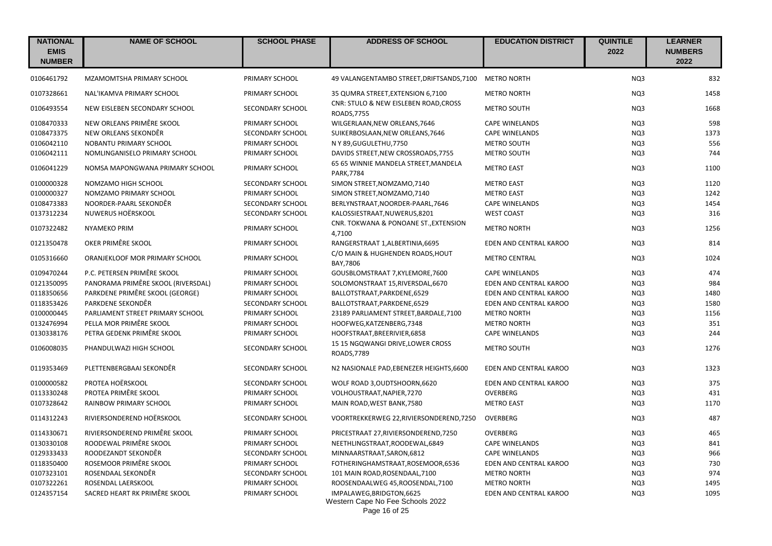| <b>NATIONAL</b><br><b>EMIS</b><br><b>NUMBER</b> | <b>NAME OF SCHOOL</b>              | <b>SCHOOL PHASE</b> | <b>ADDRESS OF SCHOOL</b>                                                       | <b>EDUCATION DISTRICT</b>     | <b>QUINTILE</b><br>2022 | <b>LEARNER</b><br><b>NUMBERS</b><br>2022 |
|-------------------------------------------------|------------------------------------|---------------------|--------------------------------------------------------------------------------|-------------------------------|-------------------------|------------------------------------------|
| 0106461792                                      | MZAMOMTSHA PRIMARY SCHOOL          | PRIMARY SCHOOL      | 49 VALANGENTAMBO STREET, DRIFTSANDS, 7100                                      | <b>METRO NORTH</b>            | NO <sub>3</sub>         | 832                                      |
| 0107328661                                      | NAL'IKAMVA PRIMARY SCHOOL          | PRIMARY SCHOOL      | 35 QUMRA STREET, EXTENSION 6,7100                                              | <b>METRO NORTH</b>            | NQ3                     | 1458                                     |
| 0106493554                                      | NEW EISLEBEN SECONDARY SCHOOL      | SECONDARY SCHOOL    | CNR: STULO & NEW EISLEBEN ROAD, CROSS<br>ROADS, 7755                           | <b>METRO SOUTH</b>            | NQ3                     | 1668                                     |
| 0108470333                                      | NEW ORLEANS PRIMÊRE SKOOL          | PRIMARY SCHOOL      | WILGERLAAN, NEW ORLEANS, 7646                                                  | <b>CAPE WINELANDS</b>         | NQ3                     | 598                                      |
| 0108473375                                      | NEW ORLEANS SEKONDÊR               | SECONDARY SCHOOL    | SUIKERBOSLAAN, NEW ORLEANS, 7646                                               | <b>CAPE WINELANDS</b>         | NQ3                     | 1373                                     |
| 0106042110                                      | NOBANTU PRIMARY SCHOOL             | PRIMARY SCHOOL      | N Y 89, GUGULETHU, 7750                                                        | <b>METRO SOUTH</b>            | NQ3                     | 556                                      |
| 0106042111                                      | NOMLINGANISELO PRIMARY SCHOOL      | PRIMARY SCHOOL      | DAVIDS STREET, NEW CROSSROADS, 7755                                            | <b>METRO SOUTH</b>            | NQ3                     | 744                                      |
| 0106041229                                      | NOMSA MAPONGWANA PRIMARY SCHOOL    | PRIMARY SCHOOL      | 65 65 WINNIE MANDELA STREET, MANDELA<br><b>PARK, 7784</b>                      | <b>METRO EAST</b>             | NQ3                     | 1100                                     |
| 0100000328                                      | NOMZAMO HIGH SCHOOL                | SECONDARY SCHOOL    | SIMON STREET, NOMZAMO, 7140                                                    | <b>METRO EAST</b>             | NQ3                     | 1120                                     |
| 0100000327                                      | NOMZAMO PRIMARY SCHOOL             | PRIMARY SCHOOL      | SIMON STREET, NOMZAMO, 7140                                                    | <b>METRO EAST</b>             | NO <sub>3</sub>         | 1242                                     |
| 0108473383                                      | NOORDER-PAARL SEKONDÊR             | SECONDARY SCHOOL    | BERLYNSTRAAT, NOORDER-PAARL, 7646                                              | <b>CAPE WINELANDS</b>         | NQ3                     | 1454                                     |
| 0137312234                                      | NUWERUS HOËRSKOOL                  | SECONDARY SCHOOL    | KALOSSIESTRAAT, NUWERUS, 8201                                                  | <b>WEST COAST</b>             | NQ3                     | 316                                      |
| 0107322482                                      | <b>NYAMEKO PRIM</b>                | PRIMARY SCHOOL      | CNR. TOKWANA & PONOANE ST., EXTENSION<br>4,7100                                | <b>METRO NORTH</b>            | NQ3                     | 1256                                     |
| 0121350478                                      | OKER PRIMÊRE SKOOL                 | PRIMARY SCHOOL      | RANGERSTRAAT 1, ALBERTINIA, 6695                                               | EDEN AND CENTRAL KAROO        | NQ3                     | 814                                      |
| 0105316660                                      | ORANJEKLOOF MOR PRIMARY SCHOOL     | PRIMARY SCHOOL      | C/O MAIN & HUGHENDEN ROADS, HOUT<br>BAY, 7806                                  | <b>METRO CENTRAL</b>          | NQ3                     | 1024                                     |
| 0109470244                                      | P.C. PETERSEN PRIMÊRE SKOOL        | PRIMARY SCHOOL      | GOUSBLOMSTRAAT 7, KYLEMORE, 7600                                               | <b>CAPE WINELANDS</b>         | NQ3                     | 474                                      |
| 0121350095                                      | PANORAMA PRIMÊRE SKOOL (RIVERSDAL) | PRIMARY SCHOOL      | SOLOMONSTRAAT 15, RIVERSDAL, 6670                                              | EDEN AND CENTRAL KAROO        | NQ3                     | 984                                      |
| 0118350656                                      | PARKDENE PRIMÊRE SKOOL (GEORGE)    | PRIMARY SCHOOL      | BALLOTSTRAAT, PARKDENE, 6529                                                   | EDEN AND CENTRAL KAROO        | NQ3                     | 1480                                     |
| 0118353426                                      | PARKDENE SEKONDÊR                  | SECONDARY SCHOOL    | BALLOTSTRAAT, PARKDENE, 6529                                                   | EDEN AND CENTRAL KAROO        | NQ3                     | 1580                                     |
| 0100000445                                      | PARLIAMENT STREET PRIMARY SCHOOL   | PRIMARY SCHOOL      | 23189 PARLIAMENT STREET, BARDALE, 7100                                         | <b>METRO NORTH</b>            | NQ3                     | 1156                                     |
| 0132476994                                      | PELLA MOR PRIMÊRE SKOOL            | PRIMARY SCHOOL      | HOOFWEG, KATZENBERG, 7348                                                      | <b>METRO NORTH</b>            | NQ3                     | 351                                      |
| 0130338176                                      | PETRA GEDENK PRIMÊRE SKOOL         | PRIMARY SCHOOL      | HOOFSTRAAT, BREERIVIER, 6858                                                   | <b>CAPE WINELANDS</b>         | NQ3                     | 244                                      |
| 0106008035                                      | PHANDULWAZI HIGH SCHOOL            | SECONDARY SCHOOL    | 15 15 NGQWANGI DRIVE, LOWER CROSS<br>ROADS, 7789                               | <b>METRO SOUTH</b>            | NQ3                     | 1276                                     |
| 0119353469                                      | PLETTENBERGBAAI SEKONDÊR           | SECONDARY SCHOOL    | N2 NASIONALE PAD, EBENEZER HEIGHTS, 6600                                       | EDEN AND CENTRAL KAROO        | NQ3                     | 1323                                     |
| 0100000582                                      | PROTEA HOËRSKOOL                   | SECONDARY SCHOOL    | WOLF ROAD 3, OUDTSHOORN, 6620                                                  | EDEN AND CENTRAL KAROO        | NQ3                     | 375                                      |
| 0113330248                                      | PROTEA PRIMÊRE SKOOL               | PRIMARY SCHOOL      | VOLHOUSTRAAT, NAPIER, 7270                                                     | <b>OVERBERG</b>               | NQ3                     | 431                                      |
| 0107328642                                      | RAINBOW PRIMARY SCHOOL             | PRIMARY SCHOOL      | MAIN ROAD, WEST BANK, 7580                                                     | <b>METRO EAST</b>             | NQ3                     | 1170                                     |
| 0114312243                                      | RIVIERSONDEREND HOËRSKOOL          | SECONDARY SCHOOL    | VOORTREKKERWEG 22, RIVIERSONDEREND, 7250                                       | OVERBERG                      | NQ3                     | 487                                      |
| 0114330671                                      | RIVIERSONDEREND PRIMÊRE SKOOL      | PRIMARY SCHOOL      | PRICESTRAAT 27, RIVIERSONDEREND, 7250                                          | OVERBERG                      | NQ3                     | 465                                      |
| 0130330108                                      | ROODEWAL PRIMÊRE SKOOL             | PRIMARY SCHOOL      | NEETHLINGSTRAAT, ROODEWAL, 6849                                                | <b>CAPE WINELANDS</b>         | NQ3                     | 841                                      |
| 0129333433                                      | ROODEZANDT SEKONDÊR                | SECONDARY SCHOOL    | MINNAARSTRAAT, SARON, 6812                                                     | <b>CAPE WINELANDS</b>         | NQ3                     | 966                                      |
| 0118350400                                      | ROSEMOOR PRIMÊRE SKOOL             | PRIMARY SCHOOL      | FOTHERINGHAMSTRAAT, ROSEMOOR, 6536                                             | EDEN AND CENTRAL KAROO        | NQ3                     | 730                                      |
| 0107323101                                      | ROSENDAAL SEKONDÊR                 | SECONDARY SCHOOL    | 101 MAIN ROAD, ROSENDAAL, 7100                                                 | <b>METRO NORTH</b>            | NQ3                     | 974                                      |
| 0107322261                                      | ROSENDAL LAERSKOOL                 | PRIMARY SCHOOL      | ROOSENDAALWEG 45, ROOSENDAL, 7100                                              | <b>METRO NORTH</b>            | NQ3                     | 1495                                     |
| 0124357154                                      | SACRED HEART RK PRIMÊRE SKOOL      | PRIMARY SCHOOL      | IMPALAWEG, BRIDGTON, 6625<br>Western Cape No Fee Schools 2022<br>Page 16 of 25 | <b>EDEN AND CENTRAL KAROO</b> | NQ3                     | 1095                                     |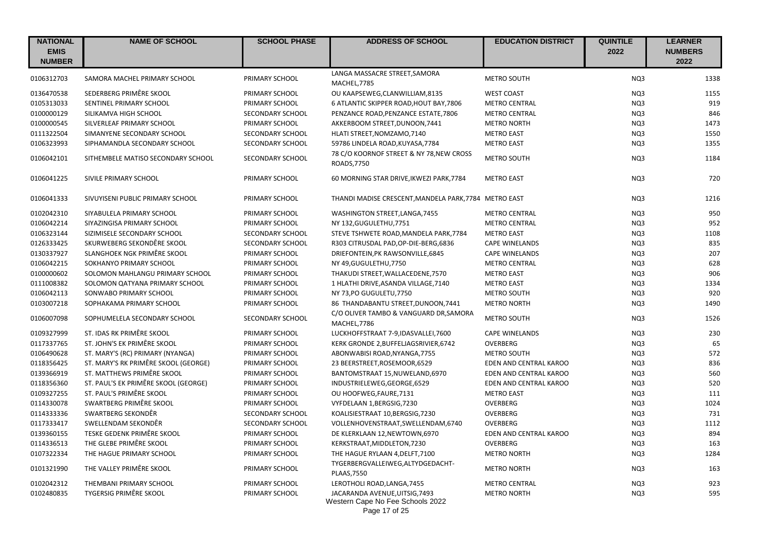| <b>NATIONAL</b><br><b>EMIS</b><br><b>NUMBER</b> | <b>NAME OF SCHOOL</b>                | <b>SCHOOL PHASE</b> | <b>ADDRESS OF SCHOOL</b>                                           | <b>EDUCATION DISTRICT</b> | <b>QUINTILE</b><br>2022 | <b>LEARNER</b><br><b>NUMBERS</b><br>2022 |
|-------------------------------------------------|--------------------------------------|---------------------|--------------------------------------------------------------------|---------------------------|-------------------------|------------------------------------------|
|                                                 |                                      |                     | LANGA MASSACRE STREET, SAMORA                                      |                           |                         |                                          |
| 0106312703                                      | SAMORA MACHEL PRIMARY SCHOOL         | PRIMARY SCHOOL      | MACHEL, 7785                                                       | <b>METRO SOUTH</b>        | NQ3                     | 1338                                     |
| 0136470538                                      | SEDERBERG PRIMÊRE SKOOL              | PRIMARY SCHOOL      | OU KAAPSEWEG, CLANWILLIAM, 8135                                    | <b>WEST COAST</b>         | NQ3                     | 1155                                     |
| 0105313033                                      | SENTINEL PRIMARY SCHOOL              | PRIMARY SCHOOL      | 6 ATLANTIC SKIPPER ROAD, HOUT BAY, 7806                            | <b>METRO CENTRAL</b>      | NQ3                     | 919                                      |
| 0100000129                                      | SILIKAMVA HIGH SCHOOL                | SECONDARY SCHOOL    | PENZANCE ROAD, PENZANCE ESTATE, 7806                               | <b>METRO CENTRAL</b>      | NQ3                     | 846                                      |
| 0100000545                                      | SILVERLEAF PRIMARY SCHOOL            | PRIMARY SCHOOL      | AKKERBOOM STREET, DUNOON, 7441                                     | <b>METRO NORTH</b>        | NQ3                     | 1473                                     |
| 0111322504                                      | SIMANYENE SECONDARY SCHOOL           | SECONDARY SCHOOL    | HLATI STREET, NOMZAMO, 7140                                        | <b>METRO EAST</b>         | NQ3                     | 1550                                     |
| 0106323993                                      | SIPHAMANDLA SECONDARY SCHOOL         | SECONDARY SCHOOL    | 59786 LINDELA ROAD, KUYASA, 7784                                   | <b>METRO EAST</b>         | NQ3                     | 1355                                     |
| 0106042101                                      | SITHEMBELE MATISO SECONDARY SCHOOL   | SECONDARY SCHOOL    | 78 C/O KOORNOF STREET & NY 78, NEW CROSS<br>ROADS, 7750            | <b>METRO SOUTH</b>        | NQ3                     | 1184                                     |
| 0106041225                                      | SIVILE PRIMARY SCHOOL                | PRIMARY SCHOOL      | 60 MORNING STAR DRIVE, IKWEZI PARK, 7784                           | <b>METRO EAST</b>         | NQ3                     | 720                                      |
| 0106041333                                      | SIVUYISENI PUBLIC PRIMARY SCHOOL     | PRIMARY SCHOOL      | THANDI MADISE CRESCENT, MANDELA PARK, 7784 METRO EAST              |                           | NQ3                     | 1216                                     |
| 0102042310                                      | SIYABULELA PRIMARY SCHOOL            | PRIMARY SCHOOL      | WASHINGTON STREET, LANGA, 7455                                     | <b>METRO CENTRAL</b>      | NQ3                     | 950                                      |
| 0106042214                                      | SIYAZINGISA PRIMARY SCHOOL           | PRIMARY SCHOOL      | NY 132, GUGULETHU, 7751                                            | <b>METRO CENTRAL</b>      | NQ3                     | 952                                      |
| 0106323144                                      | SIZIMISELE SECONDARY SCHOOL          | SECONDARY SCHOOL    | STEVE TSHWETE ROAD, MANDELA PARK, 7784                             | <b>METRO EAST</b>         | NQ3                     | 1108                                     |
| 0126333425                                      | SKURWEBERG SEKONDÊRE SKOOL           | SECONDARY SCHOOL    | R303 CITRUSDAL PAD, OP-DIE-BERG, 6836                              | <b>CAPE WINELANDS</b>     | NQ3                     | 835                                      |
| 0130337927                                      | SLANGHOEK NGK PRIMÊRE SKOOL          | PRIMARY SCHOOL      | DRIEFONTEIN, PK RAWSONVILLE, 6845                                  | <b>CAPE WINELANDS</b>     | NQ3                     | 207                                      |
| 0106042215                                      | SOKHANYO PRIMARY SCHOOL              | PRIMARY SCHOOL      | NY 49, GUGULETHU, 7750                                             | <b>METRO CENTRAL</b>      | NQ3                     | 628                                      |
| 0100000602                                      | SOLOMON MAHLANGU PRIMARY SCHOOL      | PRIMARY SCHOOL      | THAKUDI STREET, WALLACEDENE, 7570                                  | <b>METRO EAST</b>         | NQ3                     | 906                                      |
| 0111008382                                      | SOLOMON QATYANA PRIMARY SCHOOL       | PRIMARY SCHOOL      | 1 HLATHI DRIVE, ASANDA VILLAGE, 7140                               | <b>METRO EAST</b>         | NQ3                     | 1334                                     |
| 0106042113                                      | SONWABO PRIMARY SCHOOL               | PRIMARY SCHOOL      | NY 73,PO GUGULETU,7750                                             | METRO SOUTH               | NQ3                     | 920                                      |
| 0103007218                                      | SOPHAKAMA PRIMARY SCHOOL             | PRIMARY SCHOOL      | 86 THANDABANTU STREET, DUNOON, 7441                                | <b>METRO NORTH</b>        | NQ3                     | 1490                                     |
| 0106007098                                      | SOPHUMELELA SECONDARY SCHOOL         | SECONDARY SCHOOL    | C/O OLIVER TAMBO & VANGUARD DR, SAMORA<br>MACHEL, 7786             | <b>METRO SOUTH</b>        | NQ3                     | 1526                                     |
| 0109327999                                      | ST. IDAS RK PRIMÊRE SKOOL            | PRIMARY SCHOOL      | LUCKHOFFSTRAAT 7-9,IDASVALLEI,7600                                 | <b>CAPE WINELANDS</b>     | NQ3                     | 230                                      |
| 0117337765                                      | ST. JOHN'S EK PRIMÊRE SKOOL          | PRIMARY SCHOOL      | KERK GRONDE 2, BUFFELJAGSRIVIER, 6742                              | <b>OVERBERG</b>           | NQ3                     | 65                                       |
| 0106490628                                      | ST. MARY'S (RC) PRIMARY (NYANGA)     | PRIMARY SCHOOL      | ABONWABISI ROAD, NYANGA, 7755                                      | <b>METRO SOUTH</b>        | NQ3                     | 572                                      |
| 0118356425                                      | ST. MARY'S RK PRIMÊRE SKOOL (GEORGE) | PRIMARY SCHOOL      | 23 BEERSTREET, ROSEMOOR, 6529                                      | EDEN AND CENTRAL KAROO    | NQ3                     | 836                                      |
| 0139366919                                      | ST. MATTHEWS PRIMÊRE SKOOL           | PRIMARY SCHOOL      | BANTOMSTRAAT 15, NUWELAND, 6970                                    | EDEN AND CENTRAL KAROO    | NQ3                     | 560                                      |
| 0118356360                                      | ST. PAUL'S EK PRIMÊRE SKOOL (GEORGE) | PRIMARY SCHOOL      | INDUSTRIELEWEG, GEORGE, 6529                                       | EDEN AND CENTRAL KAROO    | NQ3                     | 520                                      |
| 0109327255                                      | ST. PAUL'S PRIMÊRE SKOOL             | PRIMARY SCHOOL      | OU HOOFWEG, FAURE, 7131                                            | <b>METRO EAST</b>         | NQ3                     | 111                                      |
| 0114330078                                      | SWARTBERG PRIMÊRE SKOOL              | PRIMARY SCHOOL      | VYFDELAAN 1, BERGSIG, 7230                                         | OVERBERG                  | NQ3                     | 1024                                     |
| 0114333336                                      | SWARTBERG SEKONDÊR                   | SECONDARY SCHOOL    | KOALISIESTRAAT 10, BERGSIG, 7230                                   | <b>OVERBERG</b>           | NQ3                     | 731                                      |
| 0117333417                                      | SWELLENDAM SEKONDÊR                  | SECONDARY SCHOOL    | VOLLENHOVENSTRAAT, SWELLENDAM, 6740                                | <b>OVERBERG</b>           | NQ3                     | 1112                                     |
| 0139360155                                      | TESKE GEDENK PRIMÊRE SKOOL           | PRIMARY SCHOOL      | DE KLERKLAAN 12, NEWTOWN, 6970                                     | EDEN AND CENTRAL KAROO    | NQ3                     | 894                                      |
| 0114336513                                      | THE GLEBE PRIMÊRE SKOOL              | PRIMARY SCHOOL      | KERKSTRAAT, MIDDLETON, 7230                                        | <b>OVERBERG</b>           | NQ3                     | 163                                      |
| 0107322334                                      | THE HAGUE PRIMARY SCHOOL             | PRIMARY SCHOOL      | THE HAGUE RYLAAN 4, DELFT, 7100                                    | <b>METRO NORTH</b>        | NQ3                     | 1284                                     |
| 0101321990                                      | THE VALLEY PRIMÊRE SKOOL             | PRIMARY SCHOOL      | TYGERBERGVALLEIWEG, ALTYDGEDACHT-<br><b>PLAAS, 7550</b>            | <b>METRO NORTH</b>        | NQ3                     | 163                                      |
| 0102042312                                      | THEMBANI PRIMARY SCHOOL              | PRIMARY SCHOOL      | LEROTHOLI ROAD, LANGA, 7455                                        | <b>METRO CENTRAL</b>      | NQ3                     | 923                                      |
| 0102480835                                      | <b>TYGERSIG PRIMÊRE SKOOL</b>        | PRIMARY SCHOOL      | JACARANDA AVENUE, UITSIG, 7493<br>Western Cape No Fee Schools 2022 | <b>METRO NORTH</b>        | NQ3                     | 595                                      |

Page 17 of 25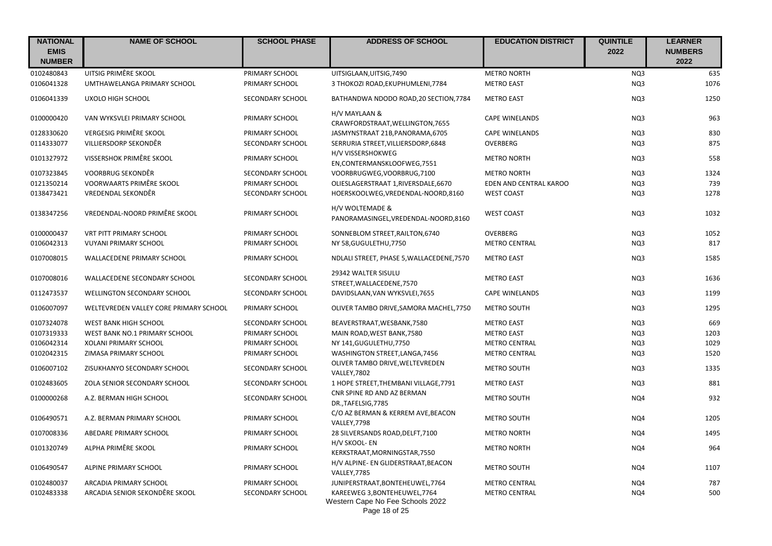| <b>NATIONAL</b><br><b>EMIS</b><br><b>NUMBER</b> | <b>NAME OF SCHOOL</b>                  | <b>SCHOOL PHASE</b> | <b>ADDRESS OF SCHOOL</b>                                                           | <b>EDUCATION DISTRICT</b> | <b>QUINTILE</b><br>2022 | <b>LEARNER</b><br><b>NUMBERS</b><br>2022 |
|-------------------------------------------------|----------------------------------------|---------------------|------------------------------------------------------------------------------------|---------------------------|-------------------------|------------------------------------------|
| 0102480843                                      | UITSIG PRIMÊRE SKOOL                   | PRIMARY SCHOOL      | UITSIGLAAN, UITSIG, 7490                                                           | <b>METRO NORTH</b>        | NQ3                     | 635                                      |
| 0106041328                                      | UMTHAWELANGA PRIMARY SCHOOL            | PRIMARY SCHOOL      | 3 THOKOZI ROAD, EKUPHUMLENI, 7784                                                  | <b>METRO EAST</b>         | NQ3                     | 1076                                     |
| 0106041339                                      | UXOLO HIGH SCHOOL                      | SECONDARY SCHOOL    | BATHANDWA NDODO ROAD, 20 SECTION, 7784                                             | <b>METRO EAST</b>         | NQ3                     | 1250                                     |
| 0100000420                                      | VAN WYKSVLEI PRIMARY SCHOOL            | PRIMARY SCHOOL      | H/V MAYLAAN &<br>CRAWFORDSTRAAT, WELLINGTON, 7655                                  | <b>CAPE WINELANDS</b>     | NQ3                     | 963                                      |
| 0128330620                                      | VERGESIG PRIMÊRE SKOOL                 | PRIMARY SCHOOL      | JASMYNSTRAAT 21B, PANORAMA, 6705                                                   | <b>CAPE WINELANDS</b>     | NQ3                     | 830                                      |
| 0114333077                                      | VILLIERSDORP SEKONDÊR                  | SECONDARY SCHOOL    | SERRURIA STREET, VILLIERSDORP, 6848                                                | OVERBERG                  | NQ3                     | 875                                      |
| 0101327972                                      | VISSERSHOK PRIMÊRE SKOOL               | PRIMARY SCHOOL      | H/V VISSERSHOKWEG<br>EN, CONTERMANSKLOOFWEG, 7551                                  | <b>METRO NORTH</b>        | NQ3                     | 558                                      |
| 0107323845                                      | VOORBRUG SEKONDÊR                      | SECONDARY SCHOOL    | VOORBRUGWEG, VOORBRUG, 7100                                                        | <b>METRO NORTH</b>        | NQ3                     | 1324                                     |
| 0121350214                                      | VOORWAARTS PRIMÊRE SKOOL               | PRIMARY SCHOOL      | OLIESLAGERSTRAAT 1, RIVERSDALE, 6670                                               | EDEN AND CENTRAL KAROO    | NQ3                     | 739                                      |
| 0138473421                                      | VREDENDAL SEKONDÊR                     | SECONDARY SCHOOL    | HOERSKOOLWEG, VREDENDAL-NOORD, 8160                                                | <b>WEST COAST</b>         | NQ3                     | 1278                                     |
| 0138347256                                      | VREDENDAL-NOORD PRIMÊRE SKOOL          | PRIMARY SCHOOL      | H/V WOLTEMADE &<br>PANORAMASINGEL, VREDENDAL-NOORD, 8160                           | <b>WEST COAST</b>         | NQ3                     | 1032                                     |
| 0100000437                                      | <b>VRT PITT PRIMARY SCHOOL</b>         | PRIMARY SCHOOL      | SONNEBLOM STREET, RAILTON, 6740                                                    | <b>OVERBERG</b>           | NQ3                     | 1052                                     |
| 0106042313                                      | VUYANI PRIMARY SCHOOL                  | PRIMARY SCHOOL      | NY 58, GUGULETHU, 7750                                                             | <b>METRO CENTRAL</b>      | NO <sub>3</sub>         | 817                                      |
| 0107008015                                      | WALLACEDENE PRIMARY SCHOOL             | PRIMARY SCHOOL      | NDLALI STREET, PHASE 5, WALLACEDENE, 7570                                          | <b>METRO EAST</b>         | NQ3                     | 1585                                     |
| 0107008016                                      | WALLACEDENE SECONDARY SCHOOL           | SECONDARY SCHOOL    | 29342 WALTER SISULU<br>STREET, WALLACEDENE, 7570                                   | <b>METRO EAST</b>         | NQ3                     | 1636                                     |
| 0112473537                                      | WELLINGTON SECONDARY SCHOOL            | SECONDARY SCHOOL    | DAVIDSLAAN, VAN WYKSVLEI, 7655                                                     | <b>CAPE WINELANDS</b>     | NQ3                     | 1199                                     |
| 0106007097                                      | WELTEVREDEN VALLEY CORE PRIMARY SCHOOL | PRIMARY SCHOOL      | OLIVER TAMBO DRIVE, SAMORA MACHEL, 7750                                            | <b>METRO SOUTH</b>        | NQ3                     | 1295                                     |
| 0107324078                                      | <b>WEST BANK HIGH SCHOOL</b>           | SECONDARY SCHOOL    | BEAVERSTRAAT, WESBANK, 7580                                                        | <b>METRO EAST</b>         | NQ3                     | 669                                      |
| 0107319333                                      | WEST BANK NO.1 PRIMARY SCHOOL          | PRIMARY SCHOOL      | MAIN ROAD, WEST BANK, 7580                                                         | <b>METRO EAST</b>         | NQ3                     | 1203                                     |
| 0106042314                                      | XOLANI PRIMARY SCHOOL                  | PRIMARY SCHOOL      | NY 141, GUGULETHU, 7750                                                            | <b>METRO CENTRAL</b>      | NQ3                     | 1029                                     |
| 0102042315                                      | ZIMASA PRIMARY SCHOOL                  | PRIMARY SCHOOL      | WASHINGTON STREET, LANGA, 7456                                                     | <b>METRO CENTRAL</b>      | NQ3                     | 1520                                     |
| 0106007102                                      | ZISUKHANYO SECONDARY SCHOOL            | SECONDARY SCHOOL    | OLIVER TAMBO DRIVE, WELTEVREDEN<br><b>VALLEY, 7802</b>                             | <b>METRO SOUTH</b>        | NQ3                     | 1335                                     |
| 0102483605                                      | ZOLA SENIOR SECONDARY SCHOOL           | SECONDARY SCHOOL    | 1 HOPE STREET, THEMBANI VILLAGE, 7791                                              | <b>METRO EAST</b>         | NQ3                     | 881                                      |
| 0100000268                                      | A.Z. BERMAN HIGH SCHOOL                | SECONDARY SCHOOL    | CNR SPINE RD AND AZ BERMAN<br>DR., TAFELSIG, 7785                                  | <b>METRO SOUTH</b>        | NQ4                     | 932                                      |
| 0106490571                                      | A.Z. BERMAN PRIMARY SCHOOL             | PRIMARY SCHOOL      | C/O AZ BERMAN & KERREM AVE, BEACON<br>VALLEY, 7798                                 | <b>METRO SOUTH</b>        | NQ4                     | 1205                                     |
| 0107008336                                      | ABEDARE PRIMARY SCHOOL                 | PRIMARY SCHOOL      | 28 SILVERSANDS ROAD, DELFT, 7100                                                   | <b>METRO NORTH</b>        | NQ4                     | 1495                                     |
| 0101320749                                      | ALPHA PRIMÊRE SKOOL                    | PRIMARY SCHOOL      | H/V SKOOL- EN<br>KERKSTRAAT, MORNINGSTAR, 7550                                     | <b>METRO NORTH</b>        | NQ4                     | 964                                      |
| 0106490547                                      | ALPINE PRIMARY SCHOOL                  | PRIMARY SCHOOL      | H/V ALPINE- EN GLIDERSTRAAT, BEACON<br><b>VALLEY, 7785</b>                         | METRO SOUTH               | NQ4                     | 1107                                     |
| 0102480037                                      | ARCADIA PRIMARY SCHOOL                 | PRIMARY SCHOOL      | JUNIPERSTRAAT, BONTEHEUWEL, 7764                                                   | <b>METRO CENTRAL</b>      | NQ4                     | 787                                      |
| 0102483338                                      | ARCADIA SENIOR SEKONDÊRE SKOOL         | SECONDARY SCHOOL    | KAREEWEG 3, BONTEHEUWEL, 7764<br>Western Cape No Fee Schools 2022<br>Page 18 of 25 | <b>METRO CENTRAL</b>      | NQ4                     | 500                                      |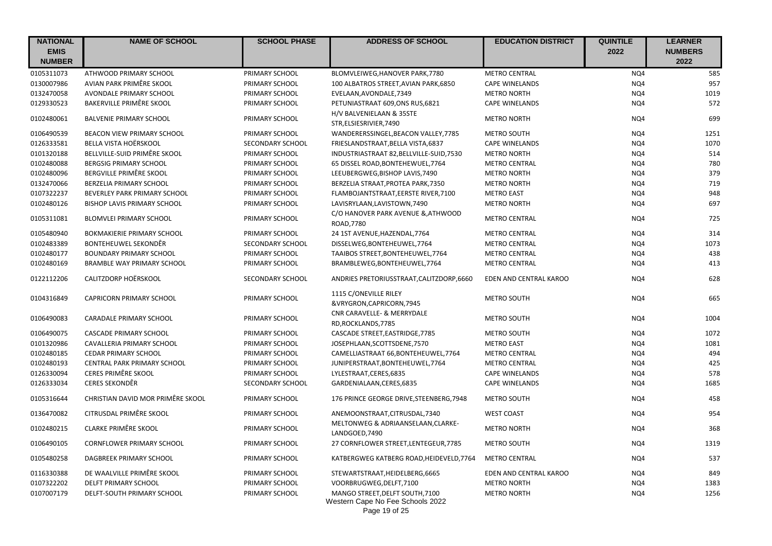| <b>NATIONAL</b><br><b>EMIS</b> | <b>NAME OF SCHOOL</b>              | <b>SCHOOL PHASE</b> | <b>ADDRESS OF SCHOOL</b>                                                             | <b>EDUCATION DISTRICT</b> | <b>QUINTILE</b><br>2022 | <b>LEARNER</b><br><b>NUMBERS</b> |
|--------------------------------|------------------------------------|---------------------|--------------------------------------------------------------------------------------|---------------------------|-------------------------|----------------------------------|
| <b>NUMBER</b>                  |                                    |                     |                                                                                      |                           |                         | 2022                             |
| 0105311073                     | ATHWOOD PRIMARY SCHOOL             | PRIMARY SCHOOL      | BLOMVLEIWEG, HANOVER PARK, 7780                                                      | <b>METRO CENTRAL</b>      | NQ4                     | 585                              |
| 0130007986                     | AVIAN PARK PRIMÊRE SKOOL           | PRIMARY SCHOOL      | 100 ALBATROS STREET, AVIAN PARK, 6850                                                | <b>CAPE WINELANDS</b>     | NQ4                     | 957                              |
| 0132470058                     | AVONDALE PRIMARY SCHOOL            | PRIMARY SCHOOL      | EVELAAN, AVONDALE, 7349                                                              | <b>METRO NORTH</b>        | NQ4                     | 1019                             |
| 0129330523                     | <b>BAKERVILLE PRIMÊRE SKOOL</b>    | PRIMARY SCHOOL      | PETUNIASTRAAT 609,ONS RUS,6821                                                       | <b>CAPE WINELANDS</b>     | NQ4                     | 572                              |
| 0102480061                     | <b>BALVENIE PRIMARY SCHOOL</b>     | PRIMARY SCHOOL      | H/V BALVENIELAAN & 35STE<br>STR, ELSIESRIVIER, 7490                                  | <b>METRO NORTH</b>        | NQ4                     | 699                              |
| 0106490539                     | BEACON VIEW PRIMARY SCHOOL         | PRIMARY SCHOOL      | WANDERERSSINGEL, BEACON VALLEY, 7785                                                 | <b>METRO SOUTH</b>        | NQ4                     | 1251                             |
| 0126333581                     | <b>BELLA VISTA HOËRSKOOL</b>       | SECONDARY SCHOOL    | FRIESLANDSTRAAT, BELLA VISTA, 6837                                                   | <b>CAPE WINELANDS</b>     | NQ4                     | 1070                             |
| 0101320188                     | BELLVILLE-SUID PRIMÊRE SKOOL       | PRIMARY SCHOOL      | INDUSTRIASTRAAT 82, BELLVILLE-SUID, 7530                                             | <b>METRO NORTH</b>        | NQ4                     | 514                              |
| 0102480088                     | <b>BERGSIG PRIMARY SCHOOL</b>      | PRIMARY SCHOOL      | 65 DISSEL ROAD, BONTEHEWUEL, 7764                                                    | <b>METRO CENTRAL</b>      | NQ4                     | 780                              |
| 0102480096                     | BERGVILLE PRIMÊRE SKOOL            | PRIMARY SCHOOL      | LEEUBERGWEG, BISHOP LAVIS, 7490                                                      | <b>METRO NORTH</b>        | NQ4                     | 379                              |
| 0132470066                     | BERZELIA PRIMARY SCHOOL            | PRIMARY SCHOOL      | BERZELIA STRAAT, PROTEA PARK, 7350                                                   | <b>METRO NORTH</b>        | NQ4                     | 719                              |
| 0107322237                     | BEVERLEY PARK PRIMARY SCHOOL       | PRIMARY SCHOOL      | FLAMBOJANTSTRAAT, EERSTE RIVER, 7100                                                 | <b>METRO EAST</b>         | NQ4                     | 948                              |
| 0102480126                     | <b>BISHOP LAVIS PRIMARY SCHOOL</b> | PRIMARY SCHOOL      | LAVISRYLAAN, LAVISTOWN, 7490                                                         | <b>METRO NORTH</b>        | NQ4                     | 697                              |
| 0105311081                     | <b>BLOMVLEI PRIMARY SCHOOL</b>     | PRIMARY SCHOOL      | C/O HANOVER PARK AVENUE & ATHWOOD<br>ROAD, 7780                                      | <b>METRO CENTRAL</b>      | NQ4                     | 725                              |
| 0105480940                     | <b>BOKMAKIERIE PRIMARY SCHOOL</b>  | PRIMARY SCHOOL      | 24 1ST AVENUE, HAZENDAL, 7764                                                        | <b>METRO CENTRAL</b>      | NQ4                     | 314                              |
| 0102483389                     | BONTEHEUWEL SEKONDÊR               | SECONDARY SCHOOL    | DISSELWEG, BONTEHEUWEL, 7764                                                         | <b>METRO CENTRAL</b>      | NQ4                     | 1073                             |
| 0102480177                     | <b>BOUNDARY PRIMARY SCHOOL</b>     | PRIMARY SCHOOL      | TAAIBOS STREET, BONTEHEUWEL, 7764                                                    | <b>METRO CENTRAL</b>      | NQ4                     | 438                              |
| 0102480169                     | <b>BRAMBLE WAY PRIMARY SCHOOL</b>  | PRIMARY SCHOOL      | BRAMBLEWEG, BONTEHEUWEL, 7764                                                        | <b>METRO CENTRAL</b>      | NQ4                     | 413                              |
| 0122112206                     | CALITZDORP HOËRSKOOL               | SECONDARY SCHOOL    | ANDRIES PRETORIUSSTRAAT, CALITZDORP, 6660                                            | EDEN AND CENTRAL KAROO    | NQ4                     | 628                              |
| 0104316849                     | <b>CAPRICORN PRIMARY SCHOOL</b>    | PRIMARY SCHOOL      | 1115 C/ONEVILLE RILEY                                                                | <b>METRO SOUTH</b>        | NQ4                     | 665                              |
|                                |                                    |                     | &VRYGRON, CAPRICORN, 7945                                                            |                           |                         |                                  |
| 0106490083                     | <b>CARADALE PRIMARY SCHOOL</b>     | PRIMARY SCHOOL      | CNR CARAVELLE- & MERRYDALE<br>RD, ROCKLANDS, 7785                                    | <b>METRO SOUTH</b>        | NQ4                     | 1004                             |
| 0106490075                     | <b>CASCADE PRIMARY SCHOOL</b>      | PRIMARY SCHOOL      | CASCADE STREET, EASTRIDGE, 7785                                                      | <b>METRO SOUTH</b>        | NQ4                     | 1072                             |
| 0101320986                     | CAVALLERIA PRIMARY SCHOOL          | PRIMARY SCHOOL      | JOSEPHLAAN, SCOTTSDENE, 7570                                                         | <b>METRO EAST</b>         | NQ4                     | 1081                             |
| 0102480185                     | <b>CEDAR PRIMARY SCHOOL</b>        | PRIMARY SCHOOL      | CAMELLIASTRAAT 66, BONTEHEUWEL, 7764                                                 | <b>METRO CENTRAL</b>      | NQ4                     | 494                              |
| 0102480193                     | CENTRAL PARK PRIMARY SCHOOL        | PRIMARY SCHOOL      | JUNIPERSTRAAT, BONTEHEUWEL, 7764                                                     | <b>METRO CENTRAL</b>      | NQ4                     | 425                              |
| 0126330094                     | <b>CERES PRIMÊRE SKOOL</b>         | PRIMARY SCHOOL      | LYLESTRAAT, CERES, 6835                                                              | <b>CAPE WINELANDS</b>     | NQ4                     | 578                              |
| 0126333034                     | <b>CERES SEKONDÊR</b>              | SECONDARY SCHOOL    | GARDENIALAAN, CERES, 6835                                                            | <b>CAPE WINELANDS</b>     | NQ4                     | 1685                             |
| 0105316644                     | CHRISTIAN DAVID MOR PRIMÊRE SKOOL  | PRIMARY SCHOOL      | 176 PRINCE GEORGE DRIVE, STEENBERG, 7948                                             | <b>METRO SOUTH</b>        | NQ4                     | 458                              |
| 0136470082                     | CITRUSDAL PRIMÊRE SKOOL            | PRIMARY SCHOOL      | ANEMOONSTRAAT, CITRUSDAL, 7340                                                       | <b>WEST COAST</b>         | NQ4                     | 954                              |
| 0102480215                     | <b>CLARKE PRIMÊRE SKOOL</b>        | PRIMARY SCHOOL      | MELTONWEG & ADRIAANSELAAN, CLARKE-<br>LANDGOED, 7490                                 | <b>METRO NORTH</b>        | NQ4                     | 368                              |
| 0106490105                     | <b>CORNFLOWER PRIMARY SCHOOL</b>   | PRIMARY SCHOOL      | 27 CORNFLOWER STREET, LENTEGEUR, 7785                                                | <b>METRO SOUTH</b>        | NQ4                     | 1319                             |
| 0105480258                     | DAGBREEK PRIMARY SCHOOL            | PRIMARY SCHOOL      | KATBERGWEG KATBERG ROAD, HEIDEVELD, 7764                                             | <b>METRO CENTRAL</b>      | NQ4                     | 537                              |
| 0116330388                     | DE WAALVILLE PRIMÊRE SKOOL         | PRIMARY SCHOOL      | STEWARTSTRAAT, HEIDELBERG, 6665                                                      | EDEN AND CENTRAL KAROO    | NQ4                     | 849                              |
| 0107322202                     | DELFT PRIMARY SCHOOL               | PRIMARY SCHOOL      | VOORBRUGWEG, DELFT, 7100                                                             | <b>METRO NORTH</b>        | NQ4                     | 1383                             |
| 0107007179                     | DELFT-SOUTH PRIMARY SCHOOL         | PRIMARY SCHOOL      | MANGO STREET, DELFT SOUTH, 7100<br>Western Cape No Fee Schools 2022<br>Page 19 of 25 | <b>METRO NORTH</b>        | NQ4                     | 1256                             |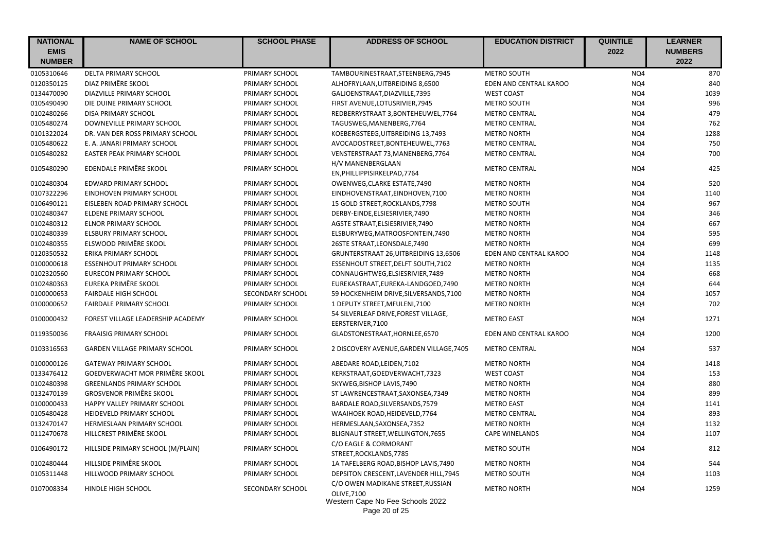| <b>NATIONAL</b> | <b>NAME OF SCHOOL</b>                | <b>SCHOOL PHASE</b> | <b>ADDRESS OF SCHOOL</b>                                                                   | <b>EDUCATION DISTRICT</b> | <b>QUINTILE</b> | <b>LEARNER</b> |
|-----------------|--------------------------------------|---------------------|--------------------------------------------------------------------------------------------|---------------------------|-----------------|----------------|
| <b>EMIS</b>     |                                      |                     |                                                                                            |                           | 2022            | <b>NUMBERS</b> |
| <b>NUMBER</b>   |                                      |                     |                                                                                            |                           |                 | 2022           |
| 0105310646      | DELTA PRIMARY SCHOOL                 | PRIMARY SCHOOL      | TAMBOURINESTRAAT, STEENBERG, 7945                                                          | <b>METRO SOUTH</b>        | NQ4             | 870            |
| 0120350125      | DIAZ PRIMÊRE SKOOL                   | PRIMARY SCHOOL      | ALHOFRYLAAN, UITBREIDING 8,6500                                                            | EDEN AND CENTRAL KAROO    | NQ4             | 840            |
| 0134470090      | DIAZVILLE PRIMARY SCHOOL             | PRIMARY SCHOOL      | GALJOENSTRAAT, DIAZVILLE, 7395                                                             | <b>WEST COAST</b>         | NQ4             | 1039           |
| 0105490490      | DIE DUINE PRIMARY SCHOOL             | PRIMARY SCHOOL      | FIRST AVENUE, LOTUSRIVIER, 7945                                                            | METRO SOUTH               | NQ4             | 996            |
| 0102480266      | DISA PRIMARY SCHOOL                  | PRIMARY SCHOOL      | REDBERRYSTRAAT 3, BONTEHEUWEL, 7764                                                        | <b>METRO CENTRAL</b>      | NQ4             | 479            |
| 0105480274      | DOWNEVILLE PRIMARY SCHOOL            | PRIMARY SCHOOL      | TAGUSWEG, MANENBERG, 7764                                                                  | <b>METRO CENTRAL</b>      | NQ4             | 762            |
| 0101322024      | DR. VAN DER ROSS PRIMARY SCHOOL      | PRIMARY SCHOOL      | KOEBERGSTEEG, UITBREIDING 13,7493                                                          | <b>METRO NORTH</b>        | NQ4             | 1288           |
| 0105480622      | E. A. JANARI PRIMARY SCHOOL          | PRIMARY SCHOOL      | AVOCADOSTREET, BONTEHEUWEL, 7763                                                           | <b>METRO CENTRAL</b>      | NQ4             | 750            |
| 0105480282      | <b>EASTER PEAK PRIMARY SCHOOL</b>    | PRIMARY SCHOOL      | VENSTERSTRAAT 73, MANENBERG, 7764                                                          | <b>METRO CENTRAL</b>      | NQ4             | 700            |
| 0105480290      | EDENDALE PRIMÊRE SKOOL               | PRIMARY SCHOOL      | H/V MANENBERGLAAN<br>EN, PHILLIPPISIRKELPAD, 7764                                          | <b>METRO CENTRAL</b>      | NQ4             | 425            |
| 0102480304      | EDWARD PRIMARY SCHOOL                | PRIMARY SCHOOL      | OWENWEG, CLARKE ESTATE, 7490                                                               | <b>METRO NORTH</b>        | NQ4             | 520            |
| 0107322296      | EINDHOVEN PRIMARY SCHOOL             | PRIMARY SCHOOL      | EINDHOVENSTRAAT, EINDHOVEN, 7100                                                           | <b>METRO NORTH</b>        | NQ4             | 1140           |
| 0106490121      | EISLEBEN ROAD PRIMARY SCHOOL         | PRIMARY SCHOOL      | 15 GOLD STREET, ROCKLANDS, 7798                                                            | <b>METRO SOUTH</b>        | NQ4             | 967            |
| 0102480347      | ELDENE PRIMARY SCHOOL                | PRIMARY SCHOOL      | DERBY-EINDE, ELSIESRIVIER, 7490                                                            | <b>METRO NORTH</b>        | NQ4             | 346            |
| 0102480312      | <b>ELNOR PRIMARY SCHOOL</b>          | PRIMARY SCHOOL      | AGSTE STRAAT, ELSIESRIVIER, 7490                                                           | <b>METRO NORTH</b>        | NQ4             | 667            |
| 0102480339      | ELSBURY PRIMARY SCHOOL               | PRIMARY SCHOOL      | ELSBURYWEG, MATROOSFONTEIN, 7490                                                           | <b>METRO NORTH</b>        | NQ4             | 595            |
| 0102480355      | ELSWOOD PRIMÊRE SKOOL                | PRIMARY SCHOOL      | 26STE STRAAT, LEONSDALE, 7490                                                              | <b>METRO NORTH</b>        | NQ4             | 699            |
| 0120350532      | <b>ERIKA PRIMARY SCHOOL</b>          | PRIMARY SCHOOL      | GRUNTERSTRAAT 26, UITBREIDING 13,6506                                                      | EDEN AND CENTRAL KAROO    | NQ4             | 1148           |
| 0100000618      | <b>ESSENHOUT PRIMARY SCHOOL</b>      | PRIMARY SCHOOL      | ESSENHOUT STREET, DELFT SOUTH, 7102                                                        | <b>METRO NORTH</b>        | NQ4             | 1135           |
| 0102320560      | <b>EURECON PRIMARY SCHOOL</b>        | PRIMARY SCHOOL      | CONNAUGHTWEG, ELSIESRIVIER, 7489                                                           | <b>METRO NORTH</b>        | NQ4             | 668            |
| 0102480363      | EUREKA PRIMÊRE SKOOL                 | PRIMARY SCHOOL      | EUREKASTRAAT, EUREKA-LANDGOED, 7490                                                        | <b>METRO NORTH</b>        | NQ4             | 644            |
| 0100000653      | <b>FAIRDALE HIGH SCHOOL</b>          | SECONDARY SCHOOL    | 59 HOCKENHEIM DRIVE, SILVERSANDS, 7100                                                     | <b>METRO NORTH</b>        | NQ4             | 1057           |
| 0100000652      | <b>FAIRDALE PRIMARY SCHOOL</b>       | PRIMARY SCHOOL      | 1 DEPUTY STREET, MFULENI, 7100                                                             | <b>METRO NORTH</b>        | NQ4             | 702            |
| 0100000432      | FOREST VILLAGE LEADERSHIP ACADEMY    | PRIMARY SCHOOL      | 54 SILVERLEAF DRIVE, FOREST VILLAGE,<br>EERSTERIVER, 7100                                  | <b>METRO EAST</b>         | NQ4             | 1271           |
| 0119350036      | <b>FRAAISIG PRIMARY SCHOOL</b>       | PRIMARY SCHOOL      | GLADSTONESTRAAT, HORNLEE, 6570                                                             | EDEN AND CENTRAL KAROO    | NQ4             | 1200           |
| 0103316563      | <b>GARDEN VILLAGE PRIMARY SCHOOL</b> | PRIMARY SCHOOL      | 2 DISCOVERY AVENUE, GARDEN VILLAGE, 7405                                                   | <b>METRO CENTRAL</b>      | NQ4             | 537            |
| 0100000126      | <b>GATEWAY PRIMARY SCHOOL</b>        | PRIMARY SCHOOL      | ABEDARE ROAD, LEIDEN, 7102                                                                 | <b>METRO NORTH</b>        | NQ4             | 1418           |
| 0133476412      | GOEDVERWACHT MOR PRIMÊRE SKOOL       | PRIMARY SCHOOL      | KERKSTRAAT, GOEDVERWACHT, 7323                                                             | <b>WEST COAST</b>         | NQ4             | 153            |
| 0102480398      | <b>GREENLANDS PRIMARY SCHOOL</b>     | PRIMARY SCHOOL      | SKYWEG, BISHOP LAVIS, 7490                                                                 | <b>METRO NORTH</b>        | NQ4             | 880            |
| 0132470139      | <b>GROSVENOR PRIMÊRE SKOOL</b>       | PRIMARY SCHOOL      | ST LAWRENCESTRAAT, SAXONSEA, 7349                                                          | <b>METRO NORTH</b>        | NQ4             | 899            |
| 0100000433      | HAPPY VALLEY PRIMARY SCHOOL          | PRIMARY SCHOOL      | BARDALE ROAD, SILVERSANDS, 7579                                                            | <b>METRO EAST</b>         | NQ4             | 1141           |
| 0105480428      | HEIDEVELD PRIMARY SCHOOL             | PRIMARY SCHOOL      | WAAIHOEK ROAD, HEIDEVELD, 7764                                                             | <b>METRO CENTRAL</b>      | NQ4             | 893            |
| 0132470147      | HERMESLAAN PRIMARY SCHOOL            | PRIMARY SCHOOL      | HERMESLAAN, SAXONSEA, 7352                                                                 | <b>METRO NORTH</b>        | NQ4             | 1132           |
| 0112470678      | HILLCREST PRIMÊRE SKOOL              | PRIMARY SCHOOL      | BLIGNAUT STREET, WELLINGTON, 7655                                                          | <b>CAPE WINELANDS</b>     | NQ4             | 1107           |
| 0106490172      | HILLSIDE PRIMARY SCHOOL (M/PLAIN)    | PRIMARY SCHOOL      | C/O EAGLE & CORMORANT<br>STREET, ROCKLANDS, 7785                                           | METRO SOUTH               | NQ4             | 812            |
| 0102480444      | HILLSIDE PRIMÊRE SKOOL               | PRIMARY SCHOOL      | 1A TAFELBERG ROAD, BISHOP LAVIS, 7490                                                      | <b>METRO NORTH</b>        | NQ4             | 544            |
| 0105311448      | HILLWOOD PRIMARY SCHOOL              | PRIMARY SCHOOL      | DEPSITON CRESCENT, LAVENDER HILL, 7945                                                     | METRO SOUTH               | NQ4             | 1103           |
| 0107008334      | HINDLE HIGH SCHOOL                   | SECONDARY SCHOOL    | C/O OWEN MADIKANE STREET, RUSSIAN<br><b>OLIVE.7100</b><br>Western Cape No Fee Schools 2022 | <b>METRO NORTH</b>        | NQ4             | 1259           |

Page 20 of 25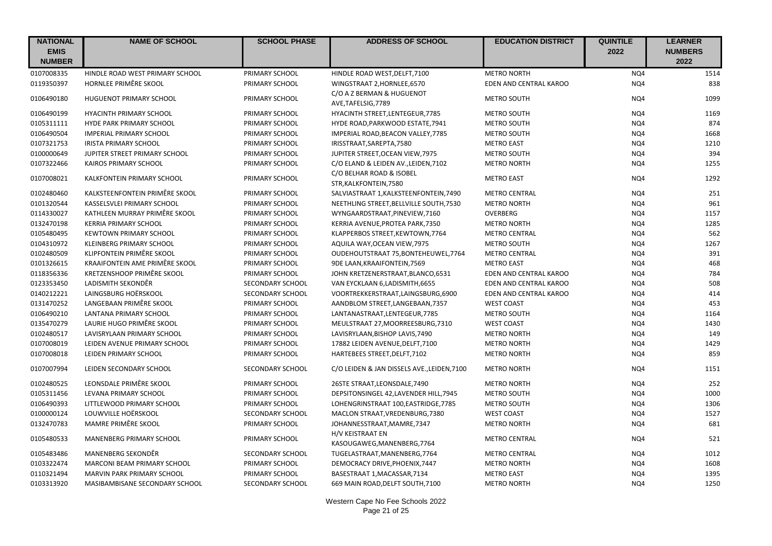| <b>NATIONAL</b><br><b>EMIS</b> | <b>NAME OF SCHOOL</b>           | <b>SCHOOL PHASE</b> | <b>ADDRESS OF SCHOOL</b>                           | <b>EDUCATION DISTRICT</b> | <b>QUINTILE</b><br>2022 | <b>LEARNER</b><br><b>NUMBERS</b> |
|--------------------------------|---------------------------------|---------------------|----------------------------------------------------|---------------------------|-------------------------|----------------------------------|
| <b>NUMBER</b>                  |                                 |                     |                                                    |                           |                         | 2022                             |
| 0107008335                     | HINDLE ROAD WEST PRIMARY SCHOOL | PRIMARY SCHOOL      | HINDLE ROAD WEST, DELFT, 7100                      | <b>METRO NORTH</b>        | NQ4                     | 1514                             |
| 0119350397                     | HORNLEE PRIMÊRE SKOOL           | PRIMARY SCHOOL      | WINGSTRAAT 2, HORNLEE, 6570                        | EDEN AND CENTRAL KAROO    | NQ4                     | 838                              |
| 0106490180                     | <b>HUGUENOT PRIMARY SCHOOL</b>  | PRIMARY SCHOOL      | C/O A Z BERMAN & HUGUENOT<br>AVE, TAFELSIG, 7789   | <b>METRO SOUTH</b>        | NQ4                     | 1099                             |
| 0106490199                     | <b>HYACINTH PRIMARY SCHOOL</b>  | PRIMARY SCHOOL      | HYACINTH STREET, LENTEGEUR, 7785                   | <b>METRO SOUTH</b>        | NQ4                     | 1169                             |
| 0105311111                     | HYDE PARK PRIMARY SCHOOL        | PRIMARY SCHOOL      | HYDE ROAD, PARKWOOD ESTATE, 7941                   | METRO SOUTH               | NQ4                     | 874                              |
| 0106490504                     | <b>IMPERIAL PRIMARY SCHOOL</b>  | PRIMARY SCHOOL      | IMPERIAL ROAD, BEACON VALLEY, 7785                 | <b>METRO SOUTH</b>        | NQ4                     | 1668                             |
| 0107321753                     | <b>IRISTA PRIMARY SCHOOL</b>    | PRIMARY SCHOOL      | IRISSTRAAT, SAREPTA, 7580                          | <b>METRO EAST</b>         | NQ4                     | 1210                             |
| 0100000649                     | JUPITER STREET PRIMARY SCHOOL   | PRIMARY SCHOOL      | JUPITER STREET, OCEAN VIEW, 7975                   | METRO SOUTH               | NQ4                     | 394                              |
| 0107322466                     | KAIROS PRIMARY SCHOOL           | PRIMARY SCHOOL      | C/O ELAND & LEIDEN AV., LEIDEN, 7102               | <b>METRO NORTH</b>        | NQ4                     | 1255                             |
| 0107008021                     | KALKFONTEIN PRIMARY SCHOOL      | PRIMARY SCHOOL      | C/O BELHAR ROAD & ISOBEL<br>STR, KALKFONTEIN, 7580 | <b>METRO EAST</b>         | NQ4                     | 1292                             |
| 0102480460                     | KALKSTEENFONTEIN PRIMÊRE SKOOL  | PRIMARY SCHOOL      | SALVIASTRAAT 1, KALKSTEENFONTEIN, 7490             | <b>METRO CENTRAL</b>      | NQ4                     | 251                              |
| 0101320544                     | KASSELSVLEI PRIMARY SCHOOL      | PRIMARY SCHOOL      | NEETHLING STREET, BELLVILLE SOUTH, 7530            | <b>METRO NORTH</b>        | NQ4                     | 961                              |
| 0114330027                     | KATHLEEN MURRAY PRIMÊRE SKOOL   | PRIMARY SCHOOL      | WYNGAARDSTRAAT, PINEVIEW, 7160                     | OVERBERG                  | NQ4                     | 1157                             |
| 0132470198                     | <b>KERRIA PRIMARY SCHOOL</b>    | PRIMARY SCHOOL      | KERRIA AVENUE, PROTEA PARK, 7350                   | <b>METRO NORTH</b>        | NQ4                     | 1285                             |
| 0105480495                     | <b>KEWTOWN PRIMARY SCHOOL</b>   | PRIMARY SCHOOL      | KLAPPERBOS STREET, KEWTOWN, 7764                   | <b>METRO CENTRAL</b>      | NQ4                     | 562                              |
| 0104310972                     | <b>KLEINBERG PRIMARY SCHOOL</b> | PRIMARY SCHOOL      | AQUILA WAY, OCEAN VIEW, 7975                       | <b>METRO SOUTH</b>        | NQ4                     | 1267                             |
| 0102480509                     | KLIPFONTEIN PRIMÊRE SKOOL       | PRIMARY SCHOOL      | OUDEHOUTSTRAAT 75, BONTEHEUWEL, 7764               | <b>METRO CENTRAL</b>      | NQ4                     | 391                              |
| 0101326615                     | KRAAIFONTEIN AME PRIMÊRE SKOOL  | PRIMARY SCHOOL      | 9DE LAAN, KRAAIFONTEIN, 7569                       | <b>METRO EAST</b>         | NQ4                     | 468                              |
| 0118356336                     | KRETZENSHOOP PRIMÊRE SKOOL      | PRIMARY SCHOOL      | JOHN KRETZENERSTRAAT, BLANCO, 6531                 | EDEN AND CENTRAL KAROO    | NQ4                     | 784                              |
| 0123353450                     | LADISMITH SEKONDÊR              | SECONDARY SCHOOL    | VAN EYCKLAAN 6, LADISMITH, 6655                    | EDEN AND CENTRAL KAROO    | NQ4                     | 508                              |
| 0140212221                     | LAINGSBURG HOËRSKOOL            | SECONDARY SCHOOL    | VOORTREKKERSTRAAT,LAINGSBURG,6900                  | EDEN AND CENTRAL KAROO    | NQ4                     | 414                              |
| 0131470252                     | LANGEBAAN PRIMÊRE SKOOL         | PRIMARY SCHOOL      | AANDBLOM STREET, LANGEBAAN, 7357                   | <b>WEST COAST</b>         | NQ4                     | 453                              |
| 0106490210                     | LANTANA PRIMARY SCHOOL          | PRIMARY SCHOOL      | LANTANASTRAAT, LENTEGEUR, 7785                     | METRO SOUTH               | NQ4                     | 1164                             |
| 0135470279                     | LAURIE HUGO PRIMÊRE SKOOL       | PRIMARY SCHOOL      | MEULSTRAAT 27, MOORREESBURG, 7310                  | <b>WEST COAST</b>         | NQ4                     | 1430                             |
| 0102480517                     | LAVISRYLAAN PRIMARY SCHOOL      | PRIMARY SCHOOL      | LAVISRYLAAN, BISHOP LAVIS, 7490                    | <b>METRO NORTH</b>        | NQ4                     | 149                              |
| 0107008019                     | LEIDEN AVENUE PRIMARY SCHOOL    | PRIMARY SCHOOL      | 17882 LEIDEN AVENUE, DELFT, 7100                   | <b>METRO NORTH</b>        | NQ4                     | 1429                             |
| 0107008018                     | LEIDEN PRIMARY SCHOOL           | PRIMARY SCHOOL      | HARTEBEES STREET, DELFT, 7102                      | <b>METRO NORTH</b>        | NQ4                     | 859                              |
| 0107007994                     | LEIDEN SECONDARY SCHOOL         | SECONDARY SCHOOL    | C/O LEIDEN & JAN DISSELS AVE., LEIDEN, 7100        | <b>METRO NORTH</b>        | NQ4                     | 1151                             |
| 0102480525                     | LEONSDALE PRIMÊRE SKOOL         | PRIMARY SCHOOL      | 26STE STRAAT, LEONSDALE, 7490                      | <b>METRO NORTH</b>        | NQ4                     | 252                              |
| 0105311456                     | LEVANA PRIMARY SCHOOL           | PRIMARY SCHOOL      | DEPSITONSINGEL 42, LAVENDER HILL, 7945             | <b>METRO SOUTH</b>        | NQ4                     | 1000                             |
| 0106490393                     | LITTLEWOOD PRIMARY SCHOOL       | PRIMARY SCHOOL      | LOHENGRINSTRAAT 100, EASTRIDGE, 7785               | METRO SOUTH               | NQ4                     | 1306                             |
| 0100000124                     | LOUWVILLE HOËRSKOOL             | SECONDARY SCHOOL    | MACLON STRAAT, VREDENBURG, 7380                    | <b>WEST COAST</b>         | NQ4                     | 1527                             |
| 0132470783                     | MAMRE PRIMÊRE SKOOL             | PRIMARY SCHOOL      | JOHANNESSTRAAT, MAMRE, 7347                        | <b>METRO NORTH</b>        | NQ4                     | 681                              |
| 0105480533                     | MANENBERG PRIMARY SCHOOL        | PRIMARY SCHOOL      | H/V KEISTRAAT EN<br>KASOUGAWEG, MANENBERG, 7764    | <b>METRO CENTRAL</b>      | NQ4                     | 521                              |
| 0105483486                     | MANENBERG SEKONDÊR              | SECONDARY SCHOOL    | TUGELASTRAAT, MANENBERG, 7764                      | <b>METRO CENTRAL</b>      | NQ4                     | 1012                             |
| 0103322474                     | MARCONI BEAM PRIMARY SCHOOL     | PRIMARY SCHOOL      | DEMOCRACY DRIVE, PHOENIX, 7447                     | <b>METRO NORTH</b>        | NQ4                     | 1608                             |
| 0110321494                     | MARVIN PARK PRIMARY SCHOOL      | PRIMARY SCHOOL      | BASESTRAAT 1, MACASSAR, 7134                       | <b>METRO EAST</b>         | NQ4                     | 1395                             |
| 0103313920                     | MASIBAMBISANE SECONDARY SCHOOL  | SECONDARY SCHOOL    | 669 MAIN ROAD, DELFT SOUTH, 7100                   | <b>METRO NORTH</b>        | NQ4                     | 1250                             |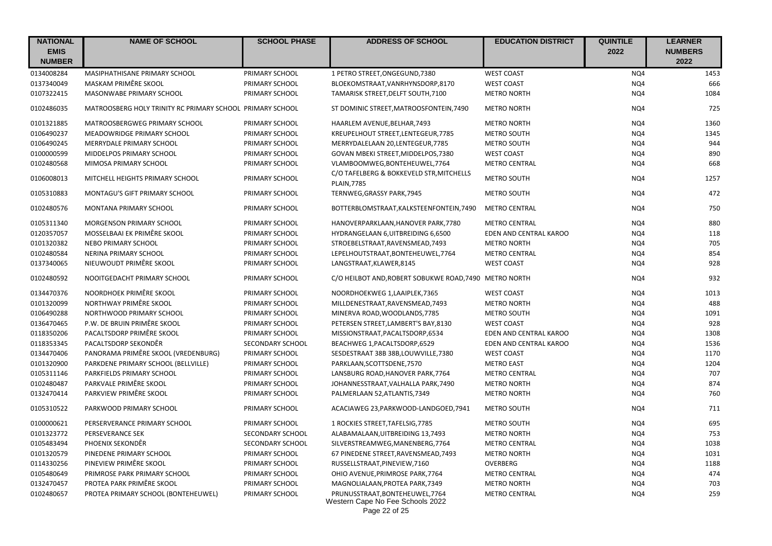| <b>NATIONAL</b><br><b>EMIS</b><br><b>NUMBER</b> | <b>NAME OF SCHOOL</b>                                     | <b>SCHOOL PHASE</b> | <b>ADDRESS OF SCHOOL</b>                                                             | <b>EDUCATION DISTRICT</b> | <b>QUINTILE</b><br>2022 | <b>LEARNER</b><br><b>NUMBERS</b><br>2022 |
|-------------------------------------------------|-----------------------------------------------------------|---------------------|--------------------------------------------------------------------------------------|---------------------------|-------------------------|------------------------------------------|
| 0134008284                                      | MASIPHATHISANE PRIMARY SCHOOL                             | PRIMARY SCHOOL      | 1 PETRO STREET, ONGEGUND, 7380                                                       | <b>WEST COAST</b>         | NQ4                     | 1453                                     |
| 0137340049                                      | MASKAM PRIMÊRE SKOOL                                      | PRIMARY SCHOOL      | BLOEKOMSTRAAT, VANRHYNSDORP, 8170                                                    | <b>WEST COAST</b>         | NQ4                     | 666                                      |
| 0107322415                                      | MASONWABE PRIMARY SCHOOL                                  | PRIMARY SCHOOL      | TAMARISK STREET, DELFT SOUTH, 7100                                                   | <b>METRO NORTH</b>        | NQ4                     | 1084                                     |
| 0102486035                                      | MATROOSBERG HOLY TRINITY RC PRIMARY SCHOOL PRIMARY SCHOOL |                     | ST DOMINIC STREET, MATROOSFONTEIN, 7490                                              | <b>METRO NORTH</b>        | NQ4                     | 725                                      |
| 0101321885                                      | MATROOSBERGWEG PRIMARY SCHOOL                             | PRIMARY SCHOOL      | HAARLEM AVENUE, BELHAR, 7493                                                         | <b>METRO NORTH</b>        | NQ4                     | 1360                                     |
| 0106490237                                      | MEADOWRIDGE PRIMARY SCHOOL                                | PRIMARY SCHOOL      | KREUPELHOUT STREET, LENTEGEUR, 7785                                                  | <b>METRO SOUTH</b>        | NQ4                     | 1345                                     |
| 0106490245                                      | <b>MERRYDALE PRIMARY SCHOOL</b>                           | PRIMARY SCHOOL      | MERRYDALELAAN 20, LENTEGEUR, 7785                                                    | <b>METRO SOUTH</b>        | NQ4                     | 944                                      |
| 0100000599                                      | MIDDELPOS PRIMARY SCHOOL                                  | PRIMARY SCHOOL      | GOVAN MBEKI STREET, MIDDELPOS, 7380                                                  | <b>WEST COAST</b>         | NQ4                     | 890                                      |
| 0102480568                                      | MIMOSA PRIMARY SCHOOL                                     | PRIMARY SCHOOL      | VLAMBOOMWEG, BONTEHEUWEL, 7764                                                       | <b>METRO CENTRAL</b>      | NQ4                     | 668                                      |
| 0106008013                                      | MITCHELL HEIGHTS PRIMARY SCHOOL                           | PRIMARY SCHOOL      | C/O TAFELBERG & BOKKEVELD STR, MITCHELLS<br><b>PLAIN, 7785</b>                       | METRO SOUTH               | NQ4                     | 1257                                     |
| 0105310883                                      | MONTAGU'S GIFT PRIMARY SCHOOL                             | PRIMARY SCHOOL      | TERNWEG, GRASSY PARK, 7945                                                           | <b>METRO SOUTH</b>        | NQ4                     | 472                                      |
| 0102480576                                      | MONTANA PRIMARY SCHOOL                                    | PRIMARY SCHOOL      | BOTTERBLOMSTRAAT, KALKSTEENFONTEIN, 7490                                             | <b>METRO CENTRAL</b>      | NQ4                     | 750                                      |
| 0105311340                                      | MORGENSON PRIMARY SCHOOL                                  | PRIMARY SCHOOL      | HANOVERPARKLAAN, HANOVER PARK, 7780                                                  | <b>METRO CENTRAL</b>      | NQ4                     | 880                                      |
| 0120357057                                      | MOSSELBAAI EK PRIMÊRE SKOOL                               | PRIMARY SCHOOL      | HYDRANGELAAN 6, UITBREIDING 6,6500                                                   | EDEN AND CENTRAL KAROO    | NQ4                     | 118                                      |
| 0101320382                                      | <b>NEBO PRIMARY SCHOOL</b>                                | PRIMARY SCHOOL      | STROEBELSTRAAT, RAVENSMEAD, 7493                                                     | <b>METRO NORTH</b>        | NQ4                     | 705                                      |
| 0102480584                                      | NERINA PRIMARY SCHOOL                                     | PRIMARY SCHOOL      | LEPELHOUTSTRAAT, BONTEHEUWEL, 7764                                                   | <b>METRO CENTRAL</b>      | NQ4                     | 854                                      |
| 0137340065                                      | NIEUWOUDT PRIMÊRE SKOOL                                   | PRIMARY SCHOOL      | LANGSTRAAT, KLAWER, 8145                                                             | <b>WEST COAST</b>         | NQ4                     | 928                                      |
| 0102480592                                      | NOOITGEDACHT PRIMARY SCHOOL                               | PRIMARY SCHOOL      | C/O HEILBOT AND, ROBERT SOBUKWE ROAD, 7490 METRO NORTH                               |                           | NQ4                     | 932                                      |
| 0134470376                                      | NOORDHOEK PRIMÊRE SKOOL                                   | PRIMARY SCHOOL      | NOORDHOEKWEG 1, LAAIPLEK, 7365                                                       | <b>WEST COAST</b>         | NQ4                     | 1013                                     |
| 0101320099                                      | NORTHWAY PRIMÊRE SKOOL                                    | PRIMARY SCHOOL      | MILLDENESTRAAT, RAVENSMEAD, 7493                                                     | <b>METRO NORTH</b>        | NQ4                     | 488                                      |
| 0106490288                                      | NORTHWOOD PRIMARY SCHOOL                                  | PRIMARY SCHOOL      | MINERVA ROAD, WOODLANDS, 7785                                                        | <b>METRO SOUTH</b>        | NQ4                     | 1091                                     |
| 0136470465                                      | P.W. DE BRUIN PRIMÊRE SKOOL                               | PRIMARY SCHOOL      | PETERSEN STREET, LAMBERT'S BAY, 8130                                                 | <b>WEST COAST</b>         | NQ4                     | 928                                      |
| 0118350206                                      | PACALTSDORP PRIMÊRE SKOOL                                 | PRIMARY SCHOOL      | MISSIONSTRAAT, PACALTSDORP, 6534                                                     | EDEN AND CENTRAL KAROO    | NQ4                     | 1308                                     |
| 0118353345                                      | PACALTSDORP SEKONDÊR                                      | SECONDARY SCHOOL    | BEACHWEG 1, PACALTSDORP, 6529                                                        | EDEN AND CENTRAL KAROO    | NQ4                     | 1536                                     |
| 0134470406                                      | PANORAMA PRIMÊRE SKOOL (VREDENBURG)                       | PRIMARY SCHOOL      | SESDESTRAAT 38B 38B, LOUWVILLE, 7380                                                 | <b>WEST COAST</b>         | NQ4                     | 1170                                     |
| 0101320900                                      | PARKDENE PRIMARY SCHOOL (BELLVILLE)                       | PRIMARY SCHOOL      | PARKLAAN, SCOTTSDENE, 7570                                                           | <b>METRO EAST</b>         | NQ4                     | 1204                                     |
| 0105311146                                      | PARKFIELDS PRIMARY SCHOOL                                 | PRIMARY SCHOOL      | LANSBURG ROAD, HANOVER PARK, 7764                                                    | <b>METRO CENTRAL</b>      | NQ4                     | 707                                      |
| 0102480487                                      | PARKVALE PRIMÊRE SKOOL                                    | PRIMARY SCHOOL      | JOHANNESSTRAAT, VALHALLA PARK, 7490                                                  | <b>METRO NORTH</b>        | NQ4                     | 874                                      |
| 0132470414                                      | PARKVIEW PRIMÊRE SKOOL                                    | PRIMARY SCHOOL      | PALMERLAAN 52, ATLANTIS, 7349                                                        | <b>METRO NORTH</b>        | NQ4                     | 760                                      |
| 0105310522                                      | PARKWOOD PRIMARY SCHOOL                                   | PRIMARY SCHOOL      | ACACIAWEG 23, PARKWOOD-LANDGOED, 7941                                                | METRO SOUTH               | NQ4                     | 711                                      |
| 0100000621                                      | PERSERVERANCE PRIMARY SCHOOL                              | PRIMARY SCHOOL      | 1 ROCKIES STREET, TAFELSIG, 7785                                                     | METRO SOUTH               | NQ4                     | 695                                      |
| 0101323772                                      | PERSEVERANCE SEK                                          | SECONDARY SCHOOL    | ALABAMALAAN, UITBREIDING 13,7493                                                     | <b>METRO NORTH</b>        | NQ4                     | 753                                      |
| 0105483494                                      | PHOENIX SEKONDÊR                                          | SECONDARY SCHOOL    | SILVERSTREAMWEG, MANENBERG, 7764                                                     | <b>METRO CENTRAL</b>      | NQ4                     | 1038                                     |
| 0101320579                                      | PINEDENE PRIMARY SCHOOL                                   | PRIMARY SCHOOL      | 67 PINEDENE STREET, RAVENSMEAD, 7493                                                 | <b>METRO NORTH</b>        | NQ4                     | 1031                                     |
| 0114330256                                      | PINEVIEW PRIMÊRE SKOOL                                    | PRIMARY SCHOOL      | RUSSELLSTRAAT, PINEVIEW, 7160                                                        | OVERBERG                  | NQ4                     | 1188                                     |
| 0105480649                                      | PRIMROSE PARK PRIMARY SCHOOL                              | PRIMARY SCHOOL      | OHIO AVENUE, PRIMROSE PARK, 7764                                                     | <b>METRO CENTRAL</b>      | NQ4                     | 474                                      |
| 0132470457                                      | PROTEA PARK PRIMÊRE SKOOL                                 | PRIMARY SCHOOL      | MAGNOLIALAAN, PROTEA PARK, 7349                                                      | <b>METRO NORTH</b>        | NQ4                     | 703                                      |
| 0102480657                                      | PROTEA PRIMARY SCHOOL (BONTEHEUWEL)                       | PRIMARY SCHOOL      | PRUNUSSTRAAT, BONTEHEUWEL, 7764<br>Western Cape No Fee Schools 2022<br>Page 22 of 25 | <b>METRO CENTRAL</b>      | NQ4                     | 259                                      |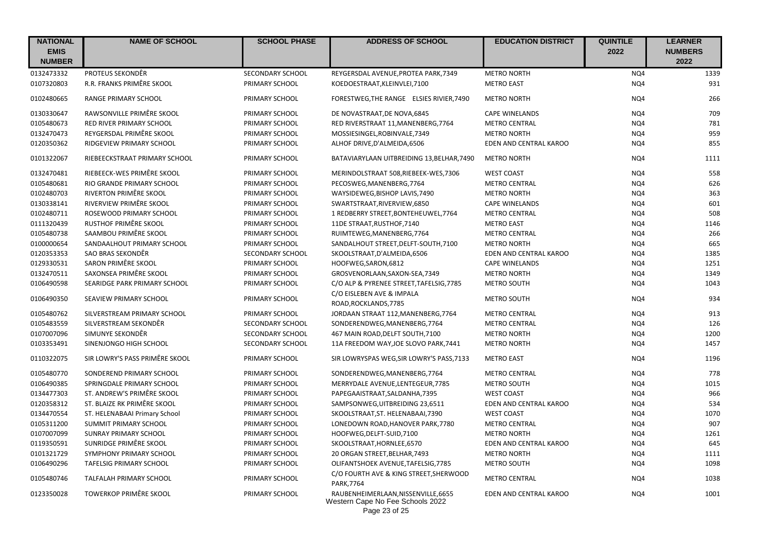| <b>NATIONAL</b><br><b>EMIS</b><br><b>NUMBER</b> | <b>NAME OF SCHOOL</b>          | <b>SCHOOL PHASE</b>     | <b>ADDRESS OF SCHOOL</b>                                                | <b>EDUCATION DISTRICT</b> | <b>QUINTILE</b><br>2022 | <b>LEARNER</b><br><b>NUMBERS</b><br>2022 |
|-------------------------------------------------|--------------------------------|-------------------------|-------------------------------------------------------------------------|---------------------------|-------------------------|------------------------------------------|
| 0132473332                                      | PROTEUS SEKONDÊR               | SECONDARY SCHOOL        | REYGERSDAL AVENUE, PROTEA PARK, 7349                                    | <b>METRO NORTH</b>        | NQ4                     | 1339                                     |
| 0107320803                                      | R.R. FRANKS PRIMÊRE SKOOL      | PRIMARY SCHOOL          | KOEDOESTRAAT, KLEINVLEI, 7100                                           | <b>METRO EAST</b>         | NQ4                     | 931                                      |
| 0102480665                                      | <b>RANGE PRIMARY SCHOOL</b>    | PRIMARY SCHOOL          | FORESTWEG, THE RANGE ELSIES RIVIER, 7490                                | <b>METRO NORTH</b>        | NQ4                     | 266                                      |
| 0130330647                                      | RAWSONVILLE PRIMÊRE SKOOL      | PRIMARY SCHOOL          | DE NOVASTRAAT, DE NOVA, 6845                                            | <b>CAPE WINELANDS</b>     | NQ4                     | 709                                      |
| 0105480673                                      | RED RIVER PRIMARY SCHOOL       | PRIMARY SCHOOL          | RED RIVERSTRAAT 11, MANENBERG, 7764                                     | <b>METRO CENTRAL</b>      | NQ4                     | 781                                      |
| 0132470473                                      | REYGERSDAL PRIMÊRE SKOOL       | PRIMARY SCHOOL          | MOSSIESINGEL, ROBINVALE, 7349                                           | <b>METRO NORTH</b>        | NQ4                     | 959                                      |
| 0120350362                                      | RIDGEVIEW PRIMARY SCHOOL       | PRIMARY SCHOOL          | ALHOF DRIVE, D'ALMEIDA, 6506                                            | EDEN AND CENTRAL KAROO    | NQ4                     | 855                                      |
| 0101322067                                      | RIEBEECKSTRAAT PRIMARY SCHOOL  | PRIMARY SCHOOL          | BATAVIARYLAAN UITBREIDING 13, BELHAR, 7490                              | <b>METRO NORTH</b>        | NQ4                     | 1111                                     |
| 0132470481                                      | RIEBEECK-WES PRIMÊRE SKOOL     | PRIMARY SCHOOL          | MERINDOLSTRAAT 508, RIEBEEK-WES, 7306                                   | <b>WEST COAST</b>         | NQ4                     | 558                                      |
| 0105480681                                      | RIO GRANDE PRIMARY SCHOOL      | PRIMARY SCHOOL          | PECOSWEG, MANENBERG, 7764                                               | <b>METRO CENTRAL</b>      | NQ4                     | 626                                      |
| 0102480703                                      | RIVERTON PRIMÊRE SKOOL         | PRIMARY SCHOOL          | WAYSIDEWEG, BISHOP LAVIS, 7490                                          | <b>METRO NORTH</b>        | NQ4                     | 363                                      |
| 0130338141                                      | RIVERVIEW PRIMÊRE SKOOL        | PRIMARY SCHOOL          | SWARTSTRAAT, RIVERVIEW, 6850                                            | <b>CAPE WINELANDS</b>     | NQ4                     | 601                                      |
| 0102480711                                      | ROSEWOOD PRIMARY SCHOOL        | PRIMARY SCHOOL          | 1 REDBERRY STREET, BONTEHEUWEL, 7764                                    | <b>METRO CENTRAL</b>      | NQ4                     | 508                                      |
| 0111320439                                      | RUSTHOF PRIMÊRE SKOOL          | PRIMARY SCHOOL          | 11DE STRAAT, RUSTHOF, 7140                                              | <b>METRO EAST</b>         | NQ4                     | 1146                                     |
| 0105480738                                      | SAAMBOU PRIMÊRE SKOOL          | PRIMARY SCHOOL          | RUIMTEWEG, MANENBERG, 7764                                              | <b>METRO CENTRAL</b>      | NQ4                     | 266                                      |
| 0100000654                                      | SANDAALHOUT PRIMARY SCHOOL     | PRIMARY SCHOOL          | SANDALHOUT STREET, DELFT-SOUTH, 7100                                    | <b>METRO NORTH</b>        | NQ4                     | 665                                      |
| 0120353353                                      | SAO BRAS SEKONDÊR              | SECONDARY SCHOOL        | SKOOLSTRAAT, D'ALMEIDA, 6506                                            | EDEN AND CENTRAL KAROO    | NQ4                     | 1385                                     |
| 0129330531                                      | SARON PRIMÊRE SKOOL            | PRIMARY SCHOOL          | HOOFWEG, SARON, 6812                                                    | <b>CAPE WINELANDS</b>     | NQ4                     | 1251                                     |
| 0132470511                                      | SAXONSEA PRIMÊRE SKOOL         | PRIMARY SCHOOL          | GROSVENORLAAN, SAXON-SEA, 7349                                          | <b>METRO NORTH</b>        | NQ4                     | 1349                                     |
| 0106490598                                      | SEARIDGE PARK PRIMARY SCHOOL   | PRIMARY SCHOOL          | C/O ALP & PYRENEE STREET, TAFELSIG, 7785<br>C/O EISLEBEN AVE & IMPALA   | METRO SOUTH               | NQ4                     | 1043                                     |
| 0106490350                                      | SEAVIEW PRIMARY SCHOOL         | PRIMARY SCHOOL          | ROAD, ROCKLANDS, 7785                                                   | <b>METRO SOUTH</b>        | NQ4                     | 934                                      |
| 0105480762                                      | SILVERSTREAM PRIMARY SCHOOL    | PRIMARY SCHOOL          | JORDAAN STRAAT 112, MANENBERG, 7764                                     | <b>METRO CENTRAL</b>      | NQ4                     | 913                                      |
| 0105483559                                      | SILVERSTREAM SEKONDÊR          | <b>SECONDARY SCHOOL</b> | SONDERENDWEG, MANENBERG, 7764                                           | <b>METRO CENTRAL</b>      | NQ4                     | 126                                      |
| 0107007096                                      | SIMUNYE SEKONDÊR               | SECONDARY SCHOOL        | 467 MAIN ROAD, DELFT SOUTH, 7100                                        | <b>METRO NORTH</b>        | NQ4                     | 1200                                     |
| 0103353491                                      | SINENJONGO HIGH SCHOOL         | SECONDARY SCHOOL        | 11A FREEDOM WAY, JOE SLOVO PARK, 7441                                   | <b>METRO NORTH</b>        | NQ4                     | 1457                                     |
| 0110322075                                      | SIR LOWRY'S PASS PRIMÊRE SKOOL | PRIMARY SCHOOL          | SIR LOWRYSPAS WEG, SIR LOWRY'S PASS, 7133                               | <b>METRO EAST</b>         | NQ4                     | 1196                                     |
| 0105480770                                      | SONDEREND PRIMARY SCHOOL       | PRIMARY SCHOOL          | SONDERENDWEG, MANENBERG, 7764                                           | <b>METRO CENTRAL</b>      | NQ4                     | 778                                      |
| 0106490385                                      | SPRINGDALE PRIMARY SCHOOL      | PRIMARY SCHOOL          | MERRYDALE AVENUE, LENTEGEUR, 7785                                       | <b>METRO SOUTH</b>        | NQ4                     | 1015                                     |
| 0134477303                                      | ST. ANDREW'S PRIMÊRE SKOOL     | PRIMARY SCHOOL          | PAPEGAAISTRAAT, SALDANHA, 7395                                          | <b>WEST COAST</b>         | NQ4                     | 966                                      |
| 0120358312                                      | ST. BLAIZE RK PRIMÊRE SKOOL    | PRIMARY SCHOOL          | SAMPSONWEG, UITBREIDING 23,6511                                         | EDEN AND CENTRAL KAROO    | NQ4                     | 534                                      |
| 0134470554                                      | ST. HELENABAAI Primary School  | PRIMARY SCHOOL          | SKOOLSTRAAT, ST. HELENABAAI, 7390                                       | <b>WEST COAST</b>         | NQ4                     | 1070                                     |
| 0105311200                                      | SUMMIT PRIMARY SCHOOL          | PRIMARY SCHOOL          | LONEDOWN ROAD, HANOVER PARK, 7780                                       | <b>METRO CENTRAL</b>      | NQ4                     | 907                                      |
| 0107007099                                      | SUNRAY PRIMARY SCHOOL          | PRIMARY SCHOOL          | HOOFWEG, DELFT-SUID, 7100                                               | <b>METRO NORTH</b>        | NQ4                     | 1261                                     |
| 0119350591                                      | SUNRIDGE PRIMÊRE SKOOL         | PRIMARY SCHOOL          | SKOOLSTRAAT, HORNLEE, 6570                                              | EDEN AND CENTRAL KAROO    | NQ4                     | 645                                      |
| 0101321729                                      | SYMPHONY PRIMARY SCHOOL        | PRIMARY SCHOOL          | 20 ORGAN STREET, BELHAR, 7493                                           | <b>METRO NORTH</b>        | NQ4                     | 1111                                     |
| 0106490296                                      | <b>TAFELSIG PRIMARY SCHOOL</b> | PRIMARY SCHOOL          | OLIFANTSHOEK AVENUE, TAFELSIG, 7785                                     | <b>METRO SOUTH</b>        | NQ4                     | 1098                                     |
| 0105480746                                      | TALFALAH PRIMARY SCHOOL        | PRIMARY SCHOOL          | C/O FOURTH AVE & KING STREET, SHERWOOD<br><b>PARK.7764</b>              | <b>METRO CENTRAL</b>      | NQ4                     | 1038                                     |
| 0123350028                                      | <b>TOWERKOP PRIMÊRE SKOOL</b>  | PRIMARY SCHOOL          | RAUBENHEIMERLAAN, NISSENVILLE, 6655<br>Western Cape No Fee Schools 2022 | EDEN AND CENTRAL KAROO    | NQ4                     | 1001                                     |

Page 23 of 25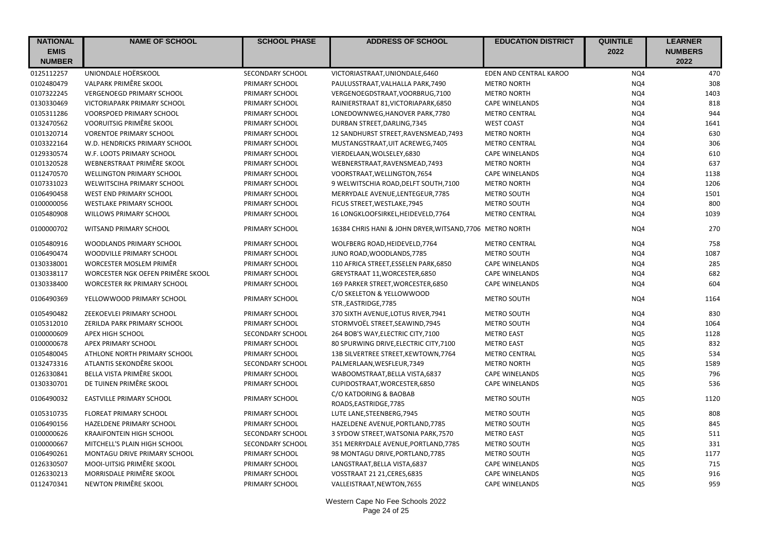| <b>NATIONAL</b> | <b>NAME OF SCHOOL</b>              | <b>SCHOOL PHASE</b>     | <b>ADDRESS OF SCHOOL</b>                                 | <b>EDUCATION DISTRICT</b> | <b>QUINTILE</b> | <b>LEARNER</b> |
|-----------------|------------------------------------|-------------------------|----------------------------------------------------------|---------------------------|-----------------|----------------|
| <b>EMIS</b>     |                                    |                         |                                                          |                           | 2022            | <b>NUMBERS</b> |
| <b>NUMBER</b>   |                                    |                         |                                                          |                           |                 | 2022           |
| 0125112257      | UNIONDALE HOËRSKOOL                | SECONDARY SCHOOL        | VICTORIASTRAAT, UNIONDALE, 6460                          | EDEN AND CENTRAL KAROO    | NQ4             | 470            |
| 0102480479      | VALPARK PRIMÊRE SKOOL              | PRIMARY SCHOOL          | PAULUSSTRAAT, VALHALLA PARK, 7490                        | <b>METRO NORTH</b>        | NQ4             | 308            |
| 0107322245      | <b>VERGENOEGD PRIMARY SCHOOL</b>   | PRIMARY SCHOOL          | VERGENOEGDSTRAAT, VOORBRUG, 7100                         | <b>METRO NORTH</b>        | NQ4             | 1403           |
| 0130330469      | VICTORIAPARK PRIMARY SCHOOL        | PRIMARY SCHOOL          | RAINIERSTRAAT 81, VICTORIAPARK, 6850                     | <b>CAPE WINELANDS</b>     | NQ4             | 818            |
| 0105311286      | <b>VOORSPOED PRIMARY SCHOOL</b>    | PRIMARY SCHOOL          | LONEDOWNWEG, HANOVER PARK, 7780                          | <b>METRO CENTRAL</b>      | NQ4             | 944            |
| 0132470562      | VOORUITSIG PRIMÊRE SKOOL           | PRIMARY SCHOOL          | DURBAN STREET, DARLING, 7345                             | <b>WEST COAST</b>         | NQ4             | 1641           |
| 0101320714      | <b>VORENTOE PRIMARY SCHOOL</b>     | PRIMARY SCHOOL          | 12 SANDHURST STREET, RAVENSMEAD, 7493                    | <b>METRO NORTH</b>        | NQ4             | 630            |
| 0103322164      | W.D. HENDRICKS PRIMARY SCHOOL      | PRIMARY SCHOOL          | MUSTANGSTRAAT, UIT ACREWEG, 7405                         | <b>METRO CENTRAL</b>      | NQ4             | 306            |
| 0129330574      | W.F. LOOTS PRIMARY SCHOOL          | PRIMARY SCHOOL          | VIERDELAAN, WOLSELEY, 6830                               | <b>CAPE WINELANDS</b>     | NQ4             | 610            |
| 0101320528      | WEBNERSTRAAT PRIMÊRE SKOOL         | PRIMARY SCHOOL          | WEBNERSTRAAT, RAVENSMEAD, 7493                           | <b>METRO NORTH</b>        | NQ4             | 637            |
| 0112470570      | <b>WELLINGTON PRIMARY SCHOOL</b>   | PRIMARY SCHOOL          | VOORSTRAAT, WELLINGTON, 7654                             | <b>CAPE WINELANDS</b>     | NQ4             | 1138           |
| 0107331023      | WELWITSCIHA PRIMARY SCHOOL         | PRIMARY SCHOOL          | 9 WELWITSCHIA ROAD, DELFT SOUTH, 7100                    | <b>METRO NORTH</b>        | NQ4             | 1206           |
| 0106490458      | <b>WEST END PRIMARY SCHOOL</b>     | PRIMARY SCHOOL          | MERRYDALE AVENUE, LENTEGEUR, 7785                        | <b>METRO SOUTH</b>        | NQ4             | 1501           |
| 0100000056      | <b>WESTLAKE PRIMARY SCHOOL</b>     | PRIMARY SCHOOL          | FICUS STREET, WESTLAKE, 7945                             | METRO SOUTH               | NQ4             | 800            |
| 0105480908      | WILLOWS PRIMARY SCHOOL             | PRIMARY SCHOOL          | 16 LONGKLOOFSIRKEL, HEIDEVELD, 7764                      | <b>METRO CENTRAL</b>      | NQ4             | 1039           |
| 0100000702      | WITSAND PRIMARY SCHOOL             | PRIMARY SCHOOL          | 16384 CHRIS HANI & JOHN DRYER, WITSAND, 7706 METRO NORTH |                           | NQ4             | 270            |
| 0105480916      | WOODLANDS PRIMARY SCHOOL           | PRIMARY SCHOOL          | WOLFBERG ROAD, HEIDEVELD, 7764                           | <b>METRO CENTRAL</b>      | NQ4             | 758            |
| 0106490474      | WOODVILLE PRIMARY SCHOOL           | PRIMARY SCHOOL          | JUNO ROAD, WOODLANDS, 7785                               | METRO SOUTH               | NQ4             | 1087           |
| 0130338001      | WORCESTER MOSLEM PRIMÊR            | PRIMARY SCHOOL          | 110 AFRICA STREET, ESSELEN PARK, 6850                    | <b>CAPE WINELANDS</b>     | NQ4             | 285            |
| 0130338117      | WORCESTER NGK OEFEN PRIMÊRE SKOOL  | PRIMARY SCHOOL          | GREYSTRAAT 11, WORCESTER, 6850                           | <b>CAPE WINELANDS</b>     | NQ4             | 682            |
| 0130338400      | <b>WORCESTER RK PRIMARY SCHOOL</b> | PRIMARY SCHOOL          | 169 PARKER STREET, WORCESTER, 6850                       | <b>CAPE WINELANDS</b>     | NQ4             | 604            |
| 0106490369      | YELLOWWOOD PRIMARY SCHOOL          | PRIMARY SCHOOL          | C/O SKELETON & YELLOWWOOD<br>STR., EASTRIDGE, 7785       | <b>METRO SOUTH</b>        | NQ4             | 1164           |
| 0105490482      | ZEEKOEVLEI PRIMARY SCHOOL          | PRIMARY SCHOOL          | 370 SIXTH AVENUE, LOTUS RIVER, 7941                      | <b>METRO SOUTH</b>        | NQ4             | 830            |
| 0105312010      | ZERILDA PARK PRIMARY SCHOOL        | PRIMARY SCHOOL          | STORMVOËL STREET, SEAWIND, 7945                          | <b>METRO SOUTH</b>        | NQ4             | 1064           |
| 0100000609      | APEX HIGH SCHOOL                   | SECONDARY SCHOOL        | 264 BOB'S WAY, ELECTRIC CITY, 7100                       | <b>METRO EAST</b>         | NQ5             | 1128           |
| 0100000678      | APEX PRIMARY SCHOOL                | PRIMARY SCHOOL          | 80 SPURWING DRIVE, ELECTRIC CITY, 7100                   | <b>METRO EAST</b>         | NQ5             | 832            |
| 0105480045      | ATHLONE NORTH PRIMARY SCHOOL       | PRIMARY SCHOOL          | 13B SILVERTREE STREET, KEWTOWN, 7764                     | <b>METRO CENTRAL</b>      | NQ5             | 534            |
| 0132473316      | ATLANTIS SEKONDÊRE SKOOL           | SECONDARY SCHOOL        | PALMERLAAN, WESFLEUR, 7349                               | <b>METRO NORTH</b>        | NQ5             | 1589           |
| 0126330841      | BELLA VISTA PRIMÊRE SKOOL          | PRIMARY SCHOOL          | WABOOMSTRAAT, BELLA VISTA, 6837                          | <b>CAPE WINELANDS</b>     | NQ5             | 796            |
| 0130330701      | DE TUINEN PRIMÊRE SKOOL            | PRIMARY SCHOOL          | CUPIDOSTRAAT, WORCESTER, 6850                            | <b>CAPE WINELANDS</b>     | NQ5             | 536            |
| 0106490032      | <b>EASTVILLE PRIMARY SCHOOL</b>    | PRIMARY SCHOOL          | C/O KATDORING & BAOBAB<br>ROADS, EASTRIDGE, 7785         | <b>METRO SOUTH</b>        | NQ5             | 1120           |
| 0105310735      | <b>FLOREAT PRIMARY SCHOOL</b>      | PRIMARY SCHOOL          | LUTE LANE, STEENBERG, 7945                               | <b>METRO SOUTH</b>        | NQ5             | 808            |
| 0106490156      | HAZELDENE PRIMARY SCHOOL           | PRIMARY SCHOOL          | HAZELDENE AVENUE, PORTLAND, 7785                         | METRO SOUTH               | NQ5             | 845            |
| 0100000626      | <b>KRAAIFONTEIN HIGH SCHOOL</b>    | <b>SECONDARY SCHOOL</b> | 3 SYDOW STREET, WATSONIA PARK, 7570                      | <b>METRO EAST</b>         | NQ5             | 511            |
| 0100000667      | MITCHELL'S PLAIN HIGH SCHOOL       | SECONDARY SCHOOL        | 351 MERRYDALE AVENUE, PORTLAND, 7785                     | METRO SOUTH               | NQ5             | 331            |
| 0106490261      | MONTAGU DRIVE PRIMARY SCHOOL       | PRIMARY SCHOOL          | 98 MONTAGU DRIVE, PORTLAND, 7785                         | <b>METRO SOUTH</b>        | NQ5             | 1177           |
| 0126330507      | MOOI-UITSIG PRIMÊRE SKOOL          | PRIMARY SCHOOL          | LANGSTRAAT, BELLA VISTA, 6837                            | <b>CAPE WINELANDS</b>     | NQ5             | 715            |
| 0126330213      | MORRISDALE PRIMÊRE SKOOL           | PRIMARY SCHOOL          | VOSSTRAAT 21 21, CERES, 6835                             | <b>CAPE WINELANDS</b>     | NQ5             | 916            |
| 0112470341      | NEWTON PRIMÊRE SKOOL               | PRIMARY SCHOOL          | VALLEISTRAAT, NEWTON, 7655                               | <b>CAPE WINELANDS</b>     | NQ5             | 959            |